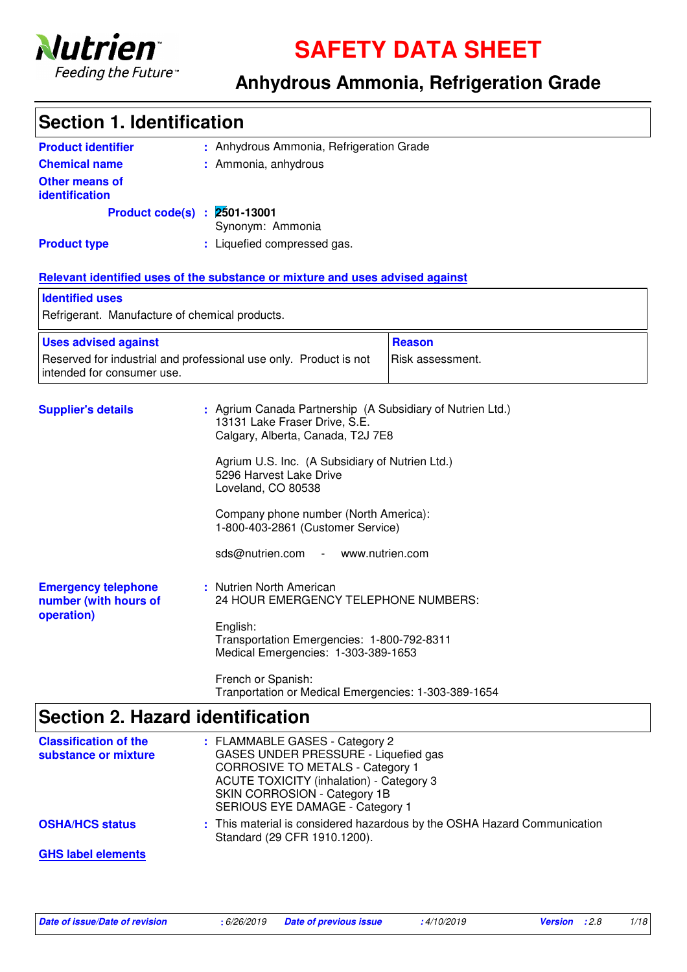

**SAFETY DATA SHEET**

### **Anhydrous Ammonia, Refrigeration Grade**

| <b>Section 1. Identification</b>                                  |                                                                                                                                                                                                                                                                                                                                                                   |                  |  |  |  |
|-------------------------------------------------------------------|-------------------------------------------------------------------------------------------------------------------------------------------------------------------------------------------------------------------------------------------------------------------------------------------------------------------------------------------------------------------|------------------|--|--|--|
| <b>Product identifier</b>                                         | : Anhydrous Ammonia, Refrigeration Grade                                                                                                                                                                                                                                                                                                                          |                  |  |  |  |
| <b>Chemical name</b>                                              | : Ammonia, anhydrous                                                                                                                                                                                                                                                                                                                                              |                  |  |  |  |
| <b>Other means of</b><br>identification                           |                                                                                                                                                                                                                                                                                                                                                                   |                  |  |  |  |
|                                                                   | Product code(s) : 2501-13001<br>Synonym: Ammonia                                                                                                                                                                                                                                                                                                                  |                  |  |  |  |
| <b>Product type</b>                                               | : Liquefied compressed gas.                                                                                                                                                                                                                                                                                                                                       |                  |  |  |  |
|                                                                   | Relevant identified uses of the substance or mixture and uses advised against                                                                                                                                                                                                                                                                                     |                  |  |  |  |
| <b>Identified uses</b>                                            |                                                                                                                                                                                                                                                                                                                                                                   |                  |  |  |  |
| Refrigerant. Manufacture of chemical products.                    |                                                                                                                                                                                                                                                                                                                                                                   |                  |  |  |  |
| <b>Uses advised against</b>                                       |                                                                                                                                                                                                                                                                                                                                                                   | <b>Reason</b>    |  |  |  |
| intended for consumer use.                                        | Reserved for industrial and professional use only. Product is not                                                                                                                                                                                                                                                                                                 | Risk assessment. |  |  |  |
| <b>Supplier's details</b>                                         | : Agrium Canada Partnership (A Subsidiary of Nutrien Ltd.)<br>13131 Lake Fraser Drive, S.E.<br>Calgary, Alberta, Canada, T2J 7E8<br>Agrium U.S. Inc. (A Subsidiary of Nutrien Ltd.)<br>5296 Harvest Lake Drive<br>Loveland, CO 80538<br>Company phone number (North America):<br>1-800-403-2861 (Customer Service)<br>sds@nutrien.com<br>$\overline{\phantom{a}}$ | www.nutrien.com  |  |  |  |
| <b>Emergency telephone</b><br>number (with hours of<br>operation) | : Nutrien North American<br>24 HOUR EMERGENCY TELEPHONE NUMBERS:<br>English:<br>Transportation Emergencies: 1-800-792-8311<br>Medical Emergencies: 1-303-389-1653                                                                                                                                                                                                 |                  |  |  |  |
|                                                                   | French or Spanish:<br>Tranportation or Medical Emergencies: 1-303-389-1654                                                                                                                                                                                                                                                                                        |                  |  |  |  |
| <b>Section 2. Hazard identification</b>                           |                                                                                                                                                                                                                                                                                                                                                                   |                  |  |  |  |
| <b>Classification of the</b><br>substance or mixture              | : FLAMMABLE GASES - Category 2<br>GASES UNDER PRESSURE - Liquefied gas<br><b>CORROSIVE TO METALS - Category 1</b><br><b>ACUTE TOXICITY (inhalation) - Category 3</b>                                                                                                                                                                                              |                  |  |  |  |

SERIOUS EYE DAMAGE - Category 1 **OSHA/HCS status : This material is considered hazardous by the OSHA Hazard Communication** Standard (29 CFR 1910.1200).

SKIN CORROSION - Category 1B

**GHS label elements**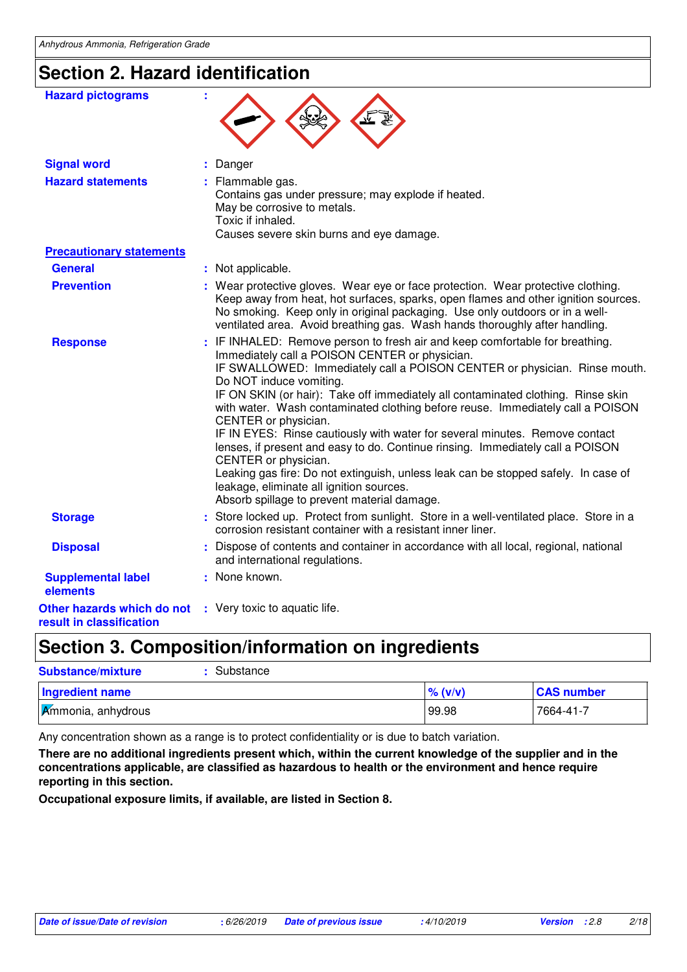## **Section 2. Hazard identification**

| <b>Hazard pictograms</b>                               |                                                                                                                                                                                                                                                                                                                                                                                                                                                                                                                                                                                                                                                                                                                                                                                                                |  |
|--------------------------------------------------------|----------------------------------------------------------------------------------------------------------------------------------------------------------------------------------------------------------------------------------------------------------------------------------------------------------------------------------------------------------------------------------------------------------------------------------------------------------------------------------------------------------------------------------------------------------------------------------------------------------------------------------------------------------------------------------------------------------------------------------------------------------------------------------------------------------------|--|
| <b>Signal word</b>                                     | Danger                                                                                                                                                                                                                                                                                                                                                                                                                                                                                                                                                                                                                                                                                                                                                                                                         |  |
| <b>Hazard statements</b>                               | Flammable gas.<br>Contains gas under pressure; may explode if heated.<br>May be corrosive to metals.<br>Toxic if inhaled.<br>Causes severe skin burns and eye damage.                                                                                                                                                                                                                                                                                                                                                                                                                                                                                                                                                                                                                                          |  |
| <b>Precautionary statements</b>                        |                                                                                                                                                                                                                                                                                                                                                                                                                                                                                                                                                                                                                                                                                                                                                                                                                |  |
| <b>General</b>                                         | : Not applicable.                                                                                                                                                                                                                                                                                                                                                                                                                                                                                                                                                                                                                                                                                                                                                                                              |  |
| <b>Prevention</b>                                      | : Wear protective gloves. Wear eye or face protection. Wear protective clothing.<br>Keep away from heat, hot surfaces, sparks, open flames and other ignition sources.<br>No smoking. Keep only in original packaging. Use only outdoors or in a well-<br>ventilated area. Avoid breathing gas. Wash hands thoroughly after handling.                                                                                                                                                                                                                                                                                                                                                                                                                                                                          |  |
| <b>Response</b>                                        | : IF INHALED: Remove person to fresh air and keep comfortable for breathing.<br>Immediately call a POISON CENTER or physician.<br>IF SWALLOWED: Immediately call a POISON CENTER or physician. Rinse mouth.<br>Do NOT induce vomiting.<br>IF ON SKIN (or hair): Take off immediately all contaminated clothing. Rinse skin<br>with water. Wash contaminated clothing before reuse. Immediately call a POISON<br>CENTER or physician.<br>IF IN EYES: Rinse cautiously with water for several minutes. Remove contact<br>lenses, if present and easy to do. Continue rinsing. Immediately call a POISON<br>CENTER or physician.<br>Leaking gas fire: Do not extinguish, unless leak can be stopped safely. In case of<br>leakage, eliminate all ignition sources.<br>Absorb spillage to prevent material damage. |  |
| <b>Storage</b>                                         | : Store locked up. Protect from sunlight. Store in a well-ventilated place. Store in a<br>corrosion resistant container with a resistant inner liner.                                                                                                                                                                                                                                                                                                                                                                                                                                                                                                                                                                                                                                                          |  |
| <b>Disposal</b>                                        | Dispose of contents and container in accordance with all local, regional, national<br>and international regulations.                                                                                                                                                                                                                                                                                                                                                                                                                                                                                                                                                                                                                                                                                           |  |
| <b>Supplemental label</b><br>elements                  | : None known.                                                                                                                                                                                                                                                                                                                                                                                                                                                                                                                                                                                                                                                                                                                                                                                                  |  |
| Other hazards which do not<br>result in classification | : Very toxic to aquatic life.                                                                                                                                                                                                                                                                                                                                                                                                                                                                                                                                                                                                                                                                                                                                                                                  |  |
|                                                        |                                                                                                                                                                                                                                                                                                                                                                                                                                                                                                                                                                                                                                                                                                                                                                                                                |  |

## **Section 3. Composition/information on ingredients**

| <b>Substance/mixture</b><br>Substance |            |                   |
|---------------------------------------|------------|-------------------|
| <b>Ingredient name</b>                | $\%$ (v/v) | <b>CAS number</b> |
| <b>Ammonia</b> , anhydrous            | 99.98      | 7664-41-7         |

Any concentration shown as a range is to protect confidentiality or is due to batch variation.

**There are no additional ingredients present which, within the current knowledge of the supplier and in the concentrations applicable, are classified as hazardous to health or the environment and hence require reporting in this section.**

**Occupational exposure limits, if available, are listed in Section 8.**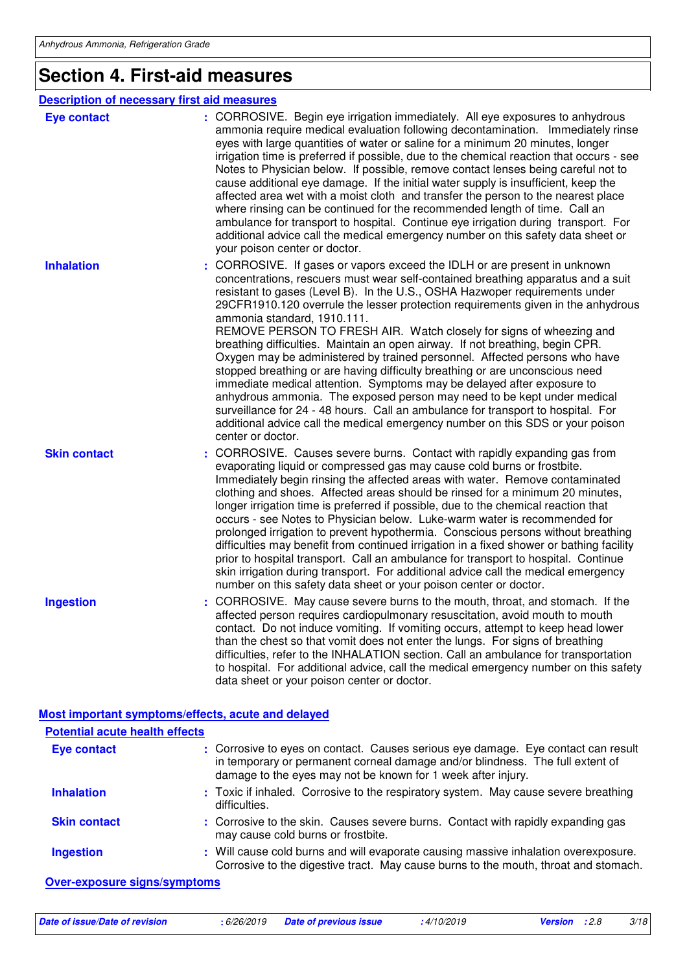## **Section 4. First-aid measures**

| <b>Description of necessary first aid measures</b> |                                                                                                                                                                                                                                                                                                                                                                                                                                                                                                                                                                                                                                                                                                                                                                                                                                                                                                                                                                                                                                       |
|----------------------------------------------------|---------------------------------------------------------------------------------------------------------------------------------------------------------------------------------------------------------------------------------------------------------------------------------------------------------------------------------------------------------------------------------------------------------------------------------------------------------------------------------------------------------------------------------------------------------------------------------------------------------------------------------------------------------------------------------------------------------------------------------------------------------------------------------------------------------------------------------------------------------------------------------------------------------------------------------------------------------------------------------------------------------------------------------------|
| <b>Eye contact</b>                                 | : CORROSIVE. Begin eye irrigation immediately. All eye exposures to anhydrous<br>ammonia require medical evaluation following decontamination. Immediately rinse<br>eyes with large quantities of water or saline for a minimum 20 minutes, longer<br>irrigation time is preferred if possible, due to the chemical reaction that occurs - see<br>Notes to Physician below. If possible, remove contact lenses being careful not to<br>cause additional eye damage. If the initial water supply is insufficient, keep the<br>affected area wet with a moist cloth and transfer the person to the nearest place<br>where rinsing can be continued for the recommended length of time. Call an<br>ambulance for transport to hospital. Continue eye irrigation during transport. For<br>additional advice call the medical emergency number on this safety data sheet or<br>your poison center or doctor.                                                                                                                               |
| <b>Inhalation</b>                                  | : CORROSIVE. If gases or vapors exceed the IDLH or are present in unknown<br>concentrations, rescuers must wear self-contained breathing apparatus and a suit<br>resistant to gases (Level B). In the U.S., OSHA Hazwoper requirements under<br>29CFR1910.120 overrule the lesser protection requirements given in the anhydrous<br>ammonia standard, 1910.111.<br>REMOVE PERSON TO FRESH AIR. Watch closely for signs of wheezing and<br>breathing difficulties. Maintain an open airway. If not breathing, begin CPR.<br>Oxygen may be administered by trained personnel. Affected persons who have<br>stopped breathing or are having difficulty breathing or are unconscious need<br>immediate medical attention. Symptoms may be delayed after exposure to<br>anhydrous ammonia. The exposed person may need to be kept under medical<br>surveillance for 24 - 48 hours. Call an ambulance for transport to hospital. For<br>additional advice call the medical emergency number on this SDS or your poison<br>center or doctor. |
| <b>Skin contact</b>                                | CORROSIVE. Causes severe burns. Contact with rapidly expanding gas from<br>evaporating liquid or compressed gas may cause cold burns or frostbite.<br>Immediately begin rinsing the affected areas with water. Remove contaminated<br>clothing and shoes. Affected areas should be rinsed for a minimum 20 minutes,<br>longer irrigation time is preferred if possible, due to the chemical reaction that<br>occurs - see Notes to Physician below. Luke-warm water is recommended for<br>prolonged irrigation to prevent hypothermia. Conscious persons without breathing<br>difficulties may benefit from continued irrigation in a fixed shower or bathing facility<br>prior to hospital transport. Call an ambulance for transport to hospital. Continue<br>skin irrigation during transport. For additional advice call the medical emergency<br>number on this safety data sheet or your poison center or doctor.                                                                                                               |
| <b>Ingestion</b>                                   | : CORROSIVE. May cause severe burns to the mouth, throat, and stomach. If the<br>affected person requires cardiopulmonary resuscitation, avoid mouth to mouth<br>contact. Do not induce vomiting. If vomiting occurs, attempt to keep head lower<br>than the chest so that vomit does not enter the lungs. For signs of breathing<br>difficulties, refer to the INHALATION section. Call an ambulance for transportation<br>to hospital. For additional advice, call the medical emergency number on this safety<br>data sheet or your poison center or doctor.                                                                                                                                                                                                                                                                                                                                                                                                                                                                       |
|                                                    | Most important symptoms/effects, acute and delayed                                                                                                                                                                                                                                                                                                                                                                                                                                                                                                                                                                                                                                                                                                                                                                                                                                                                                                                                                                                    |

| <b>Potential acute health effects</b> |                                                                                                                                                                                                                                    |
|---------------------------------------|------------------------------------------------------------------------------------------------------------------------------------------------------------------------------------------------------------------------------------|
| <b>Eye contact</b>                    | : Corrosive to eyes on contact. Causes serious eye damage. Eye contact can result<br>in temporary or permanent corneal damage and/or blindness. The full extent of<br>damage to the eyes may not be known for 1 week after injury. |
| <b>Inhalation</b>                     | : Toxic if inhaled. Corrosive to the respiratory system. May cause severe breathing<br>difficulties.                                                                                                                               |
| <b>Skin contact</b>                   | : Corrosive to the skin. Causes severe burns. Contact with rapidly expanding gas<br>may cause cold burns or frostbite.                                                                                                             |
| <b>Ingestion</b>                      | : Will cause cold burns and will evaporate causing massive inhalation overexposure.<br>Corrosive to the digestive tract. May cause burns to the mouth, throat and stomach.                                                         |
| Over-exposure signs/symptoms          |                                                                                                                                                                                                                                    |

**Date of issue/Date of revision :** 6/26/2019 **Date of previous issue :** 4/10/2019 **Version :** 2.8 3/18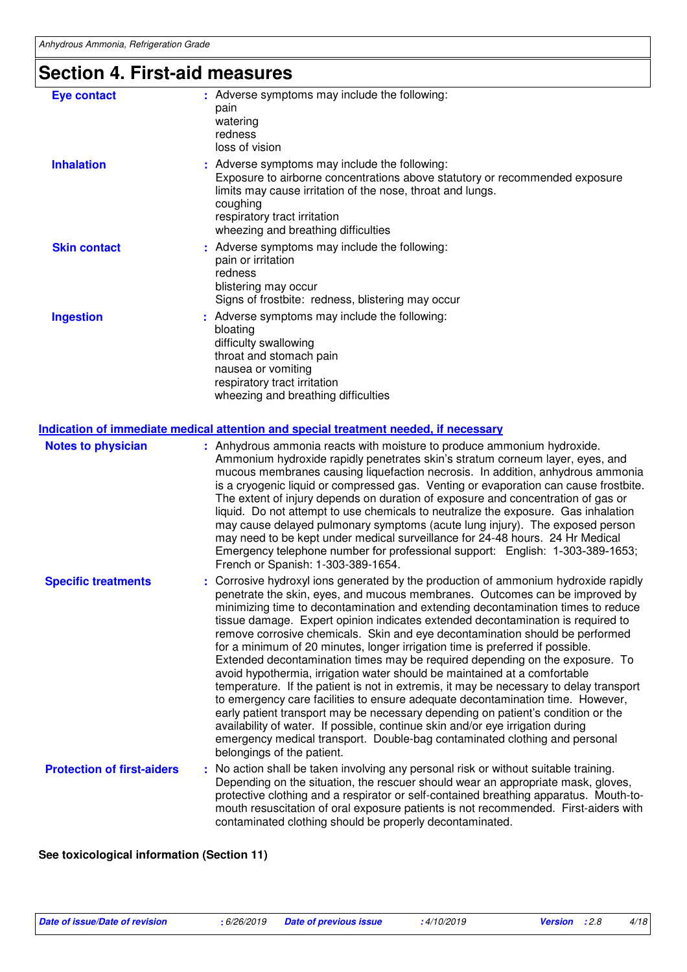## **Section 4. First-aid measures**

| <b>Eye contact</b>  | : Adverse symptoms may include the following:<br>pain<br>watering<br>redness<br>loss of vision                                                                                                                                                                                |
|---------------------|-------------------------------------------------------------------------------------------------------------------------------------------------------------------------------------------------------------------------------------------------------------------------------|
| <b>Inhalation</b>   | : Adverse symptoms may include the following:<br>Exposure to airborne concentrations above statutory or recommended exposure<br>limits may cause irritation of the nose, throat and lungs.<br>coughing<br>respiratory tract irritation<br>wheezing and breathing difficulties |
| <b>Skin contact</b> | : Adverse symptoms may include the following:<br>pain or irritation<br>redness<br>blistering may occur<br>Signs of frostbite: redness, blistering may occur                                                                                                                   |
| <b>Ingestion</b>    | : Adverse symptoms may include the following:<br>bloating<br>difficulty swallowing<br>throat and stomach pain<br>nausea or vomiting<br>respiratory tract irritation<br>wheezing and breathing difficulties                                                                    |

| <b>Notes to physician</b>         | : Anhydrous ammonia reacts with moisture to produce ammonium hydroxide.<br>Ammonium hydroxide rapidly penetrates skin's stratum corneum layer, eyes, and<br>mucous membranes causing liquefaction necrosis. In addition, anhydrous ammonia<br>is a cryogenic liquid or compressed gas. Venting or evaporation can cause frostbite.<br>The extent of injury depends on duration of exposure and concentration of gas or<br>liquid. Do not attempt to use chemicals to neutralize the exposure. Gas inhalation<br>may cause delayed pulmonary symptoms (acute lung injury). The exposed person<br>may need to be kept under medical surveillance for 24-48 hours. 24 Hr Medical<br>Emergency telephone number for professional support: English: 1-303-389-1653;<br>French or Spanish: 1-303-389-1654.                                                                                                                                                                                                                                                                                                                                  |
|-----------------------------------|---------------------------------------------------------------------------------------------------------------------------------------------------------------------------------------------------------------------------------------------------------------------------------------------------------------------------------------------------------------------------------------------------------------------------------------------------------------------------------------------------------------------------------------------------------------------------------------------------------------------------------------------------------------------------------------------------------------------------------------------------------------------------------------------------------------------------------------------------------------------------------------------------------------------------------------------------------------------------------------------------------------------------------------------------------------------------------------------------------------------------------------|
| <b>Specific treatments</b>        | : Corrosive hydroxyl ions generated by the production of ammonium hydroxide rapidly<br>penetrate the skin, eyes, and mucous membranes. Outcomes can be improved by<br>minimizing time to decontamination and extending decontamination times to reduce<br>tissue damage. Expert opinion indicates extended decontamination is required to<br>remove corrosive chemicals. Skin and eye decontamination should be performed<br>for a minimum of 20 minutes, longer irrigation time is preferred if possible.<br>Extended decontamination times may be required depending on the exposure. To<br>avoid hypothermia, irrigation water should be maintained at a comfortable<br>temperature. If the patient is not in extremis, it may be necessary to delay transport<br>to emergency care facilities to ensure adequate decontamination time. However,<br>early patient transport may be necessary depending on patient's condition or the<br>availability of water. If possible, continue skin and/or eye irrigation during<br>emergency medical transport. Double-bag contaminated clothing and personal<br>belongings of the patient. |
| <b>Protection of first-aiders</b> | : No action shall be taken involving any personal risk or without suitable training.<br>Depending on the situation, the rescuer should wear an appropriate mask, gloves,<br>protective clothing and a respirator or self-contained breathing apparatus. Mouth-to-<br>mouth resuscitation of oral exposure patients is not recommended. First-aiders with<br>contaminated clothing should be properly decontaminated.                                                                                                                                                                                                                                                                                                                                                                                                                                                                                                                                                                                                                                                                                                                  |

### **See toxicological information (Section 11)**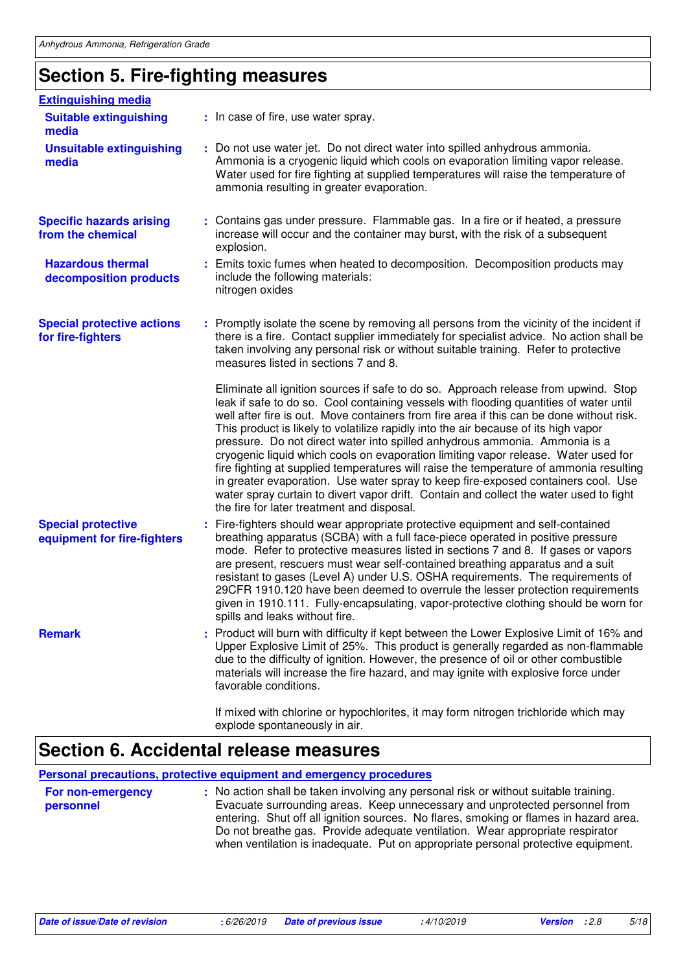## **Section 5. Fire-fighting measures**

| <b>Extinguishing media</b>                               |                                                                                                                                                                                                                                                                                                                                                                                                                                                                                                                                                                                                                                                                                                                                                                                                                                                             |
|----------------------------------------------------------|-------------------------------------------------------------------------------------------------------------------------------------------------------------------------------------------------------------------------------------------------------------------------------------------------------------------------------------------------------------------------------------------------------------------------------------------------------------------------------------------------------------------------------------------------------------------------------------------------------------------------------------------------------------------------------------------------------------------------------------------------------------------------------------------------------------------------------------------------------------|
| <b>Suitable extinguishing</b><br>media                   | : In case of fire, use water spray.                                                                                                                                                                                                                                                                                                                                                                                                                                                                                                                                                                                                                                                                                                                                                                                                                         |
| <b>Unsuitable extinguishing</b><br>media                 | : Do not use water jet. Do not direct water into spilled anhydrous ammonia.<br>Ammonia is a cryogenic liquid which cools on evaporation limiting vapor release.<br>Water used for fire fighting at supplied temperatures will raise the temperature of<br>ammonia resulting in greater evaporation.                                                                                                                                                                                                                                                                                                                                                                                                                                                                                                                                                         |
| <b>Specific hazards arising</b><br>from the chemical     | : Contains gas under pressure. Flammable gas. In a fire or if heated, a pressure<br>increase will occur and the container may burst, with the risk of a subsequent<br>explosion.                                                                                                                                                                                                                                                                                                                                                                                                                                                                                                                                                                                                                                                                            |
| <b>Hazardous thermal</b><br>decomposition products       | : Emits toxic fumes when heated to decomposition. Decomposition products may<br>include the following materials:<br>nitrogen oxides                                                                                                                                                                                                                                                                                                                                                                                                                                                                                                                                                                                                                                                                                                                         |
| <b>Special protective actions</b><br>for fire-fighters   | : Promptly isolate the scene by removing all persons from the vicinity of the incident if<br>there is a fire. Contact supplier immediately for specialist advice. No action shall be<br>taken involving any personal risk or without suitable training. Refer to protective<br>measures listed in sections 7 and 8.                                                                                                                                                                                                                                                                                                                                                                                                                                                                                                                                         |
|                                                          | Eliminate all ignition sources if safe to do so. Approach release from upwind. Stop<br>leak if safe to do so. Cool containing vessels with flooding quantities of water until<br>well after fire is out. Move containers from fire area if this can be done without risk.<br>This product is likely to volatilize rapidly into the air because of its high vapor<br>pressure. Do not direct water into spilled anhydrous ammonia. Ammonia is a<br>cryogenic liquid which cools on evaporation limiting vapor release. Water used for<br>fire fighting at supplied temperatures will raise the temperature of ammonia resulting<br>in greater evaporation. Use water spray to keep fire-exposed containers cool. Use<br>water spray curtain to divert vapor drift. Contain and collect the water used to fight<br>the fire for later treatment and disposal. |
| <b>Special protective</b><br>equipment for fire-fighters | Fire-fighters should wear appropriate protective equipment and self-contained<br>breathing apparatus (SCBA) with a full face-piece operated in positive pressure<br>mode. Refer to protective measures listed in sections 7 and 8. If gases or vapors<br>are present, rescuers must wear self-contained breathing apparatus and a suit<br>resistant to gases (Level A) under U.S. OSHA requirements. The requirements of<br>29CFR 1910.120 have been deemed to overrule the lesser protection requirements<br>given in 1910.111. Fully-encapsulating, vapor-protective clothing should be worn for<br>spills and leaks without fire.                                                                                                                                                                                                                        |
| <b>Remark</b>                                            | : Product will burn with difficulty if kept between the Lower Explosive Limit of 16% and<br>Upper Explosive Limit of 25%. This product is generally regarded as non-flammable<br>due to the difficulty of ignition. However, the presence of oil or other combustible<br>materials will increase the fire hazard, and may ignite with explosive force under<br>favorable conditions.                                                                                                                                                                                                                                                                                                                                                                                                                                                                        |
|                                                          | If mixed with chlorine or hypochlorites, it may form nitrogen trichloride which may<br>explode spontaneously in air.                                                                                                                                                                                                                                                                                                                                                                                                                                                                                                                                                                                                                                                                                                                                        |

### **Section 6. Accidental release measures**

**Personal precautions, protective equipment and emergency procedures**

| For non-emergency<br>personnel | : No action shall be taken involving any personal risk or without suitable training.<br>Evacuate surrounding areas. Keep unnecessary and unprotected personnel from<br>entering. Shut off all ignition sources. No flares, smoking or flames in hazard area.<br>Do not breathe gas. Provide adequate ventilation. Wear appropriate respirator<br>when ventilation is inadequate. Put on appropriate personal protective equipment. |
|--------------------------------|------------------------------------------------------------------------------------------------------------------------------------------------------------------------------------------------------------------------------------------------------------------------------------------------------------------------------------------------------------------------------------------------------------------------------------|
|                                |                                                                                                                                                                                                                                                                                                                                                                                                                                    |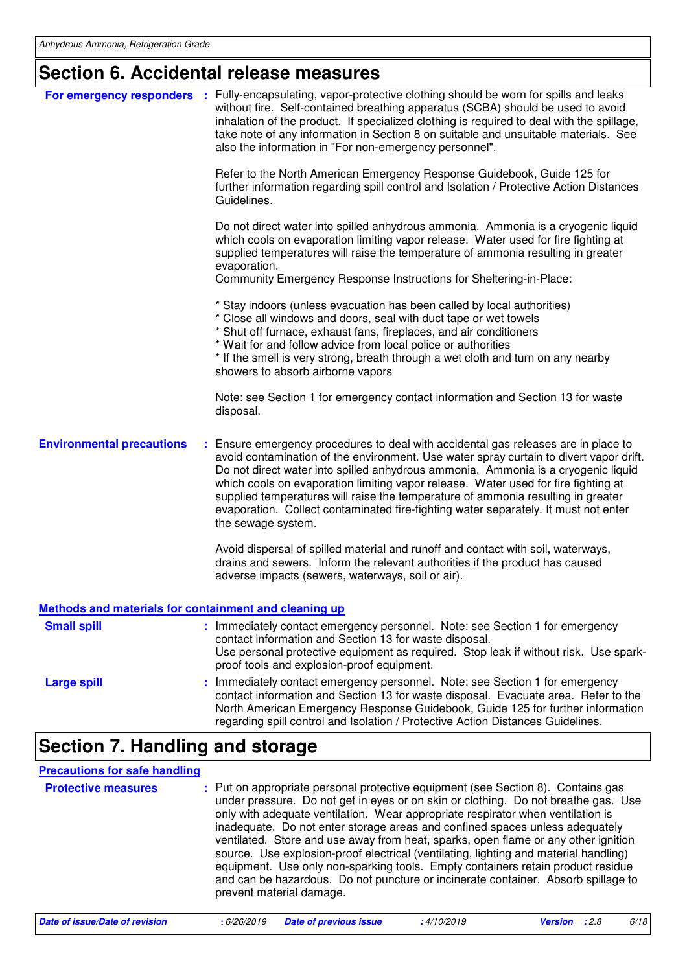## **Section 6. Accidental release measures**

|                                                       | For emergency responders : Fully-encapsulating, vapor-protective clothing should be worn for spills and leaks<br>without fire. Self-contained breathing apparatus (SCBA) should be used to avoid<br>inhalation of the product. If specialized clothing is required to deal with the spillage,<br>take note of any information in Section 8 on suitable and unsuitable materials. See<br>also the information in "For non-emergency personnel".                                                                                                           |
|-------------------------------------------------------|----------------------------------------------------------------------------------------------------------------------------------------------------------------------------------------------------------------------------------------------------------------------------------------------------------------------------------------------------------------------------------------------------------------------------------------------------------------------------------------------------------------------------------------------------------|
|                                                       | Refer to the North American Emergency Response Guidebook, Guide 125 for<br>further information regarding spill control and Isolation / Protective Action Distances<br>Guidelines.                                                                                                                                                                                                                                                                                                                                                                        |
|                                                       | Do not direct water into spilled anhydrous ammonia. Ammonia is a cryogenic liquid<br>which cools on evaporation limiting vapor release. Water used for fire fighting at<br>supplied temperatures will raise the temperature of ammonia resulting in greater<br>evaporation.<br>Community Emergency Response Instructions for Sheltering-in-Place:                                                                                                                                                                                                        |
|                                                       | * Stay indoors (unless evacuation has been called by local authorities)<br>* Close all windows and doors, seal with duct tape or wet towels<br>* Shut off furnace, exhaust fans, fireplaces, and air conditioners<br>* Wait for and follow advice from local police or authorities<br>* If the smell is very strong, breath through a wet cloth and turn on any nearby<br>showers to absorb airborne vapors                                                                                                                                              |
|                                                       | Note: see Section 1 for emergency contact information and Section 13 for waste<br>disposal.                                                                                                                                                                                                                                                                                                                                                                                                                                                              |
| <b>Environmental precautions</b>                      | : Ensure emergency procedures to deal with accidental gas releases are in place to<br>avoid contamination of the environment. Use water spray curtain to divert vapor drift.<br>Do not direct water into spilled anhydrous ammonia. Ammonia is a cryogenic liquid<br>which cools on evaporation limiting vapor release. Water used for fire fighting at<br>supplied temperatures will raise the temperature of ammonia resulting in greater<br>evaporation. Collect contaminated fire-fighting water separately. It must not enter<br>the sewage system. |
|                                                       | Avoid dispersal of spilled material and runoff and contact with soil, waterways,<br>drains and sewers. Inform the relevant authorities if the product has caused<br>adverse impacts (sewers, waterways, soil or air).                                                                                                                                                                                                                                                                                                                                    |
| Methods and materials for containment and cleaning up |                                                                                                                                                                                                                                                                                                                                                                                                                                                                                                                                                          |
| <b>Small spill</b>                                    | : Immediately contact emergency personnel. Note: see Section 1 for emergency<br>contact information and Section 13 for waste disposal.<br>Use personal protective equipment as required. Stop leak if without risk. Use spark-<br>proof tools and explosion-proof equipment.                                                                                                                                                                                                                                                                             |
| <b>Large spill</b>                                    | Immediately contact emergency personnel. Note: see Section 1 for emergency<br>contact information and Section 13 for waste disposal. Evacuate area. Refer to the<br>North American Emergency Response Guidebook, Guide 125 for further information<br>regarding spill control and Isolation / Protective Action Distances Guidelines.                                                                                                                                                                                                                    |
| Cootian 7 Handling and otavage                        |                                                                                                                                                                                                                                                                                                                                                                                                                                                                                                                                                          |

## **Section 7. Handling and storage**

| <b>Precautions for safe handling</b> |                                                                                                                                                                                                                                                                                                                                                                                                                                                                                                                                                                                                                                                                                                                             |
|--------------------------------------|-----------------------------------------------------------------------------------------------------------------------------------------------------------------------------------------------------------------------------------------------------------------------------------------------------------------------------------------------------------------------------------------------------------------------------------------------------------------------------------------------------------------------------------------------------------------------------------------------------------------------------------------------------------------------------------------------------------------------------|
| <b>Protective measures</b>           | : Put on appropriate personal protective equipment (see Section 8). Contains gas<br>under pressure. Do not get in eyes or on skin or clothing. Do not breathe gas. Use<br>only with adequate ventilation. Wear appropriate respirator when ventilation is<br>inadequate. Do not enter storage areas and confined spaces unless adequately<br>ventilated. Store and use away from heat, sparks, open flame or any other ignition<br>source. Use explosion-proof electrical (ventilating, lighting and material handling)<br>equipment. Use only non-sparking tools. Empty containers retain product residue<br>and can be hazardous. Do not puncture or incinerate container. Absorb spillage to<br>prevent material damage. |
|                                      |                                                                                                                                                                                                                                                                                                                                                                                                                                                                                                                                                                                                                                                                                                                             |

| Date of issue/Date of revision | : 6/26/2019 Date of previous issue | 4/10/2019 | <b>Version</b> : 2.8 | 6/18 |
|--------------------------------|------------------------------------|-----------|----------------------|------|
|                                |                                    |           |                      |      |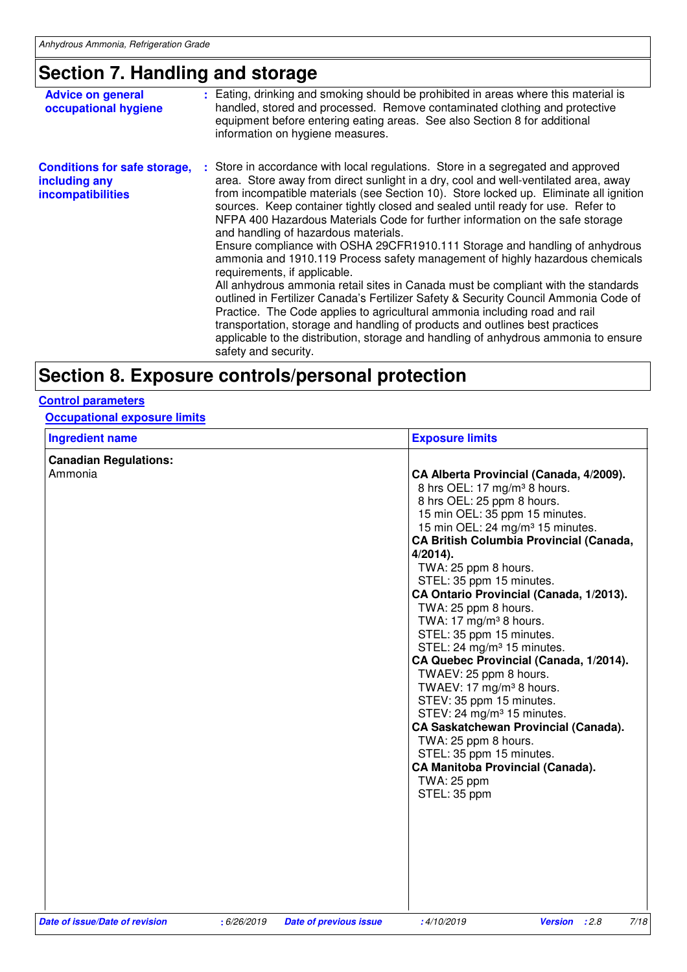## **Section 7. Handling and storage**

| <b>Advice on general</b><br>occupational hygiene                                 | : Eating, drinking and smoking should be prohibited in areas where this material is<br>handled, stored and processed. Remove contaminated clothing and protective<br>equipment before entering eating areas. See also Section 8 for additional<br>information on hygiene measures.                                                                                                                                                                                                                                                                                                                                                                                                                                                                                                                                                                                                                                                                                                                                                                                                                                                    |
|----------------------------------------------------------------------------------|---------------------------------------------------------------------------------------------------------------------------------------------------------------------------------------------------------------------------------------------------------------------------------------------------------------------------------------------------------------------------------------------------------------------------------------------------------------------------------------------------------------------------------------------------------------------------------------------------------------------------------------------------------------------------------------------------------------------------------------------------------------------------------------------------------------------------------------------------------------------------------------------------------------------------------------------------------------------------------------------------------------------------------------------------------------------------------------------------------------------------------------|
| <b>Conditions for safe storage,</b><br>including any<br><i>incompatibilities</i> | : Store in accordance with local regulations. Store in a segregated and approved<br>area. Store away from direct sunlight in a dry, cool and well-ventilated area, away<br>from incompatible materials (see Section 10). Store locked up. Eliminate all ignition<br>sources. Keep container tightly closed and sealed until ready for use. Refer to<br>NFPA 400 Hazardous Materials Code for further information on the safe storage<br>and handling of hazardous materials.<br>Ensure compliance with OSHA 29CFR1910.111 Storage and handling of anhydrous<br>ammonia and 1910.119 Process safety management of highly hazardous chemicals<br>requirements, if applicable.<br>All anhydrous ammonia retail sites in Canada must be compliant with the standards<br>outlined in Fertilizer Canada's Fertilizer Safety & Security Council Ammonia Code of<br>Practice. The Code applies to agricultural ammonia including road and rail<br>transportation, storage and handling of products and outlines best practices<br>applicable to the distribution, storage and handling of anhydrous ammonia to ensure<br>safety and security. |
|                                                                                  |                                                                                                                                                                                                                                                                                                                                                                                                                                                                                                                                                                                                                                                                                                                                                                                                                                                                                                                                                                                                                                                                                                                                       |

## **Section 8. Exposure controls/personal protection**

### **Control parameters**

**Occupational exposure limits**

| <b>Ingredient name</b>         |             |                               | <b>Exposure limits</b>                                                                                                                                                                                                                                                                                                                                                                                                                                                                                                                                                                                                                                                                                                                                                                                                                                                 |
|--------------------------------|-------------|-------------------------------|------------------------------------------------------------------------------------------------------------------------------------------------------------------------------------------------------------------------------------------------------------------------------------------------------------------------------------------------------------------------------------------------------------------------------------------------------------------------------------------------------------------------------------------------------------------------------------------------------------------------------------------------------------------------------------------------------------------------------------------------------------------------------------------------------------------------------------------------------------------------|
| <b>Canadian Regulations:</b>   |             |                               |                                                                                                                                                                                                                                                                                                                                                                                                                                                                                                                                                                                                                                                                                                                                                                                                                                                                        |
| Ammonia                        |             |                               | CA Alberta Provincial (Canada, 4/2009).<br>8 hrs OEL: 17 mg/m <sup>3</sup> 8 hours.<br>8 hrs OEL: 25 ppm 8 hours.<br>15 min OEL: 35 ppm 15 minutes.<br>15 min OEL: 24 mg/m <sup>3</sup> 15 minutes.<br><b>CA British Columbia Provincial (Canada,</b><br>$4/2014$ ).<br>TWA: 25 ppm 8 hours.<br>STEL: 35 ppm 15 minutes.<br>CA Ontario Provincial (Canada, 1/2013).<br>TWA: 25 ppm 8 hours.<br>TWA: 17 mg/m <sup>3</sup> 8 hours.<br>STEL: 35 ppm 15 minutes.<br>STEL: 24 mg/m <sup>3</sup> 15 minutes.<br>CA Quebec Provincial (Canada, 1/2014).<br>TWAEV: 25 ppm 8 hours.<br>TWAEV: 17 mg/m <sup>3</sup> 8 hours.<br>STEV: 35 ppm 15 minutes.<br>STEV: 24 mg/m <sup>3</sup> 15 minutes.<br>CA Saskatchewan Provincial (Canada).<br>TWA: 25 ppm 8 hours.<br>STEL: 35 ppm 15 minutes.<br><b>CA Manitoba Provincial (Canada).</b><br><b>TWA: 25 ppm</b><br>STEL: 35 ppm |
| Date of issue/Date of revision | : 6/26/2019 | <b>Date of previous issue</b> | 7/18<br>:4/10/2019<br>Version : 2.8                                                                                                                                                                                                                                                                                                                                                                                                                                                                                                                                                                                                                                                                                                                                                                                                                                    |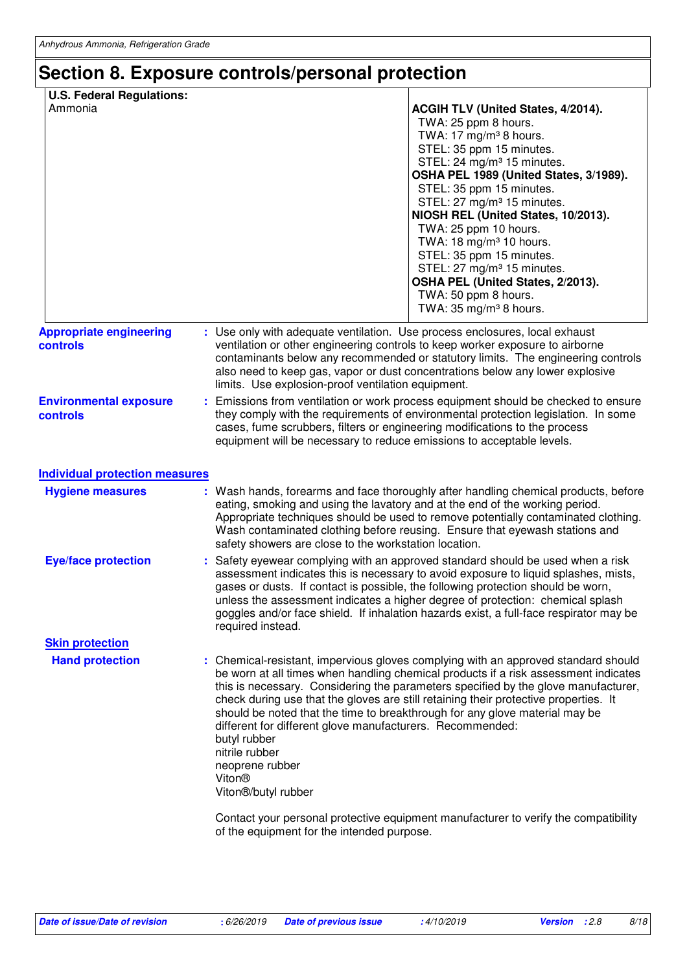## **Section 8. Exposure controls/personal protection**

| <b>U.S. Federal Regulations:</b><br>Ammonia |                                                                                    | <b>ACGIH TLV (United States, 4/2014).</b><br>TWA: 25 ppm 8 hours.<br>TWA: $17 \text{ mg/m}^3$ 8 hours.<br>STEL: 35 ppm 15 minutes.<br>STEL: 24 mg/m <sup>3</sup> 15 minutes.<br>OSHA PEL 1989 (United States, 3/1989).<br>STEL: 35 ppm 15 minutes.<br>STEL: 27 mg/m <sup>3</sup> 15 minutes.<br>NIOSH REL (United States, 10/2013).<br>TWA: 25 ppm 10 hours.<br>TWA: 18 mg/m <sup>3</sup> 10 hours.<br>STEL: 35 ppm 15 minutes.<br>STEL: 27 mg/m <sup>3</sup> 15 minutes.<br>OSHA PEL (United States, 2/2013).<br>TWA: 50 ppm 8 hours.<br>TWA: 35 mg/m <sup>3</sup> 8 hours. |
|---------------------------------------------|------------------------------------------------------------------------------------|------------------------------------------------------------------------------------------------------------------------------------------------------------------------------------------------------------------------------------------------------------------------------------------------------------------------------------------------------------------------------------------------------------------------------------------------------------------------------------------------------------------------------------------------------------------------------|
| <b>Appropriate engineering</b><br>controls  | limits. Use explosion-proof ventilation equipment.                                 | : Use only with adequate ventilation. Use process enclosures, local exhaust<br>ventilation or other engineering controls to keep worker exposure to airborne<br>contaminants below any recommended or statutory limits. The engineering controls<br>also need to keep gas, vapor or dust concentrations below any lower explosive                                                                                                                                                                                                                                            |
| <b>Environmental exposure</b><br>controls   |                                                                                    | Emissions from ventilation or work process equipment should be checked to ensure<br>they comply with the requirements of environmental protection legislation. In some<br>cases, fume scrubbers, filters or engineering modifications to the process<br>equipment will be necessary to reduce emissions to acceptable levels.                                                                                                                                                                                                                                                |
| <b>Individual protection measures</b>       |                                                                                    |                                                                                                                                                                                                                                                                                                                                                                                                                                                                                                                                                                              |
| <b>Hygiene measures</b>                     |                                                                                    | : Wash hands, forearms and face thoroughly after handling chemical products, before<br>eating, smoking and using the lavatory and at the end of the working period.<br>Appropriate techniques should be used to remove potentially contaminated clothing.<br>Wash contaminated clothing before reusing. Ensure that eyewash stations and<br>safety showers are close to the workstation location.                                                                                                                                                                            |
| <b>Eye/face protection</b>                  | required instead.                                                                  | Safety eyewear complying with an approved standard should be used when a risk<br>assessment indicates this is necessary to avoid exposure to liquid splashes, mists,<br>gases or dusts. If contact is possible, the following protection should be worn,<br>unless the assessment indicates a higher degree of protection: chemical splash<br>goggles and/or face shield. If inhalation hazards exist, a full-face respirator may be                                                                                                                                         |
| <b>Skin protection</b>                      |                                                                                    |                                                                                                                                                                                                                                                                                                                                                                                                                                                                                                                                                                              |
| <b>Hand protection</b>                      | butyl rubber<br>nitrile rubber<br>neoprene rubber<br>Viton®<br>Viton®/butyl rubber | : Chemical-resistant, impervious gloves complying with an approved standard should<br>be worn at all times when handling chemical products if a risk assessment indicates<br>this is necessary. Considering the parameters specified by the glove manufacturer,<br>check during use that the gloves are still retaining their protective properties. It<br>should be noted that the time to breakthrough for any glove material may be<br>different for different glove manufacturers. Recommended:                                                                          |
|                                             | of the equipment for the intended purpose.                                         | Contact your personal protective equipment manufacturer to verify the compatibility                                                                                                                                                                                                                                                                                                                                                                                                                                                                                          |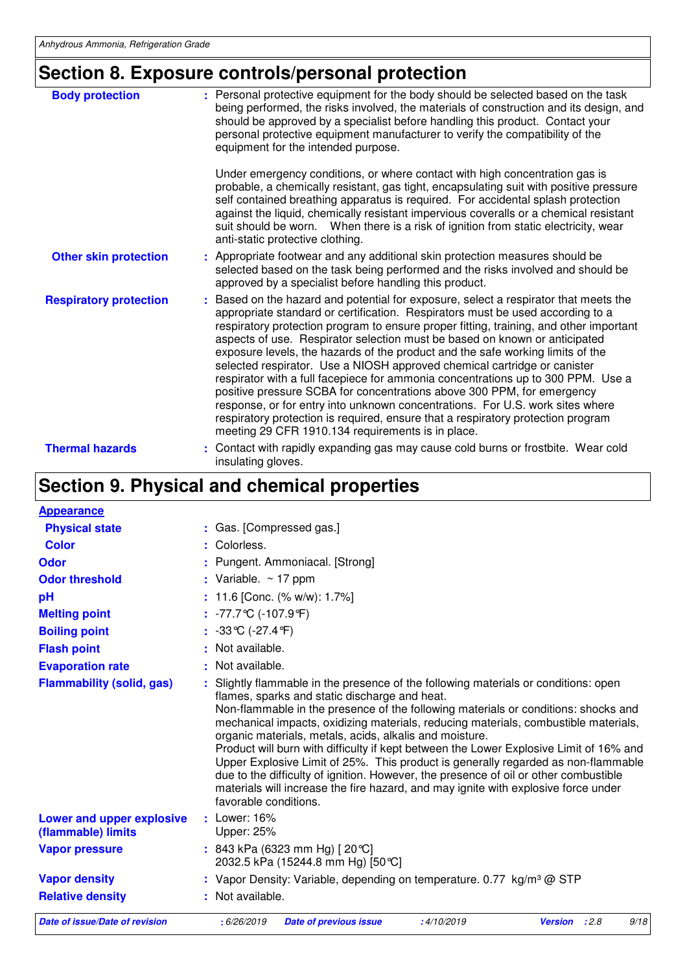## **Section 8. Exposure controls/personal protection**

| <b>Body protection</b>        | : Personal protective equipment for the body should be selected based on the task<br>being performed, the risks involved, the materials of construction and its design, and<br>should be approved by a specialist before handling this product. Contact your<br>personal protective equipment manufacturer to verify the compatibility of the<br>equipment for the intended purpose.                                                                                                                                                                                                                                                                                                                                                                                                                                                                                                                 |
|-------------------------------|------------------------------------------------------------------------------------------------------------------------------------------------------------------------------------------------------------------------------------------------------------------------------------------------------------------------------------------------------------------------------------------------------------------------------------------------------------------------------------------------------------------------------------------------------------------------------------------------------------------------------------------------------------------------------------------------------------------------------------------------------------------------------------------------------------------------------------------------------------------------------------------------------|
|                               | Under emergency conditions, or where contact with high concentration gas is<br>probable, a chemically resistant, gas tight, encapsulating suit with positive pressure<br>self contained breathing apparatus is required. For accidental splash protection<br>against the liquid, chemically resistant impervious coveralls or a chemical resistant<br>suit should be worn. When there is a risk of ignition from static electricity, wear<br>anti-static protective clothing.                                                                                                                                                                                                                                                                                                                                                                                                                        |
| <b>Other skin protection</b>  | : Appropriate footwear and any additional skin protection measures should be<br>selected based on the task being performed and the risks involved and should be<br>approved by a specialist before handling this product.                                                                                                                                                                                                                                                                                                                                                                                                                                                                                                                                                                                                                                                                            |
| <b>Respiratory protection</b> | : Based on the hazard and potential for exposure, select a respirator that meets the<br>appropriate standard or certification. Respirators must be used according to a<br>respiratory protection program to ensure proper fitting, training, and other important<br>aspects of use. Respirator selection must be based on known or anticipated<br>exposure levels, the hazards of the product and the safe working limits of the<br>selected respirator. Use a NIOSH approved chemical cartridge or canister<br>respirator with a full facepiece for ammonia concentrations up to 300 PPM. Use a<br>positive pressure SCBA for concentrations above 300 PPM, for emergency<br>response, or for entry into unknown concentrations. For U.S. work sites where<br>respiratory protection is required, ensure that a respiratory protection program<br>meeting 29 CFR 1910.134 requirements is in place. |
| <b>Thermal hazards</b>        | Contact with rapidly expanding gas may cause cold burns or frostbite. Wear cold<br>insulating gloves.                                                                                                                                                                                                                                                                                                                                                                                                                                                                                                                                                                                                                                                                                                                                                                                                |

## **Section 9. Physical and chemical properties**

| <b>Appearance</b>                               |                                                                                                                                                                                                                                                                                                                                                                                                                                                                                                                                                                                                                                                                                                                                                                  |  |  |
|-------------------------------------------------|------------------------------------------------------------------------------------------------------------------------------------------------------------------------------------------------------------------------------------------------------------------------------------------------------------------------------------------------------------------------------------------------------------------------------------------------------------------------------------------------------------------------------------------------------------------------------------------------------------------------------------------------------------------------------------------------------------------------------------------------------------------|--|--|
| <b>Physical state</b>                           | : Gas. [Compressed gas.]                                                                                                                                                                                                                                                                                                                                                                                                                                                                                                                                                                                                                                                                                                                                         |  |  |
| <b>Color</b>                                    | Colorless.                                                                                                                                                                                                                                                                                                                                                                                                                                                                                                                                                                                                                                                                                                                                                       |  |  |
| Odor                                            | Pungent. Ammoniacal. [Strong]                                                                                                                                                                                                                                                                                                                                                                                                                                                                                                                                                                                                                                                                                                                                    |  |  |
| <b>Odor threshold</b>                           | : Variable. $\sim$ 17 ppm                                                                                                                                                                                                                                                                                                                                                                                                                                                                                                                                                                                                                                                                                                                                        |  |  |
| pH                                              | 11.6 [Conc. (% w/w): 1.7%]                                                                                                                                                                                                                                                                                                                                                                                                                                                                                                                                                                                                                                                                                                                                       |  |  |
| <b>Melting point</b>                            | : $-77.7^{\circ}$ C ( $-107.9^{\circ}$ F)                                                                                                                                                                                                                                                                                                                                                                                                                                                                                                                                                                                                                                                                                                                        |  |  |
| <b>Boiling point</b>                            | : $-33^{\circ}C (-27.4^{\circ}F)$                                                                                                                                                                                                                                                                                                                                                                                                                                                                                                                                                                                                                                                                                                                                |  |  |
| <b>Flash point</b>                              | Not available.                                                                                                                                                                                                                                                                                                                                                                                                                                                                                                                                                                                                                                                                                                                                                   |  |  |
| <b>Evaporation rate</b>                         | : Not available.                                                                                                                                                                                                                                                                                                                                                                                                                                                                                                                                                                                                                                                                                                                                                 |  |  |
| <b>Flammability (solid, gas)</b>                | Slightly flammable in the presence of the following materials or conditions: open<br>flames, sparks and static discharge and heat.<br>Non-flammable in the presence of the following materials or conditions: shocks and<br>mechanical impacts, oxidizing materials, reducing materials, combustible materials,<br>organic materials, metals, acids, alkalis and moisture.<br>Product will burn with difficulty if kept between the Lower Explosive Limit of 16% and<br>Upper Explosive Limit of 25%. This product is generally regarded as non-flammable<br>due to the difficulty of ignition. However, the presence of oil or other combustible<br>materials will increase the fire hazard, and may ignite with explosive force under<br>favorable conditions. |  |  |
| Lower and upper explosive<br>(flammable) limits | $:$ Lower: 16%<br>Upper: 25%                                                                                                                                                                                                                                                                                                                                                                                                                                                                                                                                                                                                                                                                                                                                     |  |  |
| <b>Vapor pressure</b>                           | : 843 kPa (6323 mm Hg) [20 °C]<br>2032.5 kPa (15244.8 mm Hg) [50 °C]                                                                                                                                                                                                                                                                                                                                                                                                                                                                                                                                                                                                                                                                                             |  |  |
| <b>Vapor density</b>                            | : Vapor Density: Variable, depending on temperature. $0.77 \text{ kg/m}^3 \textcircled{a}$ STP                                                                                                                                                                                                                                                                                                                                                                                                                                                                                                                                                                                                                                                                   |  |  |
| <b>Relative density</b>                         | : Not available.                                                                                                                                                                                                                                                                                                                                                                                                                                                                                                                                                                                                                                                                                                                                                 |  |  |
| Date of issue/Date of revision                  | 9/18<br>:6/26/2019<br><b>Date of previous issue</b><br>:4/10/2019<br>Version : 2.8                                                                                                                                                                                                                                                                                                                                                                                                                                                                                                                                                                                                                                                                               |  |  |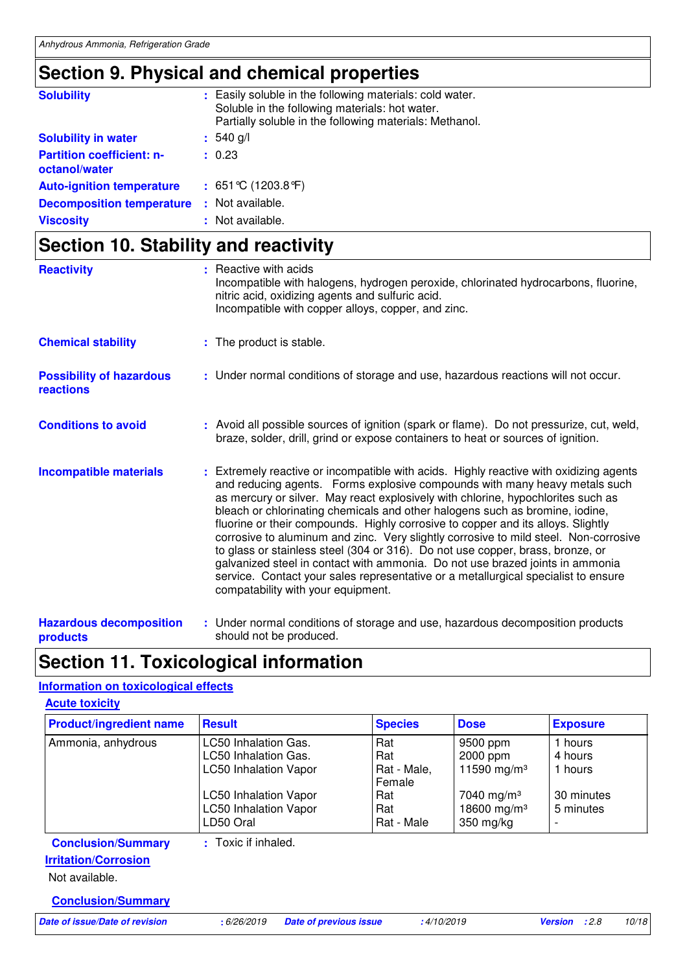## **Section 9. Physical and chemical properties**

| <b>Solubility</b>                                 | : Easily soluble in the following materials: cold water.<br>Soluble in the following materials: hot water.<br>Partially soluble in the following materials: Methanol. |
|---------------------------------------------------|-----------------------------------------------------------------------------------------------------------------------------------------------------------------------|
| <b>Solubility in water</b>                        | $: 540$ g/l                                                                                                                                                           |
| <b>Partition coefficient: n-</b><br>octanol/water | : 0.23                                                                                                                                                                |
| <b>Auto-ignition temperature</b>                  | : $651^{\circ}$ C (1203.8 $^{\circ}$ F)                                                                                                                               |
| <b>Decomposition temperature</b>                  | : Not available.                                                                                                                                                      |
| <b>Viscosity</b>                                  | : Not available.                                                                                                                                                      |

## **Section 10. Stability and reactivity**

| <b>Reactivity</b>                                 | : Reactive with acids<br>Incompatible with halogens, hydrogen peroxide, chlorinated hydrocarbons, fluorine,<br>nitric acid, oxidizing agents and sulfuric acid.<br>Incompatible with copper alloys, copper, and zinc.                                                                                                                                                                                                                                                                                                                                                                                                                                                                                                                                                                                               |
|---------------------------------------------------|---------------------------------------------------------------------------------------------------------------------------------------------------------------------------------------------------------------------------------------------------------------------------------------------------------------------------------------------------------------------------------------------------------------------------------------------------------------------------------------------------------------------------------------------------------------------------------------------------------------------------------------------------------------------------------------------------------------------------------------------------------------------------------------------------------------------|
| <b>Chemical stability</b>                         | : The product is stable.                                                                                                                                                                                                                                                                                                                                                                                                                                                                                                                                                                                                                                                                                                                                                                                            |
| <b>Possibility of hazardous</b><br>reactions      | : Under normal conditions of storage and use, hazardous reactions will not occur.                                                                                                                                                                                                                                                                                                                                                                                                                                                                                                                                                                                                                                                                                                                                   |
| <b>Conditions to avoid</b>                        | : Avoid all possible sources of ignition (spark or flame). Do not pressurize, cut, weld,<br>braze, solder, drill, grind or expose containers to heat or sources of ignition.                                                                                                                                                                                                                                                                                                                                                                                                                                                                                                                                                                                                                                        |
| <b>Incompatible materials</b>                     | : Extremely reactive or incompatible with acids. Highly reactive with oxidizing agents<br>and reducing agents. Forms explosive compounds with many heavy metals such<br>as mercury or silver. May react explosively with chlorine, hypochlorites such as<br>bleach or chlorinating chemicals and other halogens such as bromine, iodine,<br>fluorine or their compounds. Highly corrosive to copper and its alloys. Slightly<br>corrosive to aluminum and zinc. Very slightly corrosive to mild steel. Non-corrosive<br>to glass or stainless steel (304 or 316). Do not use copper, brass, bronze, or<br>galvanized steel in contact with ammonia. Do not use brazed joints in ammonia<br>service. Contact your sales representative or a metallurgical specialist to ensure<br>compatability with your equipment. |
| <b>Hazardous decomposition</b><br><b>products</b> | : Under normal conditions of storage and use, hazardous decomposition products<br>should not be produced.                                                                                                                                                                                                                                                                                                                                                                                                                                                                                                                                                                                                                                                                                                           |

### **Section 11. Toxicological information**

### **Information on toxicological effects**

| <b>Acute toxicity</b>                                                                                   |                                                                                                                                                           |                                                                 |                                                                                                                   |                                                          |
|---------------------------------------------------------------------------------------------------------|-----------------------------------------------------------------------------------------------------------------------------------------------------------|-----------------------------------------------------------------|-------------------------------------------------------------------------------------------------------------------|----------------------------------------------------------|
| <b>Product/ingredient name</b>                                                                          | <b>Result</b>                                                                                                                                             | <b>Species</b>                                                  | <b>Dose</b>                                                                                                       | <b>Exposure</b>                                          |
| Ammonia, anhydrous                                                                                      | LC50 Inhalation Gas.<br>LC50 Inhalation Gas.<br><b>LC50 Inhalation Vapor</b><br><b>LC50 Inhalation Vapor</b><br><b>LC50 Inhalation Vapor</b><br>LD50 Oral | Rat<br>Rat<br>Rat - Male,<br>Female<br>Rat<br>Rat<br>Rat - Male | 9500 ppm<br>2000 ppm<br>11590 mg/m <sup>3</sup><br>7040 mg/m <sup>3</sup><br>18600 mg/m <sup>3</sup><br>350 mg/kg | 1 hours<br>4 hours<br>1 hours<br>30 minutes<br>5 minutes |
| <b>Conclusion/Summary</b><br><b>Irritation/Corrosion</b><br>Not available.<br><b>Conclusion/Summary</b> | : Toxic if inhaled.                                                                                                                                       |                                                                 |                                                                                                                   |                                                          |

**Date of issue/Date of revision :** 6/26/2019 **Date of previous issue :** 4/10/2019 **Version :** 2.8 10/18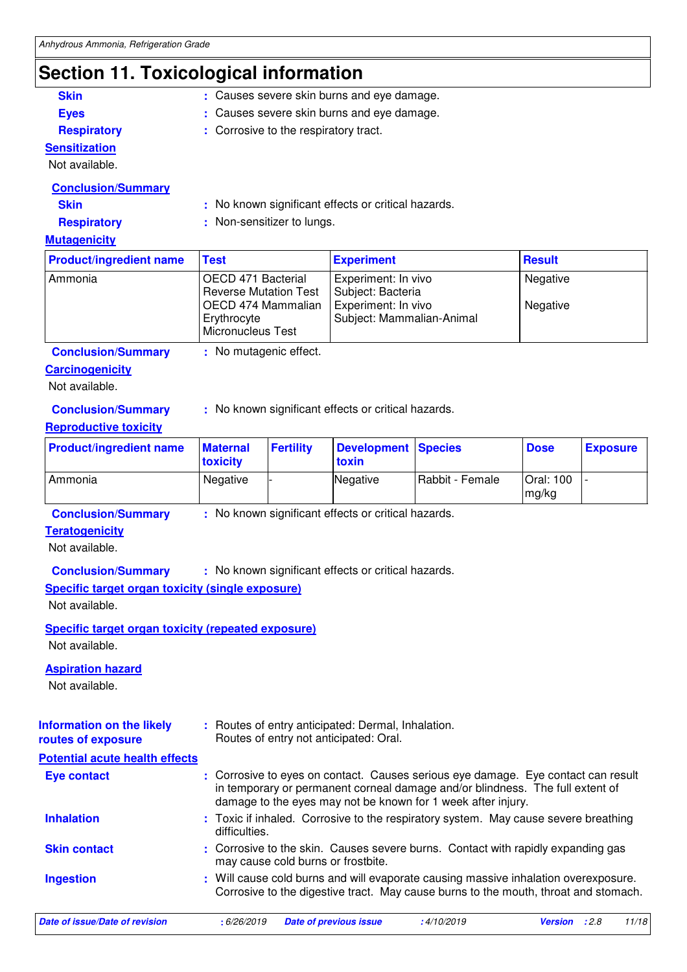## **Section 11. Toxicological information**

| <b>Skin</b>                                               | : Causes severe skin burns and eye damage.                                                                                                                                  |                                                                                                                                                     |                                                                                              |                                                                                   |                    |                 |
|-----------------------------------------------------------|-----------------------------------------------------------------------------------------------------------------------------------------------------------------------------|-----------------------------------------------------------------------------------------------------------------------------------------------------|----------------------------------------------------------------------------------------------|-----------------------------------------------------------------------------------|--------------------|-----------------|
| <b>Eyes</b>                                               |                                                                                                                                                                             | Causes severe skin burns and eye damage.                                                                                                            |                                                                                              |                                                                                   |                    |                 |
| <b>Respiratory</b>                                        |                                                                                                                                                                             | : Corrosive to the respiratory tract.                                                                                                               |                                                                                              |                                                                                   |                    |                 |
| <b>Sensitization</b>                                      |                                                                                                                                                                             |                                                                                                                                                     |                                                                                              |                                                                                   |                    |                 |
| Not available.                                            |                                                                                                                                                                             |                                                                                                                                                     |                                                                                              |                                                                                   |                    |                 |
| <b>Conclusion/Summary</b>                                 |                                                                                                                                                                             |                                                                                                                                                     |                                                                                              |                                                                                   |                    |                 |
| <b>Skin</b>                                               |                                                                                                                                                                             |                                                                                                                                                     | : No known significant effects or critical hazards.                                          |                                                                                   |                    |                 |
| <b>Respiratory</b>                                        |                                                                                                                                                                             | : Non-sensitizer to lungs.                                                                                                                          |                                                                                              |                                                                                   |                    |                 |
| <b>Mutagenicity</b>                                       |                                                                                                                                                                             |                                                                                                                                                     |                                                                                              |                                                                                   |                    |                 |
| <b>Product/ingredient name</b>                            | <b>Test</b>                                                                                                                                                                 |                                                                                                                                                     | <b>Experiment</b>                                                                            |                                                                                   | <b>Result</b>      |                 |
| Ammonia                                                   | OECD 471 Bacterial                                                                                                                                                          |                                                                                                                                                     | Experiment: In vivo                                                                          |                                                                                   | Negative           |                 |
|                                                           | <b>Reverse Mutation Test</b><br>Subject: Bacteria<br>OECD 474 Mammalian<br>Experiment: In vivo<br>Negative<br>Erythrocyte<br>Subject: Mammalian-Animal<br>Micronucleus Test |                                                                                                                                                     |                                                                                              |                                                                                   |                    |                 |
| <b>Conclusion/Summary</b>                                 | : No mutagenic effect.                                                                                                                                                      |                                                                                                                                                     |                                                                                              |                                                                                   |                    |                 |
| <b>Carcinogenicity</b>                                    |                                                                                                                                                                             |                                                                                                                                                     |                                                                                              |                                                                                   |                    |                 |
| Not available.                                            |                                                                                                                                                                             |                                                                                                                                                     |                                                                                              |                                                                                   |                    |                 |
|                                                           |                                                                                                                                                                             |                                                                                                                                                     |                                                                                              |                                                                                   |                    |                 |
| <b>Conclusion/Summary</b>                                 |                                                                                                                                                                             |                                                                                                                                                     | : No known significant effects or critical hazards.                                          |                                                                                   |                    |                 |
| <b>Reproductive toxicity</b>                              |                                                                                                                                                                             |                                                                                                                                                     |                                                                                              |                                                                                   |                    |                 |
| <b>Product/ingredient name</b>                            | <b>Maternal</b><br>toxicity                                                                                                                                                 | <b>Fertility</b>                                                                                                                                    | <b>Development</b><br>toxin                                                                  | <b>Species</b>                                                                    | <b>Dose</b>        | <b>Exposure</b> |
| Ammonia                                                   | Negative                                                                                                                                                                    |                                                                                                                                                     | Negative                                                                                     | Rabbit - Female                                                                   | Oral: 100<br>mg/kg |                 |
| <b>Conclusion/Summary</b>                                 |                                                                                                                                                                             |                                                                                                                                                     | : No known significant effects or critical hazards.                                          |                                                                                   |                    |                 |
| <b>Teratogenicity</b>                                     |                                                                                                                                                                             |                                                                                                                                                     |                                                                                              |                                                                                   |                    |                 |
| Not available.                                            |                                                                                                                                                                             |                                                                                                                                                     |                                                                                              |                                                                                   |                    |                 |
| <b>Conclusion/Summary</b>                                 |                                                                                                                                                                             |                                                                                                                                                     | : No known significant effects or critical hazards.                                          |                                                                                   |                    |                 |
| <b>Specific target organ toxicity (single exposure)</b>   |                                                                                                                                                                             |                                                                                                                                                     |                                                                                              |                                                                                   |                    |                 |
| Not available.                                            |                                                                                                                                                                             |                                                                                                                                                     |                                                                                              |                                                                                   |                    |                 |
| <b>Specific target organ toxicity (repeated exposure)</b> |                                                                                                                                                                             |                                                                                                                                                     |                                                                                              |                                                                                   |                    |                 |
| Not available.                                            |                                                                                                                                                                             |                                                                                                                                                     |                                                                                              |                                                                                   |                    |                 |
| <b>Aspiration hazard</b>                                  |                                                                                                                                                                             |                                                                                                                                                     |                                                                                              |                                                                                   |                    |                 |
| Not available.                                            |                                                                                                                                                                             |                                                                                                                                                     |                                                                                              |                                                                                   |                    |                 |
|                                                           |                                                                                                                                                                             |                                                                                                                                                     |                                                                                              |                                                                                   |                    |                 |
| <b>Information on the likely</b><br>routes of exposure    |                                                                                                                                                                             |                                                                                                                                                     | : Routes of entry anticipated: Dermal, Inhalation.<br>Routes of entry not anticipated: Oral. |                                                                                   |                    |                 |
| <b>Potential acute health effects</b>                     |                                                                                                                                                                             |                                                                                                                                                     |                                                                                              |                                                                                   |                    |                 |
| <b>Eye contact</b>                                        |                                                                                                                                                                             |                                                                                                                                                     |                                                                                              | : Corrosive to eyes on contact. Causes serious eye damage. Eye contact can result |                    |                 |
|                                                           |                                                                                                                                                                             |                                                                                                                                                     |                                                                                              | in temporary or permanent corneal damage and/or blindness. The full extent of     |                    |                 |
| <b>Inhalation</b>                                         | difficulties.                                                                                                                                                               | damage to the eyes may not be known for 1 week after injury.<br>: Toxic if inhaled. Corrosive to the respiratory system. May cause severe breathing |                                                                                              |                                                                                   |                    |                 |
| <b>Skin contact</b>                                       |                                                                                                                                                                             | : Corrosive to the skin. Causes severe burns. Contact with rapidly expanding gas<br>may cause cold burns or frostbite.                              |                                                                                              |                                                                                   |                    |                 |
|                                                           |                                                                                                                                                                             |                                                                                                                                                     |                                                                                              |                                                                                   |                    |                 |

Will cause cold burns and will evaporate causing massive inhalation overexposure. Corrosive to the digestive tract. May cause burns to the mouth, throat and stomach. **Ingestion :**

| Date of issue/Date of revision |  |  |
|--------------------------------|--|--|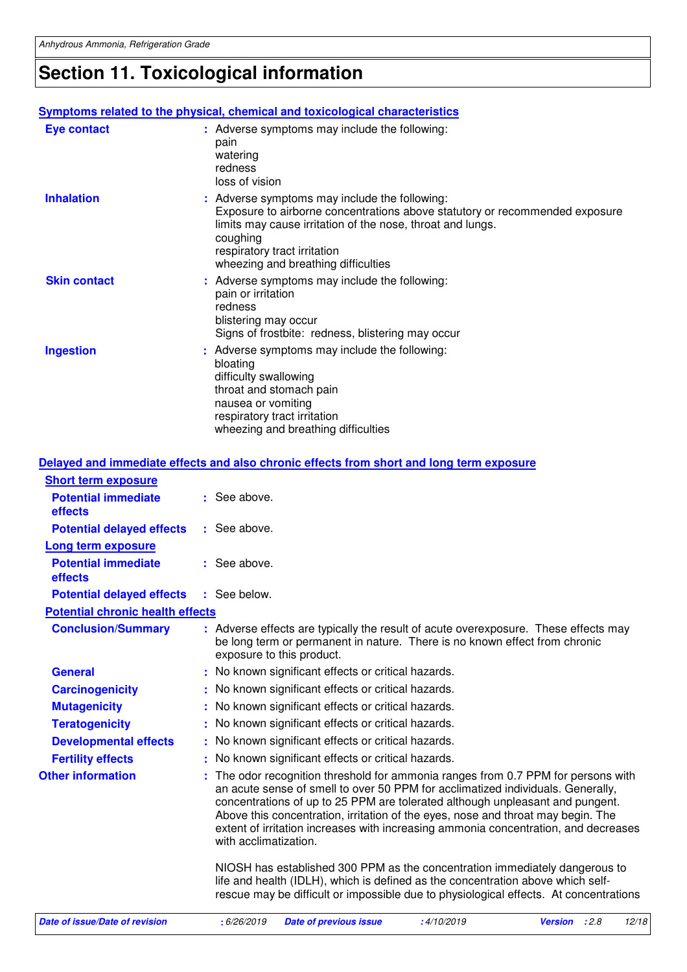## **Section 11. Toxicological information**

|                     | Symptoms related to the physical, chemical and toxicological characteristics                                                                                                                                                                                                  |
|---------------------|-------------------------------------------------------------------------------------------------------------------------------------------------------------------------------------------------------------------------------------------------------------------------------|
| <b>Eye contact</b>  | : Adverse symptoms may include the following:<br>pain<br>watering<br>redness<br>loss of vision                                                                                                                                                                                |
| <b>Inhalation</b>   | : Adverse symptoms may include the following:<br>Exposure to airborne concentrations above statutory or recommended exposure<br>limits may cause irritation of the nose, throat and lungs.<br>coughing<br>respiratory tract irritation<br>wheezing and breathing difficulties |
| <b>Skin contact</b> | : Adverse symptoms may include the following:<br>pain or irritation<br>redness<br>blistering may occur<br>Signs of frostbite: redness, blistering may occur                                                                                                                   |
| <b>Ingestion</b>    | : Adverse symptoms may include the following:<br>bloating<br>difficulty swallowing<br>throat and stomach pain<br>nausea or vomiting<br>respiratory tract irritation<br>wheezing and breathing difficulties                                                                    |

|                                         | Delayed and immediate effects and also chronic effects from short and long term exposure                                                                                                                                                                                                                                                                                                                                                                |
|-----------------------------------------|---------------------------------------------------------------------------------------------------------------------------------------------------------------------------------------------------------------------------------------------------------------------------------------------------------------------------------------------------------------------------------------------------------------------------------------------------------|
| <b>Short term exposure</b>              |                                                                                                                                                                                                                                                                                                                                                                                                                                                         |
| <b>Potential immediate</b><br>effects   | : See above.                                                                                                                                                                                                                                                                                                                                                                                                                                            |
| <b>Potential delayed effects</b>        | : See above.                                                                                                                                                                                                                                                                                                                                                                                                                                            |
| <b>Long term exposure</b>               |                                                                                                                                                                                                                                                                                                                                                                                                                                                         |
| <b>Potential immediate</b><br>effects   | : See above.                                                                                                                                                                                                                                                                                                                                                                                                                                            |
| <b>Potential delayed effects</b>        | : See below.                                                                                                                                                                                                                                                                                                                                                                                                                                            |
| <b>Potential chronic health effects</b> |                                                                                                                                                                                                                                                                                                                                                                                                                                                         |
| <b>Conclusion/Summary</b>               | : Adverse effects are typically the result of acute overexposure. These effects may<br>be long term or permanent in nature. There is no known effect from chronic<br>exposure to this product.                                                                                                                                                                                                                                                          |
| <b>General</b>                          | : No known significant effects or critical hazards.                                                                                                                                                                                                                                                                                                                                                                                                     |
| <b>Carcinogenicity</b>                  | No known significant effects or critical hazards.                                                                                                                                                                                                                                                                                                                                                                                                       |
| <b>Mutagenicity</b>                     | : No known significant effects or critical hazards.                                                                                                                                                                                                                                                                                                                                                                                                     |
| <b>Teratogenicity</b>                   | No known significant effects or critical hazards.                                                                                                                                                                                                                                                                                                                                                                                                       |
| <b>Developmental effects</b>            | : No known significant effects or critical hazards.                                                                                                                                                                                                                                                                                                                                                                                                     |
| <b>Fertility effects</b>                | : No known significant effects or critical hazards.                                                                                                                                                                                                                                                                                                                                                                                                     |
| <b>Other information</b>                | The odor recognition threshold for ammonia ranges from 0.7 PPM for persons with<br>an acute sense of smell to over 50 PPM for acclimatized individuals. Generally,<br>concentrations of up to 25 PPM are tolerated although unpleasant and pungent.<br>Above this concentration, irritation of the eyes, nose and throat may begin. The<br>extent of irritation increases with increasing ammonia concentration, and decreases<br>with acclimatization. |
|                                         | NIOSH has established 300 PPM as the concentration immediately dangerous to<br>life and health (IDLH), which is defined as the concentration above which self-<br>rescue may be difficult or impossible due to physiological effects. At concentrations                                                                                                                                                                                                 |
| Date of issue/Date of revision          | : 6/26/2019<br>:4/10/2019<br>12/18<br><b>Date of previous issue</b><br><b>Version</b><br>: 2.8                                                                                                                                                                                                                                                                                                                                                          |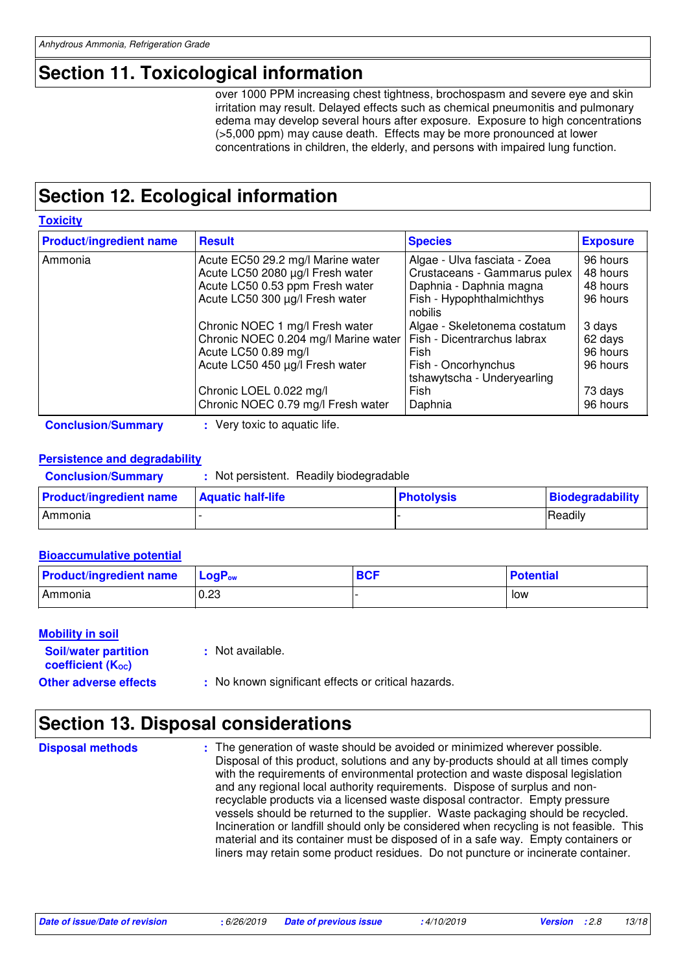## **Section 11. Toxicological information**

over 1000 PPM increasing chest tightness, brochospasm and severe eye and skin irritation may result. Delayed effects such as chemical pneumonitis and pulmonary edema may develop several hours after exposure. Exposure to high concentrations (>5,000 ppm) may cause death. Effects may be more pronounced at lower concentrations in children, the elderly, and persons with impaired lung function.

## **Section 12. Ecological information**

**Toxicity** Ammonia  $|$ Acute EC50 29.2 mg/l Marine water  $|$  Algae - Ulva fasciata - Zoea  $|$  96 hours Acute LC50 2080 µg/l Fresh water  $\vert$  Crustaceans - Gammarus pulex  $\vert$  48 hours Acute LC50 0.53 ppm Fresh water | Daphnia - Daphnia magna | 48 hours Acute LC50 300  $\mu$ g/l Fresh water Fish - Hypophthalmichthys nobilis 96 hours Chronic NOEC 1 mg/l Fresh water Algae - Skeletonema costatum 3 days<br>Chronic NOEC 0.204 mg/l Marine water Fish - Dicentrarchus labrax 62 day Chronic NOEC 0.204 mg/l Marine water Fish - Dicentrarchus labrax 62 days<br>Acute LC50 0.89 mg/l Fish Fish Acute LC50 0.89 mg/l Fish Fish 96 hours Acute LC50 450  $\mu$ g/l Fresh water Fish - Oncorhynchus tshawytscha - Underyearling 96 hours Chronic LOEL 0.022 mg/l Fish 73 days Chronic NOEC 0.79 mg/l Fresh water | Daphnia | 96 hours **Product/ingredient name** Result **Result Result Exposure Exposure** 

**Conclusion/Summary :** Very toxic to aquatic life.

### **Persistence and degradability**

| <b>Conclusion/Summary</b>      | Not persistent. Readily biodegradable |                   |                         |
|--------------------------------|---------------------------------------|-------------------|-------------------------|
| <b>Product/ingredient name</b> | <b>Aquatic half-life</b>              | <b>Photolysis</b> | <b>Biodegradability</b> |
| Ammonia                        |                                       |                   | Readily                 |

### **Bioaccumulative potential**

| <b>Product/ingredient name</b> | $\blacksquare$ LogP <sub>ow</sub> | <b>BCF</b> | <b>Potential</b> |
|--------------------------------|-----------------------------------|------------|------------------|
| Ammonia                        | 0.23                              |            | low              |

### **Mobility in soil**

| <b>Soil/water partition</b>    | : Not available.                                    |
|--------------------------------|-----------------------------------------------------|
| coefficient (K <sub>oc</sub> ) |                                                     |
| <b>Other adverse effects</b>   | : No known significant effects or critical hazards. |

### **Section 13. Disposal considerations**

: The generation of waste should be avoided or minimized wherever possible. Disposal of this product, solutions and any by-products should at all times comply with the requirements of environmental protection and waste disposal legislation and any regional local authority requirements. Dispose of surplus and nonrecyclable products via a licensed waste disposal contractor. Empty pressure vessels should be returned to the supplier. Waste packaging should be recycled. Incineration or landfill should only be considered when recycling is not feasible. This material and its container must be disposed of in a safe way. Empty containers or liners may retain some product residues. Do not puncture or incinerate container. **Disposal methods :**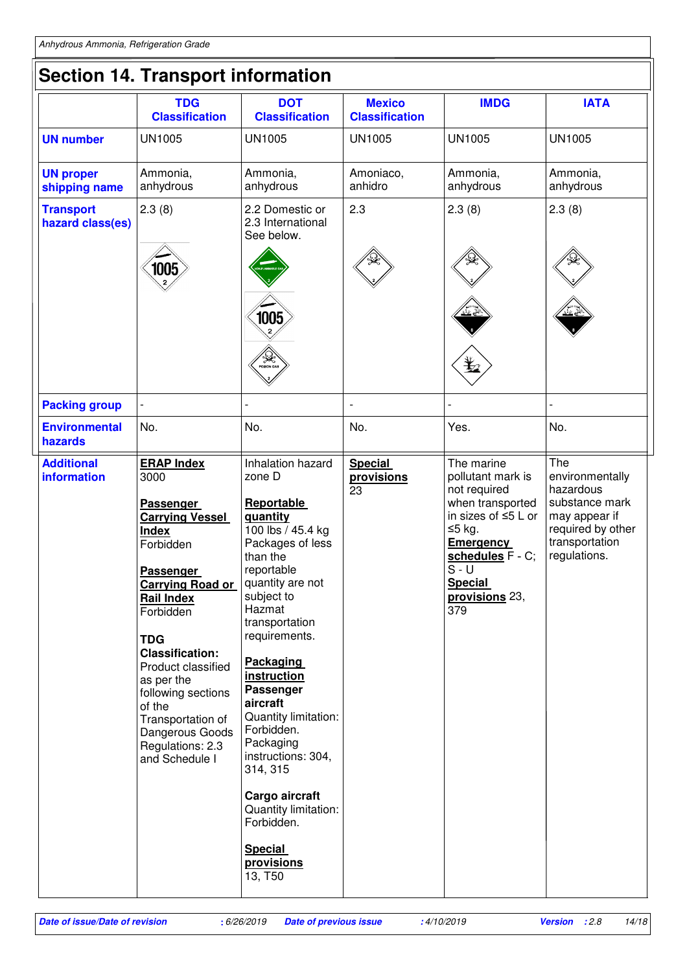|                                         | <b>TDG</b><br><b>Classification</b>                                                                                                                                                                                                                                                                                                                               | <b>DOT</b><br><b>Classification</b>                                                                                                                                                                                                                                                                                                                      | <b>Mexico</b><br><b>Classification</b> | <b>IMDG</b>                                                                                                                                                                                        | <b>IATA</b>                                                                                                                   |
|-----------------------------------------|-------------------------------------------------------------------------------------------------------------------------------------------------------------------------------------------------------------------------------------------------------------------------------------------------------------------------------------------------------------------|----------------------------------------------------------------------------------------------------------------------------------------------------------------------------------------------------------------------------------------------------------------------------------------------------------------------------------------------------------|----------------------------------------|----------------------------------------------------------------------------------------------------------------------------------------------------------------------------------------------------|-------------------------------------------------------------------------------------------------------------------------------|
| <b>UN number</b>                        | <b>UN1005</b>                                                                                                                                                                                                                                                                                                                                                     | <b>UN1005</b>                                                                                                                                                                                                                                                                                                                                            | <b>UN1005</b>                          | <b>UN1005</b>                                                                                                                                                                                      | <b>UN1005</b>                                                                                                                 |
| <b>UN proper</b><br>shipping name       | Ammonia,<br>anhydrous                                                                                                                                                                                                                                                                                                                                             | Ammonia,<br>anhydrous                                                                                                                                                                                                                                                                                                                                    | Amoniaco,<br>anhidro                   | Ammonia,<br>anhydrous                                                                                                                                                                              | Ammonia,<br>anhydrous                                                                                                         |
| <b>Transport</b><br>hazard class(es)    | 2.3(8)                                                                                                                                                                                                                                                                                                                                                            | 2.2 Domestic or<br>2.3 International<br>See below.                                                                                                                                                                                                                                                                                                       | 2.3                                    | 2.3(8)                                                                                                                                                                                             | 2.3(8)                                                                                                                        |
|                                         | 1005                                                                                                                                                                                                                                                                                                                                                              | 1005<br><b>Ayya</b><br>Poison GAS                                                                                                                                                                                                                                                                                                                        |                                        |                                                                                                                                                                                                    |                                                                                                                               |
| <b>Packing group</b>                    |                                                                                                                                                                                                                                                                                                                                                                   |                                                                                                                                                                                                                                                                                                                                                          | $\overline{\phantom{a}}$               |                                                                                                                                                                                                    |                                                                                                                               |
| <b>Environmental</b><br>hazards         | No.                                                                                                                                                                                                                                                                                                                                                               | No.                                                                                                                                                                                                                                                                                                                                                      | No.                                    | Yes.                                                                                                                                                                                               | No.                                                                                                                           |
| <b>Additional</b><br><b>information</b> | <b>ERAP Index</b><br>3000<br>Passenger<br><b>Carrying Vessel</b><br><b>Index</b><br>Forbidden<br>Passenger<br><b>Carrying Road or</b><br><b>Rail Index</b><br>Forbidden<br><b>TDG</b><br><b>Classification:</b><br>Product classified<br>as per the<br>following sections<br>of the<br>Transportation of<br>Dangerous Goods<br>Regulations: 2.3<br>and Schedule I | Inhalation hazard<br>zone D<br>Reportable<br>quantity<br>100 lbs / 45.4 kg<br>Packages of less<br>than the<br>reportable<br>quantity are not<br>subject to<br>Hazmat<br>transportation<br>requirements.<br><b>Packaging</b><br>instruction<br>Passenger<br>aircraft<br>Quantity limitation:<br>Forbidden.<br>Packaging<br>instructions: 304,<br>314, 315 | <b>Special</b><br>provisions<br>23     | The marine<br>pollutant mark is<br>not required<br>when transported<br>in sizes of ≤5 L or<br>≤5 kg.<br><b>Emergency</b><br>schedules F - C;<br>$S - U$<br><b>Special</b><br>provisions 23,<br>379 | The<br>environmentally<br>hazardous<br>substance mark<br>may appear if<br>required by other<br>transportation<br>regulations. |
|                                         |                                                                                                                                                                                                                                                                                                                                                                   | Cargo aircraft<br>Quantity limitation:<br>Forbidden.                                                                                                                                                                                                                                                                                                     |                                        |                                                                                                                                                                                                    |                                                                                                                               |
|                                         |                                                                                                                                                                                                                                                                                                                                                                   | <b>Special</b><br>provisions<br>13, T50                                                                                                                                                                                                                                                                                                                  |                                        |                                                                                                                                                                                                    |                                                                                                                               |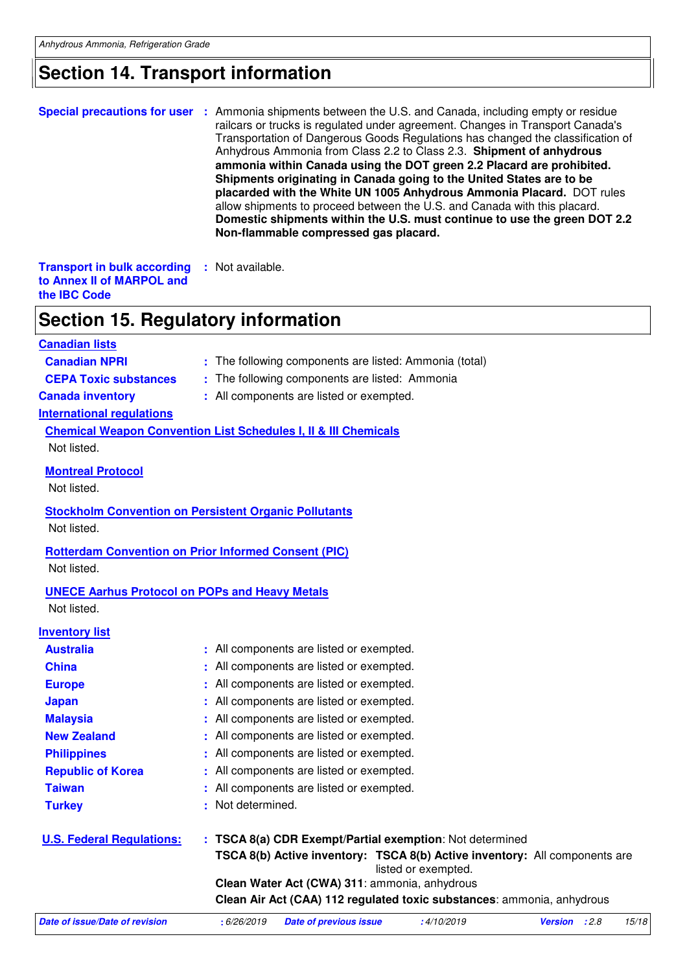## **Section 14. Transport information**

|                                                                                                                                                             | <b>Special precautions for user</b> : Ammonia shipments between the U.S. and Canada, including empty or residue<br>railcars or trucks is regulated under agreement. Changes in Transport Canada's<br>Transportation of Dangerous Goods Regulations has changed the classification of<br>Anhydrous Ammonia from Class 2.2 to Class 2.3. Shipment of anhydrous<br>ammonia within Canada using the DOT green 2.2 Placard are prohibited.<br>Shipments originating in Canada going to the United States are to be<br>placarded with the White UN 1005 Anhydrous Ammonia Placard. DOT rules<br>allow shipments to proceed between the U.S. and Canada with this placard.<br>Domestic shipments within the U.S. must continue to use the green DOT 2.2<br>Non-flammable compressed gas placard. |
|-------------------------------------------------------------------------------------------------------------------------------------------------------------|-------------------------------------------------------------------------------------------------------------------------------------------------------------------------------------------------------------------------------------------------------------------------------------------------------------------------------------------------------------------------------------------------------------------------------------------------------------------------------------------------------------------------------------------------------------------------------------------------------------------------------------------------------------------------------------------------------------------------------------------------------------------------------------------|
| <b>Transport in bulk according</b><br>to Annex II of MARPOL and<br>the <b>IBC</b> Code                                                                      | : Not available.                                                                                                                                                                                                                                                                                                                                                                                                                                                                                                                                                                                                                                                                                                                                                                          |
| Section 15. Regulatory information                                                                                                                          |                                                                                                                                                                                                                                                                                                                                                                                                                                                                                                                                                                                                                                                                                                                                                                                           |
| <b>Canadian lists</b><br><b>Canadian NPRI</b><br><b>CEPA Toxic substances</b><br><b>Canada inventory</b><br><b>International regulations</b><br>Not listed. | : The following components are listed: Ammonia (total)<br>: The following components are listed: Ammonia<br>: All components are listed or exempted.<br><b>Chemical Weapon Convention List Schedules I, II &amp; III Chemicals</b>                                                                                                                                                                                                                                                                                                                                                                                                                                                                                                                                                        |
| <b>Montreal Protocol</b><br>Not listed.                                                                                                                     |                                                                                                                                                                                                                                                                                                                                                                                                                                                                                                                                                                                                                                                                                                                                                                                           |
| <b>Stockholm Convention on Persistent Organic Pollutants</b><br>Not listed.                                                                                 |                                                                                                                                                                                                                                                                                                                                                                                                                                                                                                                                                                                                                                                                                                                                                                                           |
| <b>Rotterdam Convention on Prior Informed Consent (PIC)</b><br>Not listed.                                                                                  |                                                                                                                                                                                                                                                                                                                                                                                                                                                                                                                                                                                                                                                                                                                                                                                           |
| <b>UNECE Aarhus Protocol on POPs and Heavy Metals</b><br>Not listed.                                                                                        |                                                                                                                                                                                                                                                                                                                                                                                                                                                                                                                                                                                                                                                                                                                                                                                           |
| <b>Inventory list</b>                                                                                                                                       |                                                                                                                                                                                                                                                                                                                                                                                                                                                                                                                                                                                                                                                                                                                                                                                           |
| <b>Australia</b>                                                                                                                                            | All components are listed or exempted.                                                                                                                                                                                                                                                                                                                                                                                                                                                                                                                                                                                                                                                                                                                                                    |
| <b>China</b>                                                                                                                                                | All components are listed or exempted.                                                                                                                                                                                                                                                                                                                                                                                                                                                                                                                                                                                                                                                                                                                                                    |
| <b>Europe</b>                                                                                                                                               | All components are listed or exempted.                                                                                                                                                                                                                                                                                                                                                                                                                                                                                                                                                                                                                                                                                                                                                    |
| <b>Japan</b>                                                                                                                                                | All components are listed or exempted.                                                                                                                                                                                                                                                                                                                                                                                                                                                                                                                                                                                                                                                                                                                                                    |
| <b>Malaysia</b>                                                                                                                                             | All components are listed or exempted.                                                                                                                                                                                                                                                                                                                                                                                                                                                                                                                                                                                                                                                                                                                                                    |
| <b>New Zealand</b>                                                                                                                                          | All components are listed or exempted.                                                                                                                                                                                                                                                                                                                                                                                                                                                                                                                                                                                                                                                                                                                                                    |
| <b>Philippines</b>                                                                                                                                          | All components are listed or exempted.                                                                                                                                                                                                                                                                                                                                                                                                                                                                                                                                                                                                                                                                                                                                                    |
| <b>Republic of Korea</b>                                                                                                                                    | All components are listed or exempted.                                                                                                                                                                                                                                                                                                                                                                                                                                                                                                                                                                                                                                                                                                                                                    |
| <b>Taiwan</b>                                                                                                                                               | All components are listed or exempted.                                                                                                                                                                                                                                                                                                                                                                                                                                                                                                                                                                                                                                                                                                                                                    |
| <b>Turkey</b>                                                                                                                                               | Not determined.                                                                                                                                                                                                                                                                                                                                                                                                                                                                                                                                                                                                                                                                                                                                                                           |
| <b>U.S. Federal Regulations:</b>                                                                                                                            | : TSCA 8(a) CDR Exempt/Partial exemption: Not determined<br>TSCA 8(b) Active inventory: TSCA 8(b) Active inventory: All components are                                                                                                                                                                                                                                                                                                                                                                                                                                                                                                                                                                                                                                                    |
|                                                                                                                                                             | listed or exempted.                                                                                                                                                                                                                                                                                                                                                                                                                                                                                                                                                                                                                                                                                                                                                                       |
|                                                                                                                                                             | Clean Water Act (CWA) 311: ammonia, anhydrous                                                                                                                                                                                                                                                                                                                                                                                                                                                                                                                                                                                                                                                                                                                                             |
|                                                                                                                                                             | Clean Air Act (CAA) 112 regulated toxic substances: ammonia, anhydrous                                                                                                                                                                                                                                                                                                                                                                                                                                                                                                                                                                                                                                                                                                                    |

**Date of issue/Date of revision :** 6/26/2019 **Date of previous issue :** 4/10/2019 **Version :** 2.8 15/18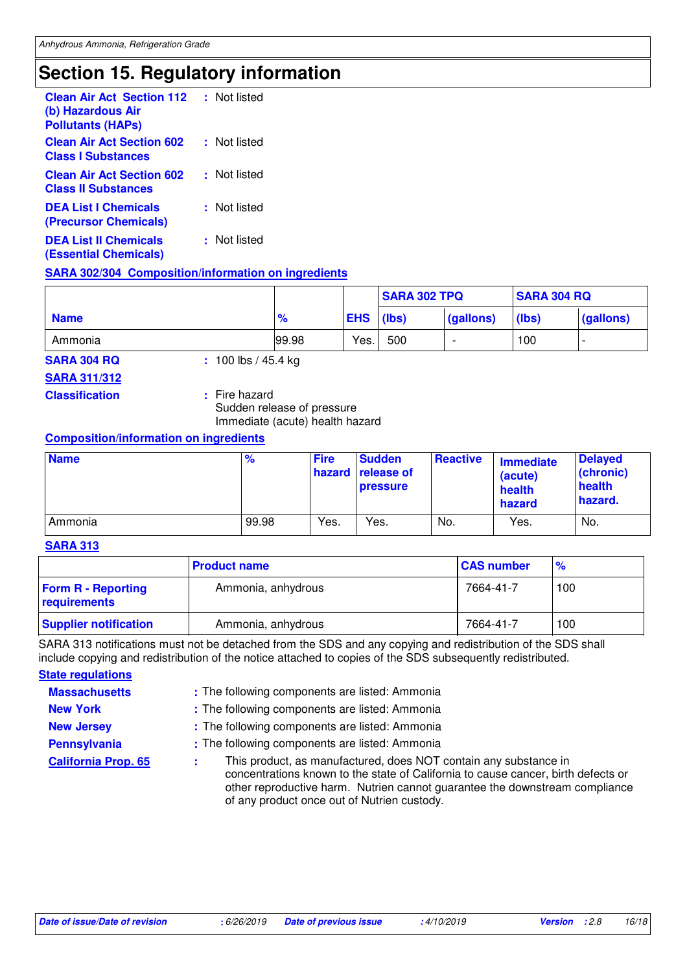## **Section 15. Regulatory information**

| <b>Clean Air Act Section 112</b><br>(b) Hazardous Air<br><b>Pollutants (HAPs)</b> | : Not listed |
|-----------------------------------------------------------------------------------|--------------|
| <b>Clean Air Act Section 602</b><br><b>Class I Substances</b>                     | : Not listed |
| <b>Clean Air Act Section 602</b><br><b>Class II Substances</b>                    | : Not listed |
| <b>DEA List I Chemicals</b><br>(Precursor Chemicals)                              | : Not listed |
| <b>DEA List II Chemicals</b><br><b>(Essential Chemicals)</b>                      | : Not listed |

#### **SARA 302/304 Composition/information on ingredients**

|             |               |            | <b>SARA 302 TPQ</b> |           | <b>SARA 304 RQ</b> |           |
|-------------|---------------|------------|---------------------|-----------|--------------------|-----------|
| <b>Name</b> | $\frac{9}{6}$ | <b>EHS</b> | (lbs)               | (gallons) | (lbs)              | (gallons) |
| Ammonia     | 99.98         | Yes.       | 500                 |           | 100                |           |

**SARA 304 RQ :** 100 lbs / 45.4 kg

#### **SARA 311/312**

**Classification :** Fire hazard

Sudden release of pressure Immediate (acute) health hazard

#### **Composition/information on ingredients**

| <b>Name</b> | %     | <b>Fire</b> | <b>Sudden</b><br><b>hazard release of</b><br><b>pressure</b> | <b>Reactive</b> | <b>Immediate</b><br>(acute)<br>health<br>hazard | <b>Delayed</b><br>(chronic)<br>health<br>hazard. |
|-------------|-------|-------------|--------------------------------------------------------------|-----------------|-------------------------------------------------|--------------------------------------------------|
| Ammonia     | 99.98 | Yes.        | Yes.                                                         | No.             | Yes.                                            | No.                                              |

#### **SARA 313**

|                                           | <b>Product name</b> | <b>CAS number</b> | $\frac{9}{6}$ |
|-------------------------------------------|---------------------|-------------------|---------------|
| <b>Form R - Reporting</b><br>requirements | Ammonia, anhydrous  | 7664-41-7         | 100           |
| <b>Supplier notification</b>              | Ammonia, anhydrous  | 7664-41-7         | 100           |

SARA 313 notifications must not be detached from the SDS and any copying and redistribution of the SDS shall include copying and redistribution of the notice attached to copies of the SDS subsequently redistributed.

**State regulations**

**Massachusetts :** The following components are listed: Ammonia

**New York :** The following components are listed: Ammonia

**New Jersey : The following components are listed: Ammonia** 

**Pennsylvania** : The following components are listed: Ammonia

**California Prop. 65** This product, as manufactured, does NOT contain any substance in concentrations known to the state of California to cause cancer, birth defects or other reproductive harm. Nutrien cannot guarantee the downstream compliance of any product once out of Nutrien custody. **:**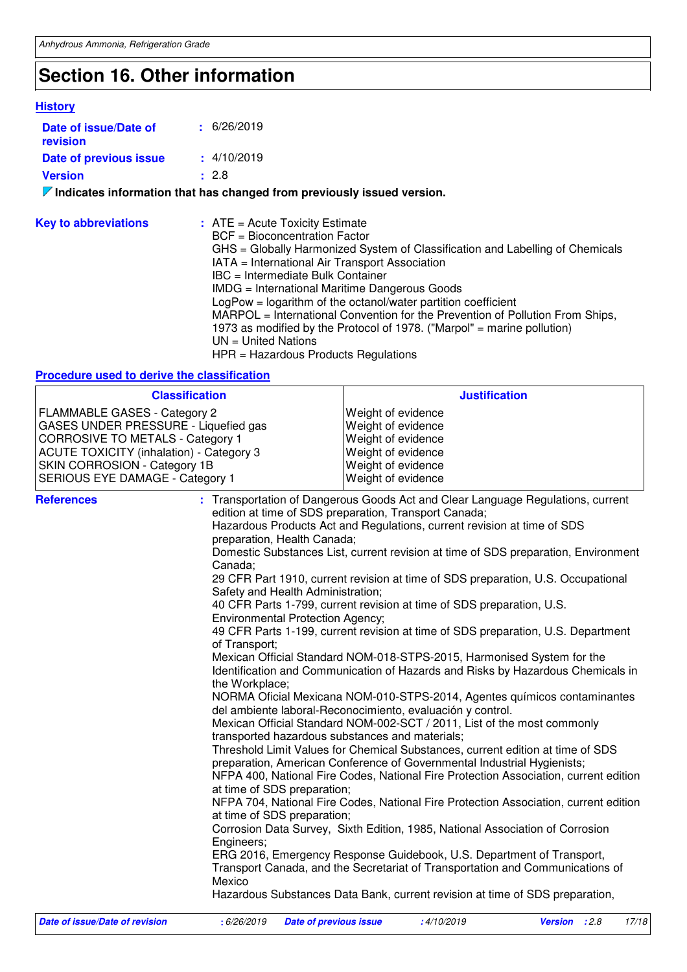## **Section 16. Other information**

#### **History**

| Date of issue/Date of<br>revision | $\pm$ 6/26/2019                                                                 |
|-----------------------------------|---------------------------------------------------------------------------------|
| Date of previous issue            | $\pm$ 4/10/2019                                                                 |
| <b>Version</b>                    | : 2.8                                                                           |
|                                   | $\nabla$ Indicates information that has changed from previously issued version. |
| <b>Key to abbreviations</b>       | $:$ ATE = Acute Toxicity Estimate                                               |

| <b>INCY TO GODI CYTOLIONS</b> |                                                                               |
|-------------------------------|-------------------------------------------------------------------------------|
|                               | BCF = Bioconcentration Factor                                                 |
|                               | GHS = Globally Harmonized System of Classification and Labelling of Chemicals |
|                               | IATA = International Air Transport Association                                |
|                               | IBC = Intermediate Bulk Container                                             |
|                               | IMDG = International Maritime Dangerous Goods                                 |
|                               | $LogPow = logarithm$ of the octanol/water partition coefficient               |
|                               | MARPOL = International Convention for the Prevention of Pollution From Ships, |
|                               | 1973 as modified by the Protocol of 1978. ("Marpol" = marine pollution)       |
|                               | $UN = United Nations$                                                         |
|                               | $HPR = \text{Hazardous Products Requirements}$                                |
|                               |                                                                               |

### **Procedure used to derive the classification**

| <b>Classification</b>                                                                                                                                                                                                                 |                                                                                                                                                                                                                                                 | <b>Justification</b>                                                                                                                                                                                                                                                                                                                                                                                                                                                                                                                                                                                                                                                                                                                                                                                                                                                                                                                                                                                                                                                                                                                                                                                                                                                                                                                                                                                                                                                                                                                                                                                                                                                    |
|---------------------------------------------------------------------------------------------------------------------------------------------------------------------------------------------------------------------------------------|-------------------------------------------------------------------------------------------------------------------------------------------------------------------------------------------------------------------------------------------------|-------------------------------------------------------------------------------------------------------------------------------------------------------------------------------------------------------------------------------------------------------------------------------------------------------------------------------------------------------------------------------------------------------------------------------------------------------------------------------------------------------------------------------------------------------------------------------------------------------------------------------------------------------------------------------------------------------------------------------------------------------------------------------------------------------------------------------------------------------------------------------------------------------------------------------------------------------------------------------------------------------------------------------------------------------------------------------------------------------------------------------------------------------------------------------------------------------------------------------------------------------------------------------------------------------------------------------------------------------------------------------------------------------------------------------------------------------------------------------------------------------------------------------------------------------------------------------------------------------------------------------------------------------------------------|
| FLAMMABLE GASES - Category 2<br>GASES UNDER PRESSURE - Liquefied gas<br><b>CORROSIVE TO METALS - Category 1</b><br><b>ACUTE TOXICITY (inhalation) - Category 3</b><br>SKIN CORROSION - Category 1B<br>SERIOUS EYE DAMAGE - Category 1 |                                                                                                                                                                                                                                                 | Weight of evidence<br>Weight of evidence<br>Weight of evidence<br>Weight of evidence<br>Weight of evidence<br>Weight of evidence                                                                                                                                                                                                                                                                                                                                                                                                                                                                                                                                                                                                                                                                                                                                                                                                                                                                                                                                                                                                                                                                                                                                                                                                                                                                                                                                                                                                                                                                                                                                        |
| <b>References</b>                                                                                                                                                                                                                     | preparation, Health Canada;<br>Canada;<br>Safety and Health Administration;<br><b>Environmental Protection Agency;</b><br>of Transport;<br>the Workplace;<br>at time of SDS preparation;<br>at time of SDS preparation;<br>Engineers;<br>Mexico | : Transportation of Dangerous Goods Act and Clear Language Regulations, current<br>edition at time of SDS preparation, Transport Canada;<br>Hazardous Products Act and Regulations, current revision at time of SDS<br>Domestic Substances List, current revision at time of SDS preparation, Environment<br>29 CFR Part 1910, current revision at time of SDS preparation, U.S. Occupational<br>40 CFR Parts 1-799, current revision at time of SDS preparation, U.S.<br>49 CFR Parts 1-199, current revision at time of SDS preparation, U.S. Department<br>Mexican Official Standard NOM-018-STPS-2015, Harmonised System for the<br>Identification and Communication of Hazards and Risks by Hazardous Chemicals in<br>NORMA Oficial Mexicana NOM-010-STPS-2014, Agentes químicos contaminantes<br>del ambiente laboral-Reconocimiento, evaluación y control.<br>Mexican Official Standard NOM-002-SCT / 2011, List of the most commonly<br>transported hazardous substances and materials;<br>Threshold Limit Values for Chemical Substances, current edition at time of SDS<br>preparation, American Conference of Governmental Industrial Hygienists;<br>NFPA 400, National Fire Codes, National Fire Protection Association, current edition<br>NFPA 704, National Fire Codes, National Fire Protection Association, current edition<br>Corrosion Data Survey, Sixth Edition, 1985, National Association of Corrosion<br>ERG 2016, Emergency Response Guidebook, U.S. Department of Transport,<br>Transport Canada, and the Secretariat of Transportation and Communications of<br>Hazardous Substances Data Bank, current revision at time of SDS preparation, |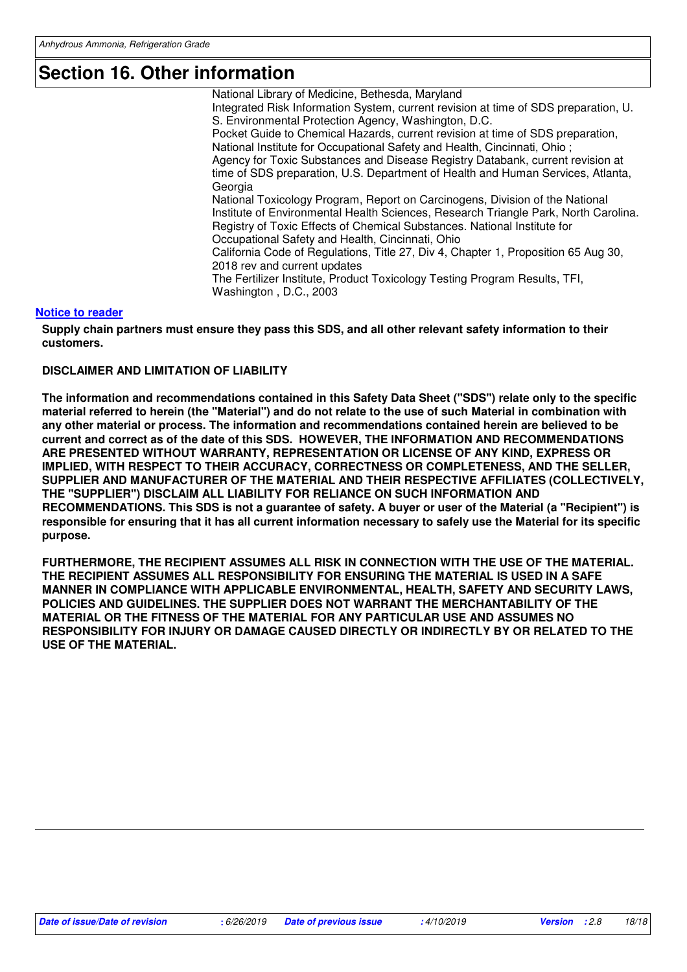### **Section 16. Other information**

National Library of Medicine, Bethesda, Maryland Integrated Risk Information System, current revision at time of SDS preparation, U. S. Environmental Protection Agency, Washington, D.C. Pocket Guide to Chemical Hazards, current revision at time of SDS preparation, National Institute for Occupational Safety and Health, Cincinnati, Ohio ; Agency for Toxic Substances and Disease Registry Databank, current revision at time of SDS preparation, U.S. Department of Health and Human Services, Atlanta, Georgia National Toxicology Program, Report on Carcinogens, Division of the National Institute of Environmental Health Sciences, Research Triangle Park, North Carolina. Registry of Toxic Effects of Chemical Substances. National Institute for Occupational Safety and Health, Cincinnati, Ohio California Code of Regulations, Title 27, Div 4, Chapter 1, Proposition 65 Aug 30, 2018 rev and current updates The Fertilizer Institute, Product Toxicology Testing Program Results, TFI, Washington , D.C., 2003

#### **Notice to reader**

**Supply chain partners must ensure they pass this SDS, and all other relevant safety information to their customers.**

#### **DISCLAIMER AND LIMITATION OF LIABILITY**

**The information and recommendations contained in this Safety Data Sheet ("SDS") relate only to the specific material referred to herein (the "Material") and do not relate to the use of such Material in combination with any other material or process. The information and recommendations contained herein are believed to be current and correct as of the date of this SDS. HOWEVER, THE INFORMATION AND RECOMMENDATIONS ARE PRESENTED WITHOUT WARRANTY, REPRESENTATION OR LICENSE OF ANY KIND, EXPRESS OR IMPLIED, WITH RESPECT TO THEIR ACCURACY, CORRECTNESS OR COMPLETENESS, AND THE SELLER, SUPPLIER AND MANUFACTURER OF THE MATERIAL AND THEIR RESPECTIVE AFFILIATES (COLLECTIVELY, THE "SUPPLIER") DISCLAIM ALL LIABILITY FOR RELIANCE ON SUCH INFORMATION AND RECOMMENDATIONS. This SDS is not a guarantee of safety. A buyer or user of the Material (a "Recipient") is responsible for ensuring that it has all current information necessary to safely use the Material for its specific purpose.**

**FURTHERMORE, THE RECIPIENT ASSUMES ALL RISK IN CONNECTION WITH THE USE OF THE MATERIAL. THE RECIPIENT ASSUMES ALL RESPONSIBILITY FOR ENSURING THE MATERIAL IS USED IN A SAFE MANNER IN COMPLIANCE WITH APPLICABLE ENVIRONMENTAL, HEALTH, SAFETY AND SECURITY LAWS, POLICIES AND GUIDELINES. THE SUPPLIER DOES NOT WARRANT THE MERCHANTABILITY OF THE MATERIAL OR THE FITNESS OF THE MATERIAL FOR ANY PARTICULAR USE AND ASSUMES NO RESPONSIBILITY FOR INJURY OR DAMAGE CAUSED DIRECTLY OR INDIRECTLY BY OR RELATED TO THE USE OF THE MATERIAL.**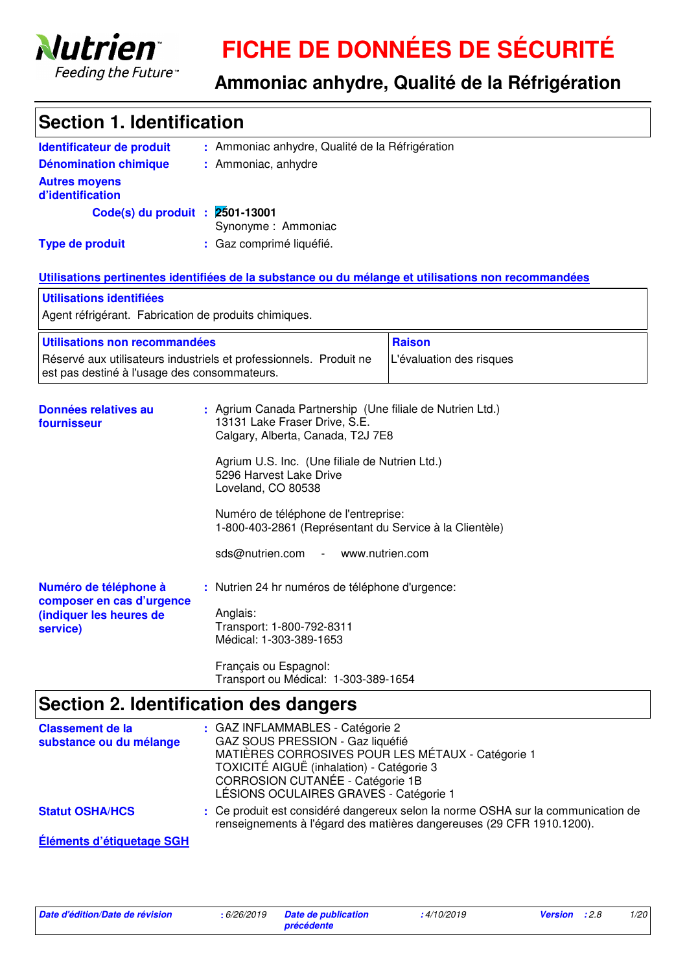

# **FICHE DE DONNÉES DE SÉCURITÉ**

## **Ammoniac anhydre, Qualité de la Réfrigération**

| <b>Section 1. Identification</b>                                                          |                                                                                                                                                                                                                                                                                                                                                                                                         |                                                                                                     |  |
|-------------------------------------------------------------------------------------------|---------------------------------------------------------------------------------------------------------------------------------------------------------------------------------------------------------------------------------------------------------------------------------------------------------------------------------------------------------------------------------------------------------|-----------------------------------------------------------------------------------------------------|--|
| Identificateur de produit                                                                 | : Ammoniac anhydre, Qualité de la Réfrigération                                                                                                                                                                                                                                                                                                                                                         |                                                                                                     |  |
| <b>Dénomination chimique</b>                                                              | : Ammoniac, anhydre                                                                                                                                                                                                                                                                                                                                                                                     |                                                                                                     |  |
| <b>Autres moyens</b><br>d'identification                                                  |                                                                                                                                                                                                                                                                                                                                                                                                         |                                                                                                     |  |
| Code(s) du produit : 2501-13001                                                           | Synonyme: Ammoniac                                                                                                                                                                                                                                                                                                                                                                                      |                                                                                                     |  |
| <b>Type de produit</b>                                                                    | : Gaz comprimé liquéfié.                                                                                                                                                                                                                                                                                                                                                                                |                                                                                                     |  |
|                                                                                           |                                                                                                                                                                                                                                                                                                                                                                                                         | Utilisations pertinentes identifiées de la substance ou du mélange et utilisations non recommandées |  |
| Utilisations identifiées                                                                  |                                                                                                                                                                                                                                                                                                                                                                                                         |                                                                                                     |  |
| Agent réfrigérant. Fabrication de produits chimiques.                                     |                                                                                                                                                                                                                                                                                                                                                                                                         |                                                                                                     |  |
| Utilisations non recommandées                                                             |                                                                                                                                                                                                                                                                                                                                                                                                         | <b>Raison</b>                                                                                       |  |
| est pas destiné à l'usage des consommateurs.                                              | Réservé aux utilisateurs industriels et professionnels. Produit ne                                                                                                                                                                                                                                                                                                                                      | L'évaluation des risques                                                                            |  |
| Données relatives au<br>fournisseur                                                       | : Agrium Canada Partnership (Une filiale de Nutrien Ltd.)<br>13131 Lake Fraser Drive, S.E.<br>Calgary, Alberta, Canada, T2J 7E8<br>Agrium U.S. Inc. (Une filiale de Nutrien Ltd.)<br>5296 Harvest Lake Drive<br>Loveland, CO 80538<br>Numéro de téléphone de l'entreprise:<br>1-800-403-2861 (Représentant du Service à la Clientèle)<br>sds@nutrien.com<br>www.nutrien.com<br>$\overline{\phantom{a}}$ |                                                                                                     |  |
| Numéro de téléphone à<br>composer en cas d'urgence<br>(indiquer les heures de<br>service) | : Nutrien 24 hr numéros de téléphone d'urgence:<br>Anglais:<br>Transport: 1-800-792-8311<br>Médical: 1-303-389-1653<br>Français ou Espagnol:<br>Transport ou Médical: 1-303-389-1654                                                                                                                                                                                                                    |                                                                                                     |  |
| Section 2. Identification des dangers                                                     |                                                                                                                                                                                                                                                                                                                                                                                                         |                                                                                                     |  |

|                                                    | <b>OCONION 4. INCHINIORION NOS MANUALES</b>                                                                                                                                                                                                          |
|----------------------------------------------------|------------------------------------------------------------------------------------------------------------------------------------------------------------------------------------------------------------------------------------------------------|
| <b>Classement de la</b><br>substance ou du mélange | : GAZ INFLAMMABLES - Catégorie 2<br>GAZ SOUS PRESSION - Gaz liquéfié<br>MATIÈRES CORROSIVES POUR LES MÉTAUX - Catégorie 1<br>TOXICITÉ AIGUË (inhalation) - Catégorie 3<br>CORROSION CUTANÉE - Catégorie 1B<br>LÉSIONS OCULAIRES GRAVES - Catégorie 1 |
| <b>Statut OSHA/HCS</b>                             | : Ce produit est considéré dangereux selon la norme OSHA sur la communication de<br>renseignements à l'égard des matières dangereuses (29 CFR 1910.1200).                                                                                            |
| Éléments d'étiquetage SGH                          |                                                                                                                                                                                                                                                      |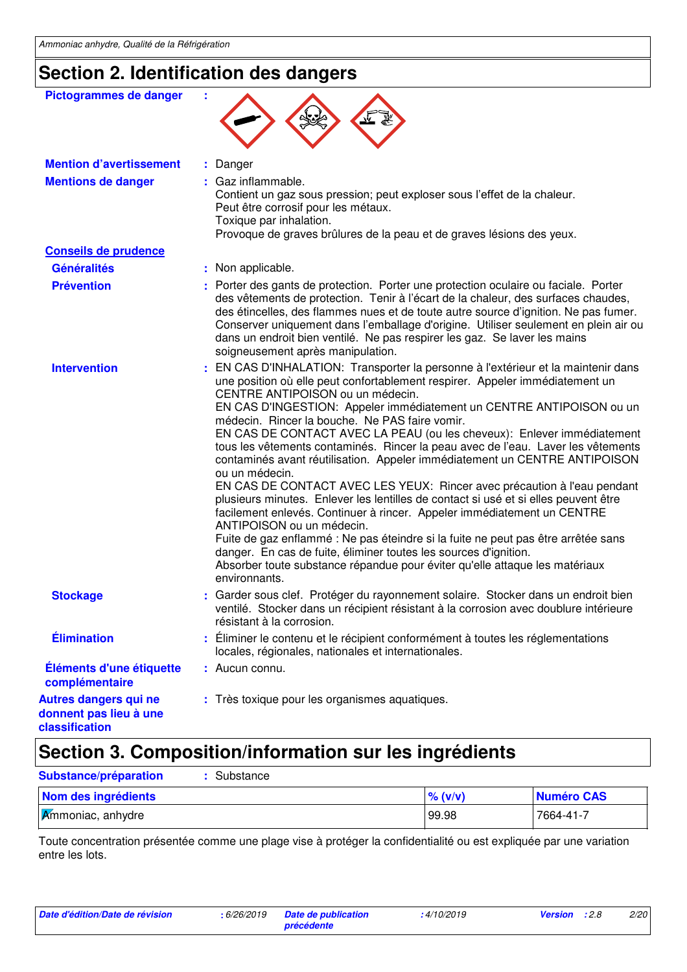## **Section 2. Identification des dangers**

| Pictogrammes de danger                                            | t                                                                                                                                                                                                                                                                                                                                                                                                                                                                                                                                                                                                                                                                                                                                                                                                                                                                                                                                                                                                                                                                                                                              |
|-------------------------------------------------------------------|--------------------------------------------------------------------------------------------------------------------------------------------------------------------------------------------------------------------------------------------------------------------------------------------------------------------------------------------------------------------------------------------------------------------------------------------------------------------------------------------------------------------------------------------------------------------------------------------------------------------------------------------------------------------------------------------------------------------------------------------------------------------------------------------------------------------------------------------------------------------------------------------------------------------------------------------------------------------------------------------------------------------------------------------------------------------------------------------------------------------------------|
| <b>Mention d'avertissement</b>                                    | : Danger                                                                                                                                                                                                                                                                                                                                                                                                                                                                                                                                                                                                                                                                                                                                                                                                                                                                                                                                                                                                                                                                                                                       |
| <b>Mentions de danger</b>                                         | : Gaz inflammable.<br>Contient un gaz sous pression; peut exploser sous l'effet de la chaleur.<br>Peut être corrosif pour les métaux.<br>Toxique par inhalation.<br>Provoque de graves brûlures de la peau et de graves lésions des yeux.                                                                                                                                                                                                                                                                                                                                                                                                                                                                                                                                                                                                                                                                                                                                                                                                                                                                                      |
| <b>Conseils de prudence</b>                                       |                                                                                                                                                                                                                                                                                                                                                                                                                                                                                                                                                                                                                                                                                                                                                                                                                                                                                                                                                                                                                                                                                                                                |
| <b>Généralités</b>                                                | : Non applicable.                                                                                                                                                                                                                                                                                                                                                                                                                                                                                                                                                                                                                                                                                                                                                                                                                                                                                                                                                                                                                                                                                                              |
| <b>Prévention</b>                                                 | : Porter des gants de protection. Porter une protection oculaire ou faciale. Porter<br>des vêtements de protection. Tenir à l'écart de la chaleur, des surfaces chaudes,<br>des étincelles, des flammes nues et de toute autre source d'ignition. Ne pas fumer.<br>Conserver uniquement dans l'emballage d'origine. Utiliser seulement en plein air ou<br>dans un endroit bien ventilé. Ne pas respirer les gaz. Se laver les mains<br>soigneusement après manipulation.                                                                                                                                                                                                                                                                                                                                                                                                                                                                                                                                                                                                                                                       |
| <b>Intervention</b>                                               | EN CAS D'INHALATION: Transporter la personne à l'extérieur et la maintenir dans<br>une position où elle peut confortablement respirer. Appeler immédiatement un<br>CENTRE ANTIPOISON ou un médecin.<br>EN CAS D'INGESTION: Appeler immédiatement un CENTRE ANTIPOISON ou un<br>médecin. Rincer la bouche. Ne PAS faire vomir.<br>EN CAS DE CONTACT AVEC LA PEAU (ou les cheveux): Enlever immédiatement<br>tous les vêtements contaminés. Rincer la peau avec de l'eau. Laver les vêtements<br>contaminés avant réutilisation. Appeler immédiatement un CENTRE ANTIPOISON<br>ou un médecin.<br>EN CAS DE CONTACT AVEC LES YEUX: Rincer avec précaution à l'eau pendant<br>plusieurs minutes. Enlever les lentilles de contact si usé et si elles peuvent être<br>facilement enlevés. Continuer à rincer. Appeler immédiatement un CENTRE<br>ANTIPOISON ou un médecin.<br>Fuite de gaz enflammé : Ne pas éteindre si la fuite ne peut pas être arrêtée sans<br>danger. En cas de fuite, éliminer toutes les sources d'ignition.<br>Absorber toute substance répandue pour éviter qu'elle attaque les matériaux<br>environnants. |
| <b>Stockage</b>                                                   | : Garder sous clef. Protéger du rayonnement solaire. Stocker dans un endroit bien<br>ventilé. Stocker dans un récipient résistant à la corrosion avec doublure intérieure<br>résistant à la corrosion.                                                                                                                                                                                                                                                                                                                                                                                                                                                                                                                                                                                                                                                                                                                                                                                                                                                                                                                         |
| <b>Élimination</b>                                                | Éliminer le contenu et le récipient conformément à toutes les réglementations<br>locales, régionales, nationales et internationales.                                                                                                                                                                                                                                                                                                                                                                                                                                                                                                                                                                                                                                                                                                                                                                                                                                                                                                                                                                                           |
| Éléments d'une étiquette<br>complémentaire                        | : Aucun connu.                                                                                                                                                                                                                                                                                                                                                                                                                                                                                                                                                                                                                                                                                                                                                                                                                                                                                                                                                                                                                                                                                                                 |
| Autres dangers qui ne<br>donnent pas lieu à une<br>classification | : Très toxique pour les organismes aquatiques.                                                                                                                                                                                                                                                                                                                                                                                                                                                                                                                                                                                                                                                                                                                                                                                                                                                                                                                                                                                                                                                                                 |

## **Section 3. Composition/information sur les ingrédients**

| Substance<br>Substance/préparation |            |            |
|------------------------------------|------------|------------|
| Nom des ingrédients                | $\%$ (v/v) | Numéro CAS |
| $\mathcal{K}$ mmoniac, anhydre     | 99.98      | 7664-41-7  |

Toute concentration présentée comme une plage vise à protéger la confidentialité ou est expliquée par une variation entre les lots.

| Date d'édition/Date de révision |  |  |  |  |  |  |  |
|---------------------------------|--|--|--|--|--|--|--|
|---------------------------------|--|--|--|--|--|--|--|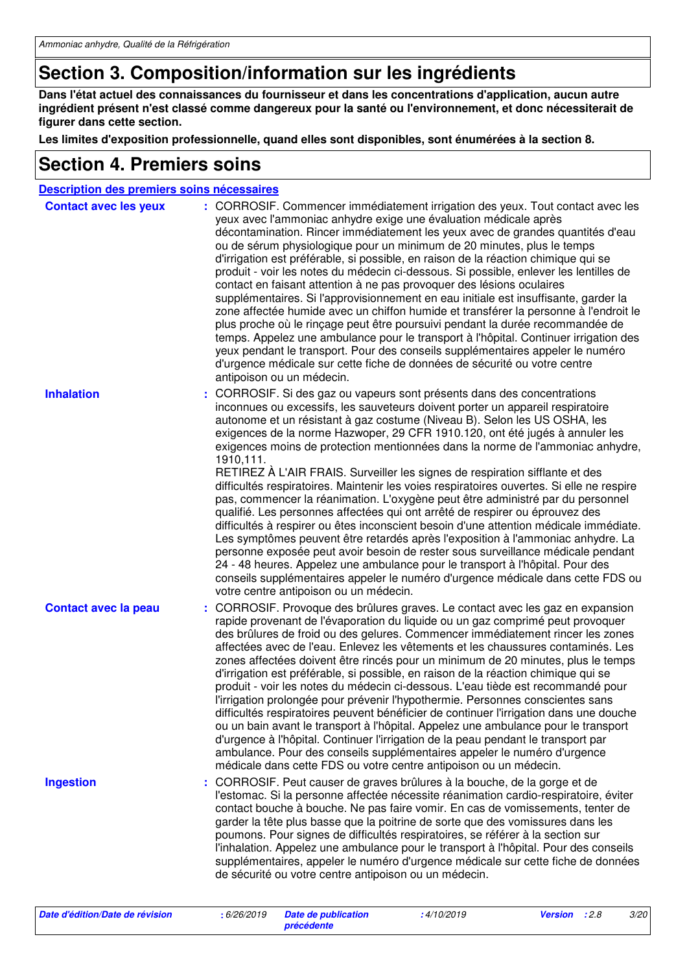## **Section 3. Composition/information sur les ingrédients**

**Dans l'état actuel des connaissances du fournisseur et dans les concentrations d'application, aucun autre ingrédient présent n'est classé comme dangereux pour la santé ou l'environnement, et donc nécessiterait de figurer dans cette section.**

**Les limites d'exposition professionnelle, quand elles sont disponibles, sont énumérées à la section 8.**

### **Section 4. Premiers soins**

| Description des premiers soins nécessaires |                                                                                                                                                                                                                                                                                                                                                                                                                                                                                                                                                                                                                                                                                                                                                                                                                                                                                                                                                                                                                                                                                                                                                                                                                                                 |
|--------------------------------------------|-------------------------------------------------------------------------------------------------------------------------------------------------------------------------------------------------------------------------------------------------------------------------------------------------------------------------------------------------------------------------------------------------------------------------------------------------------------------------------------------------------------------------------------------------------------------------------------------------------------------------------------------------------------------------------------------------------------------------------------------------------------------------------------------------------------------------------------------------------------------------------------------------------------------------------------------------------------------------------------------------------------------------------------------------------------------------------------------------------------------------------------------------------------------------------------------------------------------------------------------------|
| <b>Contact avec les yeux</b>               | : CORROSIF. Commencer immédiatement irrigation des yeux. Tout contact avec les<br>yeux avec l'ammoniac anhydre exige une évaluation médicale après<br>décontamination. Rincer immédiatement les yeux avec de grandes quantités d'eau<br>ou de sérum physiologique pour un minimum de 20 minutes, plus le temps<br>d'irrigation est préférable, si possible, en raison de la réaction chimique qui se<br>produit - voir les notes du médecin ci-dessous. Si possible, enlever les lentilles de<br>contact en faisant attention à ne pas provoquer des lésions oculaires<br>supplémentaires. Si l'approvisionnement en eau initiale est insuffisante, garder la<br>zone affectée humide avec un chiffon humide et transférer la personne à l'endroit le<br>plus proche où le rinçage peut être poursuivi pendant la durée recommandée de<br>temps. Appelez une ambulance pour le transport à l'hôpital. Continuer irrigation des<br>yeux pendant le transport. Pour des conseils supplémentaires appeler le numéro<br>d'urgence médicale sur cette fiche de données de sécurité ou votre centre<br>antipoison ou un médecin.                                                                                                                      |
| <b>Inhalation</b>                          | CORROSIF. Si des gaz ou vapeurs sont présents dans des concentrations<br>inconnues ou excessifs, les sauveteurs doivent porter un appareil respiratoire<br>autonome et un résistant à gaz costume (Niveau B). Selon les US OSHA, les<br>exigences de la norme Hazwoper, 29 CFR 1910.120, ont été jugés à annuler les<br>exigences moins de protection mentionnées dans la norme de l'ammoniac anhydre,<br>1910,111.<br>RETIREZ À L'AIR FRAIS. Surveiller les signes de respiration sifflante et des<br>difficultés respiratoires. Maintenir les voies respiratoires ouvertes. Si elle ne respire<br>pas, commencer la réanimation. L'oxygène peut être administré par du personnel<br>qualifié. Les personnes affectées qui ont arrêté de respirer ou éprouvez des<br>difficultés à respirer ou êtes inconscient besoin d'une attention médicale immédiate.<br>Les symptômes peuvent être retardés après l'exposition à l'ammoniac anhydre. La<br>personne exposée peut avoir besoin de rester sous surveillance médicale pendant<br>24 - 48 heures. Appelez une ambulance pour le transport à l'hôpital. Pour des<br>conseils supplémentaires appeler le numéro d'urgence médicale dans cette FDS ou<br>votre centre antipoison ou un médecin. |
| <b>Contact avec la peau</b>                | CORROSIF. Provoque des brûlures graves. Le contact avec les gaz en expansion<br>rapide provenant de l'évaporation du liquide ou un gaz comprimé peut provoquer<br>des brûlures de froid ou des gelures. Commencer immédiatement rincer les zones<br>affectées avec de l'eau. Enlevez les vêtements et les chaussures contaminés. Les<br>zones affectées doivent être rincés pour un minimum de 20 minutes, plus le temps<br>d'irrigation est préférable, si possible, en raison de la réaction chimique qui se<br>produit - voir les notes du médecin ci-dessous. L'eau tiède est recommandé pour<br>l'irrigation prolongée pour prévenir l'hypothermie. Personnes conscientes sans<br>difficultés respiratoires peuvent bénéficier de continuer l'irrigation dans une douche<br>ou un bain avant le transport à l'hôpital. Appelez une ambulance pour le transport<br>d'urgence à l'hôpital. Continuer l'irrigation de la peau pendant le transport par<br>ambulance. Pour des conseils supplémentaires appeler le numéro d'urgence<br>médicale dans cette FDS ou votre centre antipoison ou un médecin.                                                                                                                                       |
| <b>Ingestion</b>                           | CORROSIF. Peut causer de graves brûlures à la bouche, de la gorge et de<br>÷.<br>l'estomac. Si la personne affectée nécessite réanimation cardio-respiratoire, éviter<br>contact bouche à bouche. Ne pas faire vomir. En cas de vomissements, tenter de<br>garder la tête plus basse que la poitrine de sorte que des vomissures dans les<br>poumons. Pour signes de difficultés respiratoires, se référer à la section sur<br>l'inhalation. Appelez une ambulance pour le transport à l'hôpital. Pour des conseils<br>supplémentaires, appeler le numéro d'urgence médicale sur cette fiche de données<br>de sécurité ou votre centre antipoison ou un médecin.                                                                                                                                                                                                                                                                                                                                                                                                                                                                                                                                                                                |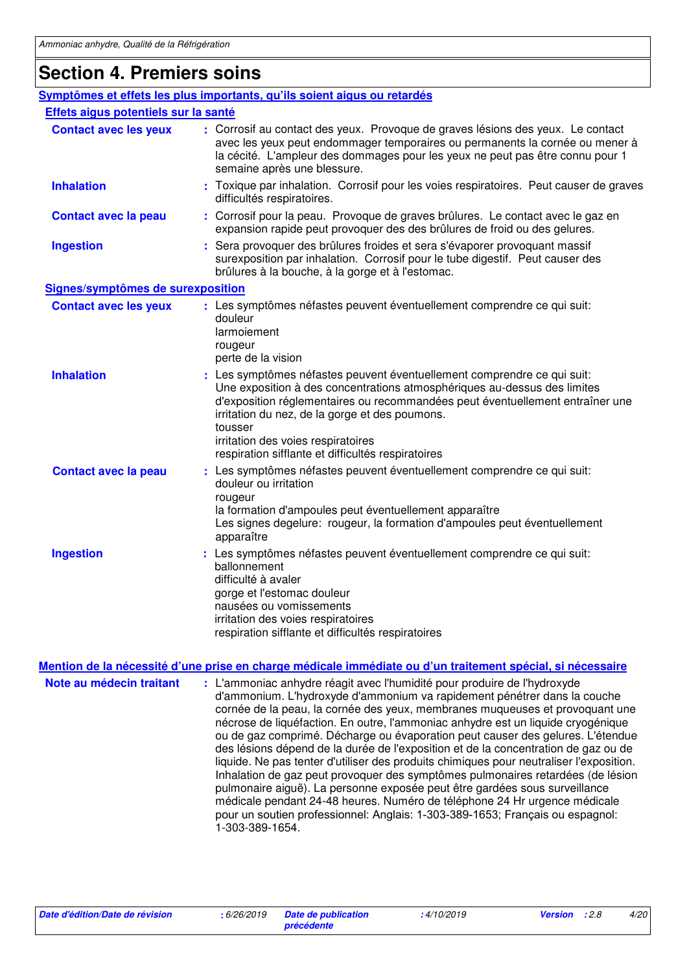### **Section 4. Premiers soins**

|                                      | Symptômes et effets les plus importants, qu'ils soient aigus ou retardés                                                                                                                                                                                                                                                                                                                      |
|--------------------------------------|-----------------------------------------------------------------------------------------------------------------------------------------------------------------------------------------------------------------------------------------------------------------------------------------------------------------------------------------------------------------------------------------------|
| Effets aigus potentiels sur la santé |                                                                                                                                                                                                                                                                                                                                                                                               |
| <b>Contact avec les yeux</b>         | : Corrosif au contact des yeux. Provoque de graves lésions des yeux. Le contact<br>avec les yeux peut endommager temporaires ou permanents la cornée ou mener à<br>la cécité. L'ampleur des dommages pour les yeux ne peut pas être connu pour 1<br>semaine après une blessure.                                                                                                               |
| <b>Inhalation</b>                    | : Toxique par inhalation. Corrosif pour les voies respiratoires. Peut causer de graves<br>difficultés respiratoires.                                                                                                                                                                                                                                                                          |
| <b>Contact avec la peau</b>          | : Corrosif pour la peau. Provoque de graves brûlures. Le contact avec le gaz en<br>expansion rapide peut provoquer des des brûlures de froid ou des gelures.                                                                                                                                                                                                                                  |
| <b>Ingestion</b>                     | Sera provoquer des brûlures froides et sera s'évaporer provoquant massif<br>surexposition par inhalation. Corrosif pour le tube digestif. Peut causer des<br>brûlures à la bouche, à la gorge et à l'estomac.                                                                                                                                                                                 |
| Signes/symptômes de surexposition    |                                                                                                                                                                                                                                                                                                                                                                                               |
| <b>Contact avec les yeux</b>         | : Les symptômes néfastes peuvent éventuellement comprendre ce qui suit:<br>douleur<br>larmoiement<br>rougeur<br>perte de la vision                                                                                                                                                                                                                                                            |
| <b>Inhalation</b>                    | : Les symptômes néfastes peuvent éventuellement comprendre ce qui suit:<br>Une exposition à des concentrations atmosphériques au-dessus des limites<br>d'exposition réglementaires ou recommandées peut éventuellement entraîner une<br>irritation du nez, de la gorge et des poumons.<br>tousser<br>irritation des voies respiratoires<br>respiration sifflante et difficultés respiratoires |
| <b>Contact avec la peau</b>          | Les symptômes néfastes peuvent éventuellement comprendre ce qui suit:<br>douleur ou irritation<br>rougeur<br>la formation d'ampoules peut éventuellement apparaître<br>Les signes degelure: rougeur, la formation d'ampoules peut éventuellement<br>apparaître                                                                                                                                |
| <b>Ingestion</b>                     | : Les symptômes néfastes peuvent éventuellement comprendre ce qui suit:<br>ballonnement<br>difficulté à avaler<br>gorge et l'estomac douleur<br>nausées ou vomissements<br>irritation des voies respiratoires<br>respiration sifflante et difficultés respiratoires                                                                                                                           |

### **Mention de la nécessité d'une prise en charge médicale immédiate ou d'un traitement spécial, si nécessaire**

**Note au médecin traitant :** L'ammoniac anhydre réagit avec l'humidité pour produire de l'hydroxyde d'ammonium. L'hydroxyde d'ammonium va rapidement pénétrer dans la couche cornée de la peau, la cornée des yeux, membranes muqueuses et provoquant une nécrose de liquéfaction. En outre, l'ammoniac anhydre est un liquide cryogénique ou de gaz comprimé. Décharge ou évaporation peut causer des gelures. L'étendue des lésions dépend de la durée de l'exposition et de la concentration de gaz ou de liquide. Ne pas tenter d'utiliser des produits chimiques pour neutraliser l'exposition. Inhalation de gaz peut provoquer des symptômes pulmonaires retardées (de lésion pulmonaire aiguë). La personne exposée peut être gardées sous surveillance médicale pendant 24-48 heures. Numéro de téléphone 24 Hr urgence médicale pour un soutien professionnel: Anglais: 1-303-389-1653; Français ou espagnol: 1-303-389-1654.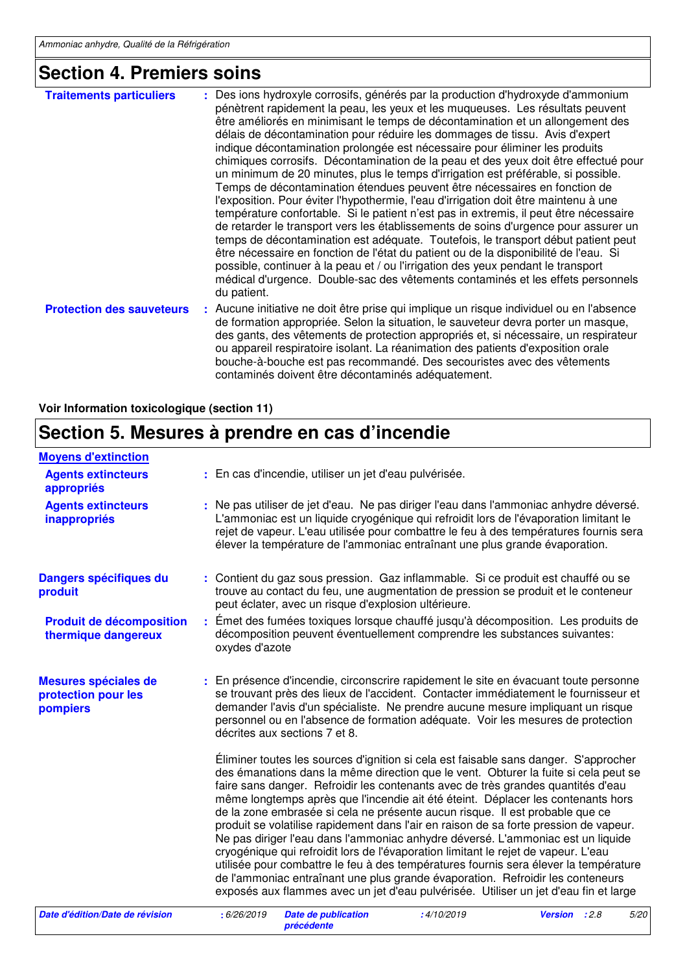## **Section 4. Premiers soins**

| <b>Traitements particuliers</b>  | : Des ions hydroxyle corrosifs, générés par la production d'hydroxyde d'ammonium<br>pénètrent rapidement la peau, les yeux et les muqueuses. Les résultats peuvent<br>être améliorés en minimisant le temps de décontamination et un allongement des<br>délais de décontamination pour réduire les dommages de tissu. Avis d'expert<br>indique décontamination prolongée est nécessaire pour éliminer les produits<br>chimiques corrosifs. Décontamination de la peau et des yeux doit être effectué pour<br>un minimum de 20 minutes, plus le temps d'irrigation est préférable, si possible.<br>Temps de décontamination étendues peuvent être nécessaires en fonction de<br>l'exposition. Pour éviter l'hypothermie, l'eau d'irrigation doit être maintenu à une<br>température confortable. Si le patient n'est pas in extremis, il peut être nécessaire<br>de retarder le transport vers les établissements de soins d'urgence pour assurer un<br>temps de décontamination est adéquate. Toutefois, le transport début patient peut<br>être nécessaire en fonction de l'état du patient ou de la disponibilité de l'eau. Si<br>possible, continuer à la peau et / ou l'irrigation des yeux pendant le transport<br>médical d'urgence. Double-sac des vêtements contaminés et les effets personnels<br>du patient. |
|----------------------------------|------------------------------------------------------------------------------------------------------------------------------------------------------------------------------------------------------------------------------------------------------------------------------------------------------------------------------------------------------------------------------------------------------------------------------------------------------------------------------------------------------------------------------------------------------------------------------------------------------------------------------------------------------------------------------------------------------------------------------------------------------------------------------------------------------------------------------------------------------------------------------------------------------------------------------------------------------------------------------------------------------------------------------------------------------------------------------------------------------------------------------------------------------------------------------------------------------------------------------------------------------------------------------------------------------------------------|
| <b>Protection des sauveteurs</b> | : Aucune initiative ne doit être prise qui implique un risque individuel ou en l'absence<br>de formation appropriée. Selon la situation, le sauveteur devra porter un masque,<br>des gants, des vêtements de protection appropriés et, si nécessaire, un respirateur<br>ou appareil respiratoire isolant. La réanimation des patients d'exposition orale<br>bouche-à-bouche est pas recommandé. Des secouristes avec des vêtements<br>contaminés doivent être décontaminés adéquatement.                                                                                                                                                                                                                                                                                                                                                                                                                                                                                                                                                                                                                                                                                                                                                                                                                               |

**Voir Information toxicologique (section 11)**

## **Section 5. Mesures à prendre en cas d'incendie**

| <b>Moyens d'extinction</b>                              |                                                                                                                                                                                                                                                                                                                                                                                                                                                                                                                                                                                                                                                                                                                                                                                                                                                                                                                                                                         |
|---------------------------------------------------------|-------------------------------------------------------------------------------------------------------------------------------------------------------------------------------------------------------------------------------------------------------------------------------------------------------------------------------------------------------------------------------------------------------------------------------------------------------------------------------------------------------------------------------------------------------------------------------------------------------------------------------------------------------------------------------------------------------------------------------------------------------------------------------------------------------------------------------------------------------------------------------------------------------------------------------------------------------------------------|
| <b>Agents extincteurs</b><br>appropriés                 | : En cas d'incendie, utiliser un jet d'eau pulvérisée.                                                                                                                                                                                                                                                                                                                                                                                                                                                                                                                                                                                                                                                                                                                                                                                                                                                                                                                  |
| <b>Agents extincteurs</b><br>inappropriés               | : Ne pas utiliser de jet d'eau. Ne pas diriger l'eau dans l'ammoniac anhydre déversé.<br>L'ammoniac est un liquide cryogénique qui refroidit lors de l'évaporation limitant le<br>rejet de vapeur. L'eau utilisée pour combattre le feu à des températures fournis sera<br>élever la température de l'ammoniac entraînant une plus grande évaporation.                                                                                                                                                                                                                                                                                                                                                                                                                                                                                                                                                                                                                  |
| Dangers spécifiques du<br>produit                       | : Contient du gaz sous pression. Gaz inflammable. Si ce produit est chauffé ou se<br>trouve au contact du feu, une augmentation de pression se produit et le conteneur<br>peut éclater, avec un risque d'explosion ultérieure.                                                                                                                                                                                                                                                                                                                                                                                                                                                                                                                                                                                                                                                                                                                                          |
| <b>Produit de décomposition</b><br>thermique dangereux  | : Émet des fumées toxiques lorsque chauffé jusqu'à décomposition. Les produits de<br>décomposition peuvent éventuellement comprendre les substances suivantes:<br>oxydes d'azote                                                                                                                                                                                                                                                                                                                                                                                                                                                                                                                                                                                                                                                                                                                                                                                        |
| Mesures spéciales de<br>protection pour les<br>pompiers | : En présence d'incendie, circonscrire rapidement le site en évacuant toute personne<br>se trouvant près des lieux de l'accident. Contacter immédiatement le fournisseur et<br>demander l'avis d'un spécialiste. Ne prendre aucune mesure impliquant un risque<br>personnel ou en l'absence de formation adéquate. Voir les mesures de protection<br>décrites aux sections 7 et 8.                                                                                                                                                                                                                                                                                                                                                                                                                                                                                                                                                                                      |
|                                                         | Eliminer toutes les sources d'ignition si cela est faisable sans danger. S'approcher<br>des émanations dans la même direction que le vent. Obturer la fuite si cela peut se<br>faire sans danger. Refroidir les contenants avec de très grandes quantités d'eau<br>même longtemps après que l'incendie ait été éteint. Déplacer les contenants hors<br>de la zone embrasée si cela ne présente aucun risque. Il est probable que ce<br>produit se volatilise rapidement dans l'air en raison de sa forte pression de vapeur.<br>Ne pas diriger l'eau dans l'ammoniac anhydre déversé. L'ammoniac est un liquide<br>cryogénique qui refroidit lors de l'évaporation limitant le rejet de vapeur. L'eau<br>utilisée pour combattre le feu à des températures fournis sera élever la température<br>de l'ammoniac entraînant une plus grande évaporation. Refroidir les conteneurs<br>exposés aux flammes avec un jet d'eau pulvérisée. Utiliser un jet d'eau fin et large |

| Date d'édition/Date de révision | : 6/26/2019 Date de publication<br>précédente | :4/10/2019 | <b>Version</b> : 2.8 | 5/20 |
|---------------------------------|-----------------------------------------------|------------|----------------------|------|
|                                 |                                               |            |                      |      |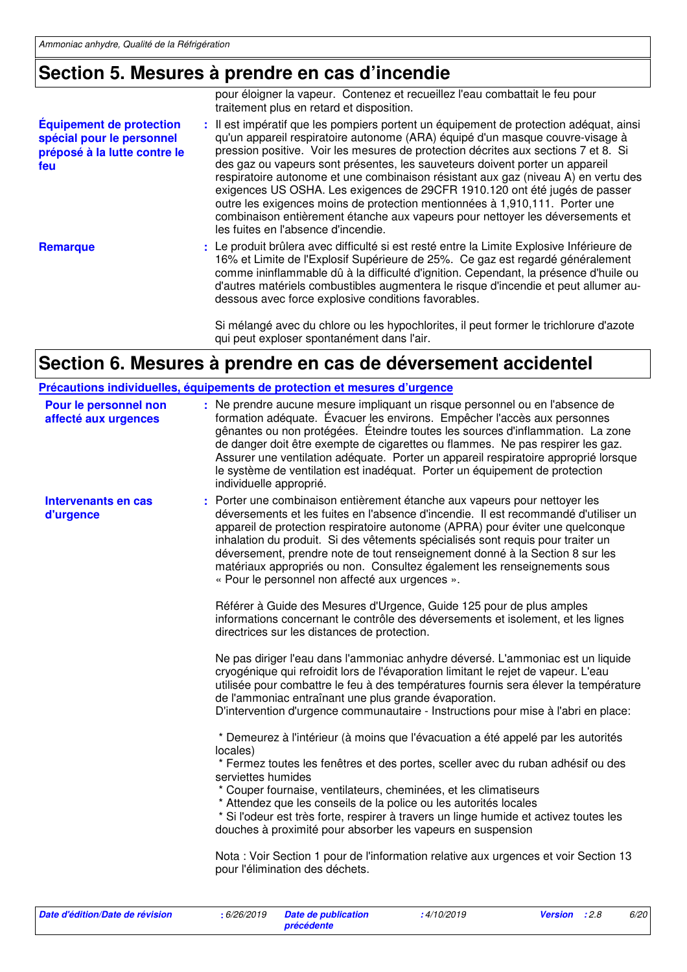## **Section 5. Mesures à prendre en cas d'incendie**

|                                                                                                     | pour éloigner la vapeur. Contenez et recueillez l'eau combattait le feu pour<br>traitement plus en retard et disposition.                                                                                                                                                                                                                                                                                                                                                                                                                                                                                                                                                                                                |
|-----------------------------------------------------------------------------------------------------|--------------------------------------------------------------------------------------------------------------------------------------------------------------------------------------------------------------------------------------------------------------------------------------------------------------------------------------------------------------------------------------------------------------------------------------------------------------------------------------------------------------------------------------------------------------------------------------------------------------------------------------------------------------------------------------------------------------------------|
| <b>Équipement de protection</b><br>spécial pour le personnel<br>préposé à la lutte contre le<br>feu | : Il est impératif que les pompiers portent un équipement de protection adéquat, ainsi<br>qu'un appareil respiratoire autonome (ARA) équipé d'un masque couvre-visage à<br>pression positive. Voir les mesures de protection décrites aux sections 7 et 8. Si<br>des gaz ou vapeurs sont présentes, les sauveteurs doivent porter un appareil<br>respiratoire autonome et une combinaison résistant aux gaz (niveau A) en vertu des<br>exigences US OSHA. Les exigences de 29CFR 1910.120 ont été jugés de passer<br>outre les exigences moins de protection mentionnées à 1,910,111. Porter une<br>combinaison entièrement étanche aux vapeurs pour nettoyer les déversements et<br>les fuites en l'absence d'incendie. |
| <b>Remarque</b>                                                                                     | : Le produit brûlera avec difficulté si est resté entre la Limite Explosive Inférieure de<br>16% et Limite de l'Explosif Supérieure de 25%. Ce gaz est regardé généralement<br>comme ininflammable dû à la difficulté d'ignition. Cependant, la présence d'huile ou<br>d'autres matériels combustibles augmentera le risque d'incendie et peut allumer au-<br>dessous avec force explosive conditions favorables.                                                                                                                                                                                                                                                                                                        |
|                                                                                                     | Si mélangé avec du chlore ou les hypochlorites, il peut former le trichlorure d'azote<br>qui peut exploser spontanément dans l'air.                                                                                                                                                                                                                                                                                                                                                                                                                                                                                                                                                                                      |

**Section 6. Mesures à prendre en cas de déversement accidentel**

|                                               | Précautions individuelles, équipements de protection et mesures d'urgence                                                                                                                                                                                                                                                                                                                                                                                                                                                                             |
|-----------------------------------------------|-------------------------------------------------------------------------------------------------------------------------------------------------------------------------------------------------------------------------------------------------------------------------------------------------------------------------------------------------------------------------------------------------------------------------------------------------------------------------------------------------------------------------------------------------------|
| Pour le personnel non<br>affecté aux urgences | : Ne prendre aucune mesure impliquant un risque personnel ou en l'absence de<br>formation adéquate. Évacuer les environs. Empêcher l'accès aux personnes<br>gênantes ou non protégées. Éteindre toutes les sources d'inflammation. La zone<br>de danger doit être exempte de cigarettes ou flammes. Ne pas respirer les gaz.<br>Assurer une ventilation adéquate. Porter un appareil respiratoire approprié lorsque<br>le système de ventilation est inadéquat. Porter un équipement de protection<br>individuelle approprié.                         |
| Intervenants en cas<br>d'urgence              | : Porter une combinaison entièrement étanche aux vapeurs pour nettoyer les<br>déversements et les fuites en l'absence d'incendie. Il est recommandé d'utiliser un<br>appareil de protection respiratoire autonome (APRA) pour éviter une quelconque<br>inhalation du produit. Si des vêtements spécialisés sont requis pour traiter un<br>déversement, prendre note de tout renseignement donné à la Section 8 sur les<br>matériaux appropriés ou non. Consultez également les renseignements sous<br>« Pour le personnel non affecté aux urgences ». |
|                                               | Référer à Guide des Mesures d'Urgence, Guide 125 pour de plus amples<br>informations concernant le contrôle des déversements et isolement, et les lignes<br>directrices sur les distances de protection.                                                                                                                                                                                                                                                                                                                                              |
|                                               | Ne pas diriger l'eau dans l'ammoniac anhydre déversé. L'ammoniac est un liquide<br>cryogénique qui refroidit lors de l'évaporation limitant le rejet de vapeur. L'eau<br>utilisée pour combattre le feu à des températures fournis sera élever la température<br>de l'ammoniac entraînant une plus grande évaporation.<br>D'intervention d'urgence communautaire - Instructions pour mise à l'abri en place:                                                                                                                                          |
|                                               | * Demeurez à l'intérieur (à moins que l'évacuation a été appelé par les autorités<br>locales)<br>* Fermez toutes les fenêtres et des portes, sceller avec du ruban adhésif ou des<br>serviettes humides<br>* Couper fournaise, ventilateurs, cheminées, et les climatiseurs<br>* Attendez que les conseils de la police ou les autorités locales<br>* Si l'odeur est très forte, respirer à travers un linge humide et activez toutes les<br>douches à proximité pour absorber les vapeurs en suspension                                              |
|                                               | Nota: Voir Section 1 pour de l'information relative aux urgences et voir Section 13<br>pour l'élimination des déchets.                                                                                                                                                                                                                                                                                                                                                                                                                                |

| Date d'édition/Date de révision | : 6/26/2019 | <b>Date de publication</b> | :4/10/2019 |  |
|---------------------------------|-------------|----------------------------|------------|--|
|                                 |             | précédente                 |            |  |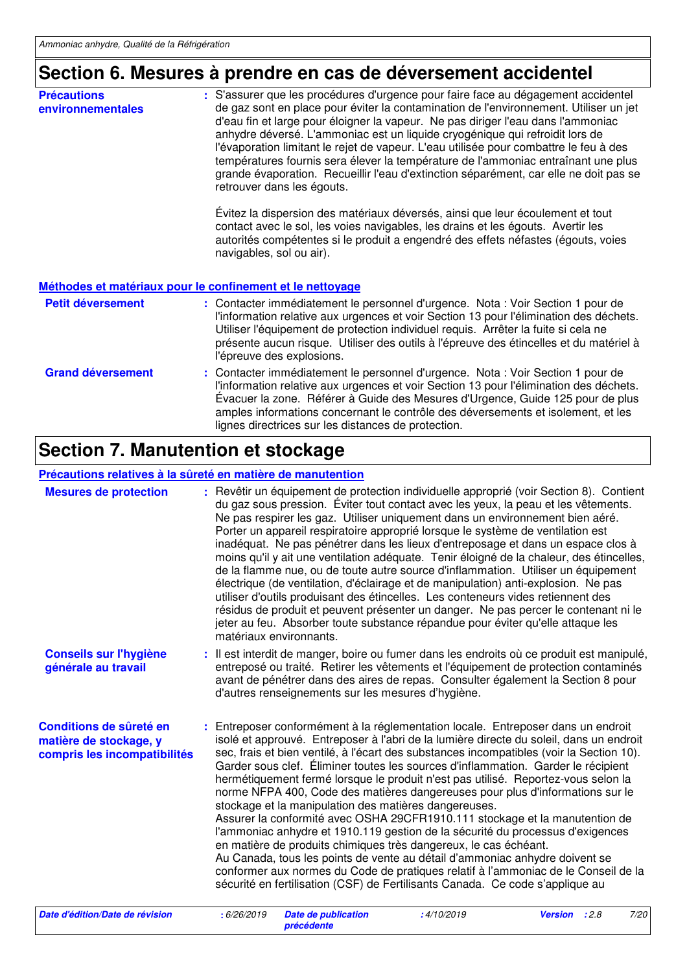## **Section 6. Mesures à prendre en cas de déversement accidentel**

| <b>Précautions</b><br>environnementales | : S'assurer que les procédures d'urgence pour faire face au dégagement accidentel<br>de gaz sont en place pour éviter la contamination de l'environnement. Utiliser un jet<br>d'eau fin et large pour éloigner la vapeur. Ne pas diriger l'eau dans l'ammoniac<br>anhydre déversé. L'ammoniac est un liquide cryogénique qui refroidit lors de<br>l'évaporation limitant le rejet de vapeur. L'eau utilisée pour combattre le feu à des<br>températures fournis sera élever la température de l'ammoniac entraînant une plus<br>grande évaporation. Recueillir l'eau d'extinction séparément, car elle ne doit pas se<br>retrouver dans les égouts. |
|-----------------------------------------|-----------------------------------------------------------------------------------------------------------------------------------------------------------------------------------------------------------------------------------------------------------------------------------------------------------------------------------------------------------------------------------------------------------------------------------------------------------------------------------------------------------------------------------------------------------------------------------------------------------------------------------------------------|
|                                         | Évitez la dispersion des matériaux déversés, ainsi que leur écoulement et tout<br>contact avec le sol, les voies navigables, les drains et les égouts. Avertir les<br>autorités compétentes si le produit a engendré des effets néfastes (égouts, voies<br>navigables, sol ou air).                                                                                                                                                                                                                                                                                                                                                                 |
|                                         | Méthodes et matériaux pour le confinement et le nettoyage                                                                                                                                                                                                                                                                                                                                                                                                                                                                                                                                                                                           |
| Petit déversement                       | : Contacter immédiatement le personnel d'urgence. Nota : Voir Section 1 pour de<br>l'information relative aux urgences et voir Section 13 pour l'élimination des déchets.<br>Utiliser l'équipement de protection individuel requis. Arrêter la fuite si cela ne<br>présente aucun risque. Utiliser des outils à l'épreuve des étincelles et du matériel à<br>l'épreuve des explosions.                                                                                                                                                                                                                                                              |
| <b>Grand déversement</b>                | : Contacter immédiatement le personnel d'urgence. Nota : Voir Section 1 pour de<br>l'information relative aux urgences et voir Section 13 pour l'élimination des déchets.<br>Évacuer la zone. Référer à Guide des Mesures d'Urgence, Guide 125 pour de plus                                                                                                                                                                                                                                                                                                                                                                                         |

lignes directrices sur les distances de protection.

amples informations concernant le contrôle des déversements et isolement, et les

## **Section 7. Manutention et stockage**

#### **Précautions relatives à la sûreté en matière de manutention**

| <b>Mesures de protection</b>                                                      | : Revêtir un équipement de protection individuelle approprié (voir Section 8). Contient<br>du gaz sous pression. Éviter tout contact avec les yeux, la peau et les vêtements.<br>Ne pas respirer les gaz. Utiliser uniquement dans un environnement bien aéré.<br>Porter un appareil respiratoire approprié lorsque le système de ventilation est<br>inadéquat. Ne pas pénétrer dans les lieux d'entreposage et dans un espace clos à<br>moins qu'il y ait une ventilation adéquate. Tenir éloigné de la chaleur, des étincelles,<br>de la flamme nue, ou de toute autre source d'inflammation. Utiliser un équipement<br>électrique (de ventilation, d'éclairage et de manipulation) anti-explosion. Ne pas<br>utiliser d'outils produisant des étincelles. Les conteneurs vides retiennent des<br>résidus de produit et peuvent présenter un danger. Ne pas percer le contenant ni le<br>jeter au feu. Absorber toute substance répandue pour éviter qu'elle attaque les<br>matériaux environnants.                                                                                  |            |                      |      |
|-----------------------------------------------------------------------------------|----------------------------------------------------------------------------------------------------------------------------------------------------------------------------------------------------------------------------------------------------------------------------------------------------------------------------------------------------------------------------------------------------------------------------------------------------------------------------------------------------------------------------------------------------------------------------------------------------------------------------------------------------------------------------------------------------------------------------------------------------------------------------------------------------------------------------------------------------------------------------------------------------------------------------------------------------------------------------------------------------------------------------------------------------------------------------------------|------------|----------------------|------|
| <b>Conseils sur l'hygiène</b><br>générale au travail                              | : Il est interdit de manger, boire ou fumer dans les endroits où ce produit est manipulé,<br>entreposé ou traité. Retirer les vêtements et l'équipement de protection contaminés<br>avant de pénétrer dans des aires de repas. Consulter également la Section 8 pour<br>d'autres renseignements sur les mesures d'hygiène.                                                                                                                                                                                                                                                                                                                                                                                                                                                                                                                                                                                                                                                                                                                                                             |            |                      |      |
| Conditions de sûreté en<br>matière de stockage, y<br>compris les incompatibilités | : Entreposer conformément à la réglementation locale. Entreposer dans un endroit<br>isolé et approuvé. Entreposer à l'abri de la lumière directe du soleil, dans un endroit<br>sec, frais et bien ventilé, à l'écart des substances incompatibles (voir la Section 10).<br>Garder sous clef. Éliminer toutes les sources d'inflammation. Garder le récipient<br>hermétiquement fermé lorsque le produit n'est pas utilisé. Reportez-vous selon la<br>norme NFPA 400, Code des matières dangereuses pour plus d'informations sur le<br>stockage et la manipulation des matières dangereuses.<br>Assurer la conformité avec OSHA 29CFR1910.111 stockage et la manutention de<br>l'ammoniac anhydre et 1910.119 gestion de la sécurité du processus d'exigences<br>en matière de produits chimiques très dangereux, le cas échéant.<br>Au Canada, tous les points de vente au détail d'ammoniac anhydre doivent se<br>conformer aux normes du Code de pratiques relatif à l'ammoniac de le Conseil de la<br>sécurité en fertilisation (CSF) de Fertilisants Canada. Ce code s'applique au |            |                      |      |
| Date d'édition/Date de révision                                                   | : 6/26/2019<br><b>Date de publication</b>                                                                                                                                                                                                                                                                                                                                                                                                                                                                                                                                                                                                                                                                                                                                                                                                                                                                                                                                                                                                                                              | :4/10/2019 | <b>Version</b> : 2.8 | 7/20 |

**précédente**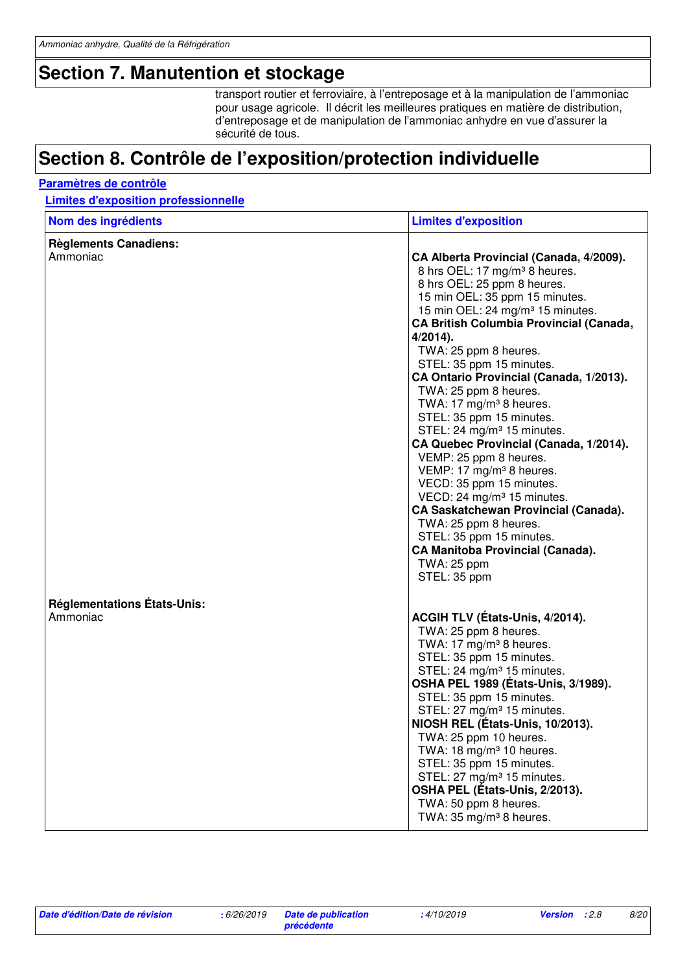### **Section 7. Manutention et stockage**

transport routier et ferroviaire, à l'entreposage et à la manipulation de l'ammoniac pour usage agricole. Il décrit les meilleures pratiques en matière de distribution, d'entreposage et de manipulation de l'ammoniac anhydre en vue d'assurer la sécurité de tous.

### **Section 8. Contrôle de l'exposition/protection individuelle**

#### **Paramètres de contrôle**

#### **Limites d'exposition professionnelle**

| Nom des ingrédients                            | <b>Limites d'exposition</b>                                                                                                                                                                                                                                                                                                                                                                                                                                                                                                                                                                                                                                                                                                                                                                                                                                           |
|------------------------------------------------|-----------------------------------------------------------------------------------------------------------------------------------------------------------------------------------------------------------------------------------------------------------------------------------------------------------------------------------------------------------------------------------------------------------------------------------------------------------------------------------------------------------------------------------------------------------------------------------------------------------------------------------------------------------------------------------------------------------------------------------------------------------------------------------------------------------------------------------------------------------------------|
| <b>Règlements Canadiens:</b><br>Ammoniac       | CA Alberta Provincial (Canada, 4/2009).<br>8 hrs OEL: 17 mg/m <sup>3</sup> 8 heures.<br>8 hrs OEL: 25 ppm 8 heures.<br>15 min OEL: 35 ppm 15 minutes.<br>15 min OEL: 24 mg/m <sup>3</sup> 15 minutes.<br><b>CA British Columbia Provincial (Canada,</b><br>$4/2014$ ).<br>TWA: 25 ppm 8 heures.<br>STEL: 35 ppm 15 minutes.<br>CA Ontario Provincial (Canada, 1/2013).<br>TWA: 25 ppm 8 heures.<br>TWA: 17 mg/m <sup>3</sup> 8 heures.<br>STEL: 35 ppm 15 minutes.<br>STEL: 24 mg/m <sup>3</sup> 15 minutes.<br>CA Quebec Provincial (Canada, 1/2014).<br>VEMP: 25 ppm 8 heures.<br>VEMP: 17 mg/m <sup>3</sup> 8 heures.<br>VECD: 35 ppm 15 minutes.<br>VECD: 24 mg/m <sup>3</sup> 15 minutes.<br><b>CA Saskatchewan Provincial (Canada).</b><br>TWA: 25 ppm 8 heures.<br>STEL: 35 ppm 15 minutes.<br>CA Manitoba Provincial (Canada).<br>TWA: 25 ppm<br>STEL: 35 ppm |
| <b>Réglementations États-Unis:</b><br>Ammoniac | ACGIH TLV (États-Unis, 4/2014).<br>TWA: 25 ppm 8 heures.<br>TWA: 17 mg/m <sup>3</sup> 8 heures.<br>STEL: 35 ppm 15 minutes.<br>STEL: 24 mg/m <sup>3</sup> 15 minutes.<br>OSHA PEL 1989 (États-Unis, 3/1989).<br>STEL: 35 ppm 15 minutes.<br>STEL: 27 mg/m <sup>3</sup> 15 minutes.<br>NIOSH REL (États-Unis, 10/2013).<br>TWA: 25 ppm 10 heures.<br>TWA: 18 mg/m $3$ 10 heures.<br>STEL: 35 ppm 15 minutes.<br>STEL: 27 mg/m <sup>3</sup> 15 minutes.<br>OSHA PEL (États-Unis, 2/2013).<br>TWA: 50 ppm 8 heures.<br>TWA: 35 mg/m <sup>3</sup> 8 heures.                                                                                                                                                                                                                                                                                                               |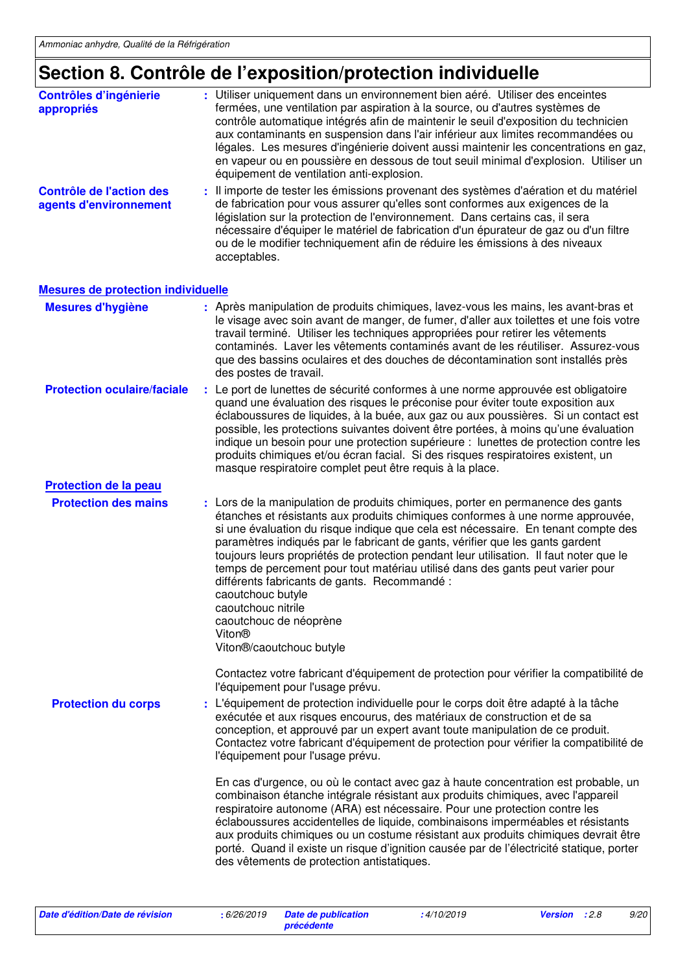### **Section 8. Contrôle de l'exposition/protection individuelle**

| <b>Contrôles d'ingénierie</b><br>appropriés        | : Utiliser uniquement dans un environnement bien aéré. Utiliser des enceintes<br>fermées, une ventilation par aspiration à la source, ou d'autres systèmes de<br>contrôle automatique intégrés afin de maintenir le seuil d'exposition du technicien<br>aux contaminants en suspension dans l'air inférieur aux limites recommandées ou<br>légales. Les mesures d'ingénierie doivent aussi maintenir les concentrations en gaz,<br>en vapeur ou en poussière en dessous de tout seuil minimal d'explosion. Utiliser un<br>équipement de ventilation anti-explosion. |
|----------------------------------------------------|---------------------------------------------------------------------------------------------------------------------------------------------------------------------------------------------------------------------------------------------------------------------------------------------------------------------------------------------------------------------------------------------------------------------------------------------------------------------------------------------------------------------------------------------------------------------|
| Contrôle de l'action des<br>agents d'environnement | : Il importe de tester les émissions provenant des systèmes d'aération et du matériel<br>de fabrication pour vous assurer qu'elles sont conformes aux exigences de la<br>législation sur la protection de l'environnement. Dans certains cas, il sera<br>nécessaire d'équiper le matériel de fabrication d'un épurateur de gaz ou d'un filtre<br>ou de le modifier techniquement afin de réduire les émissions à des niveaux<br>acceptables.                                                                                                                        |
| <b>Mesures de protection individuelle</b>          |                                                                                                                                                                                                                                                                                                                                                                                                                                                                                                                                                                     |
|                                                    |                                                                                                                                                                                                                                                                                                                                                                                                                                                                                                                                                                     |

#### **Protection des mains** : Lors de la manipulation de produits chimiques, porter en permanence des gants étanches et résistants aux produits chimiques conformes à une norme approuvée, si une évaluation du risque indique que cela est nécessaire. En tenant compte des paramètres indiqués par le fabricant de gants, vérifier que les gants gardent toujours leurs propriétés de protection pendant leur utilisation. Il faut noter que le temps de percement pour tout matériau utilisé dans des gants peut varier pour différents fabricants de gants. Recommandé : caoutchouc butyle caoutchouc nitrile caoutchouc de néoprène Viton® Viton®/caoutchouc butyle Contactez votre fabricant d'équipement de protection pour vérifier la compatibilité de l'équipement pour l'usage prévu. Le port de lunettes de sécurité conformes à une norme approuvée est obligatoire **:** quand une évaluation des risques le préconise pour éviter toute exposition aux éclaboussures de liquides, à la buée, aux gaz ou aux poussières. Si un contact est possible, les protections suivantes doivent être portées, à moins qu'une évaluation indique un besoin pour une protection supérieure : lunettes de protection contre les produits chimiques et/ou écran facial. Si des risques respiratoires existent, un masque respiratoire complet peut être requis à la place. **Protection oculaire/faciale Protection du corps** : L'équipement de protection individuelle pour le corps doit être adapté à la tâche exécutée et aux risques encourus, des matériaux de construction et de sa conception, et approuvé par un expert avant toute manipulation de ce produit. Contactez votre fabricant d'équipement de protection pour vérifier la compatibilité de l'équipement pour l'usage prévu. En cas d'urgence, ou où le contact avec gaz à haute concentration est probable, un combinaison étanche intégrale résistant aux produits chimiques, avec l'appareil respiratoire autonome (ARA) est nécessaire. Pour une protection contre les éclaboussures accidentelles de liquide, combinaisons imperméables et résistants aux produits chimiques ou un costume résistant aux produits chimiques devrait être porté. Quand il existe un risque d'ignition causée par de l'électricité statique, porter Après manipulation de produits chimiques, lavez-vous les mains, les avant-bras et le visage avec soin avant de manger, de fumer, d'aller aux toilettes et une fois votre travail terminé. Utiliser les techniques appropriées pour retirer les vêtements contaminés. Laver les vêtements contaminés avant de les réutiliser. Assurez-vous que des bassins oculaires et des douches de décontamination sont installés près des postes de travail. **Mesures d'hygiène : Protection de la peau**

des vêtements de protection antistatiques.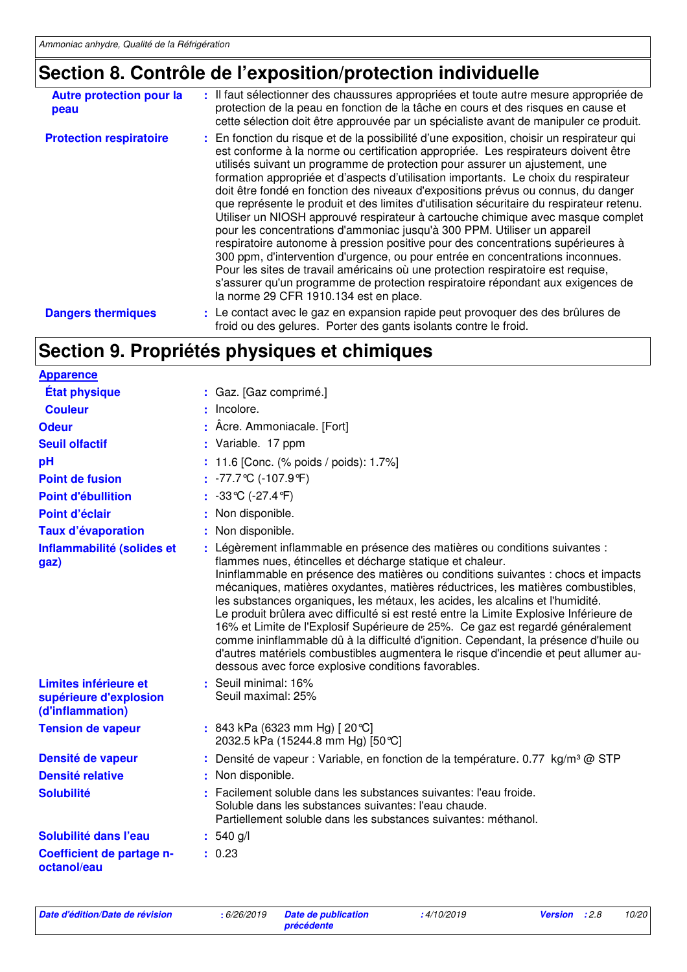## **Section 8. Contrôle de l'exposition/protection individuelle**

| <b>Autre protection pour la</b><br>peau | : Il faut sélectionner des chaussures appropriées et toute autre mesure appropriée de<br>protection de la peau en fonction de la tâche en cours et des risques en cause et<br>cette sélection doit être approuvée par un spécialiste avant de manipuler ce produit.                                                                                                                                                                                                                                                                                                                                                                                                                                                                                                                                                                                                                                                                                                                                                                                                                          |
|-----------------------------------------|----------------------------------------------------------------------------------------------------------------------------------------------------------------------------------------------------------------------------------------------------------------------------------------------------------------------------------------------------------------------------------------------------------------------------------------------------------------------------------------------------------------------------------------------------------------------------------------------------------------------------------------------------------------------------------------------------------------------------------------------------------------------------------------------------------------------------------------------------------------------------------------------------------------------------------------------------------------------------------------------------------------------------------------------------------------------------------------------|
| <b>Protection respiratoire</b>          | : En fonction du risque et de la possibilité d'une exposition, choisir un respirateur qui<br>est conforme à la norme ou certification appropriée. Les respirateurs doivent être<br>utilisés suivant un programme de protection pour assurer un ajustement, une<br>formation appropriée et d'aspects d'utilisation importants. Le choix du respirateur<br>doit être fondé en fonction des niveaux d'expositions prévus ou connus, du danger<br>que représente le produit et des limites d'utilisation sécuritaire du respirateur retenu.<br>Utiliser un NIOSH approuvé respirateur à cartouche chimique avec masque complet<br>pour les concentrations d'ammoniac jusqu'à 300 PPM. Utiliser un appareil<br>respiratoire autonome à pression positive pour des concentrations supérieures à<br>300 ppm, d'intervention d'urgence, ou pour entrée en concentrations inconnues.<br>Pour les sites de travail américains où une protection respiratoire est requise,<br>s'assurer qu'un programme de protection respiratoire répondant aux exigences de<br>la norme 29 CFR 1910.134 est en place. |
| <b>Dangers thermiques</b>               | : Le contact avec le gaz en expansion rapide peut provoquer des des brûlures de<br>froid ou des gelures. Porter des gants isolants contre le froid.                                                                                                                                                                                                                                                                                                                                                                                                                                                                                                                                                                                                                                                                                                                                                                                                                                                                                                                                          |

## **Section 9. Propriétés physiques et chimiques**

| <b>Apparence</b>                                                    |                                                                                                                                                                                                                                                                                                                                                                                                                                                                                                                                                                                                                                                                                                                                                                                                                        |
|---------------------------------------------------------------------|------------------------------------------------------------------------------------------------------------------------------------------------------------------------------------------------------------------------------------------------------------------------------------------------------------------------------------------------------------------------------------------------------------------------------------------------------------------------------------------------------------------------------------------------------------------------------------------------------------------------------------------------------------------------------------------------------------------------------------------------------------------------------------------------------------------------|
| <b>État physique</b>                                                | : Gaz. [Gaz comprimé.]                                                                                                                                                                                                                                                                                                                                                                                                                                                                                                                                                                                                                                                                                                                                                                                                 |
| <b>Couleur</b>                                                      | Incolore.                                                                                                                                                                                                                                                                                                                                                                                                                                                                                                                                                                                                                                                                                                                                                                                                              |
| <b>Odeur</b>                                                        | Acre. Ammoniacale. [Fort]                                                                                                                                                                                                                                                                                                                                                                                                                                                                                                                                                                                                                                                                                                                                                                                              |
| <b>Seuil olfactif</b>                                               | : Variable. 17 ppm                                                                                                                                                                                                                                                                                                                                                                                                                                                                                                                                                                                                                                                                                                                                                                                                     |
| pH                                                                  | 11.6 [Conc. (% poids / poids): 1.7%]                                                                                                                                                                                                                                                                                                                                                                                                                                                                                                                                                                                                                                                                                                                                                                                   |
| <b>Point de fusion</b>                                              | $: -77.7$ ℃ (-107.9 °F)                                                                                                                                                                                                                                                                                                                                                                                                                                                                                                                                                                                                                                                                                                                                                                                                |
| <b>Point d'ébullition</b>                                           | : $-33^{\circ}C (-27.4^{\circ}F)$                                                                                                                                                                                                                                                                                                                                                                                                                                                                                                                                                                                                                                                                                                                                                                                      |
| Point d'éclair                                                      | Non disponible.                                                                                                                                                                                                                                                                                                                                                                                                                                                                                                                                                                                                                                                                                                                                                                                                        |
| <b>Taux d'évaporation</b>                                           | : Non disponible.                                                                                                                                                                                                                                                                                                                                                                                                                                                                                                                                                                                                                                                                                                                                                                                                      |
| Inflammabilité (solides et<br>gaz)                                  | : Légèrement inflammable en présence des matières ou conditions suivantes :<br>flammes nues, étincelles et décharge statique et chaleur.<br>Ininflammable en présence des matières ou conditions suivantes : chocs et impacts<br>mécaniques, matières oxydantes, matières réductrices, les matières combustibles,<br>les substances organiques, les métaux, les acides, les alcalins et l'humidité.<br>Le produit brûlera avec difficulté si est resté entre la Limite Explosive Inférieure de<br>16% et Limite de l'Explosif Supérieure de 25%. Ce gaz est regardé généralement<br>comme ininflammable dû à la difficulté d'ignition. Cependant, la présence d'huile ou<br>d'autres matériels combustibles augmentera le risque d'incendie et peut allumer au-<br>dessous avec force explosive conditions favorables. |
| Limites inférieure et<br>supérieure d'explosion<br>(d'inflammation) | $:$ Seuil minimal: 16%<br>Seuil maximal: 25%                                                                                                                                                                                                                                                                                                                                                                                                                                                                                                                                                                                                                                                                                                                                                                           |
| <b>Tension de vapeur</b>                                            | : 843 kPa (6323 mm Hg) [20 °C]<br>2032.5 kPa (15244.8 mm Hg) [50 °C]                                                                                                                                                                                                                                                                                                                                                                                                                                                                                                                                                                                                                                                                                                                                                   |
| Densité de vapeur                                                   | : Densité de vapeur : Variable, en fonction de la température. 0.77 $kg/m3$ @ STP                                                                                                                                                                                                                                                                                                                                                                                                                                                                                                                                                                                                                                                                                                                                      |
| <b>Densité relative</b>                                             | : Non disponible.                                                                                                                                                                                                                                                                                                                                                                                                                                                                                                                                                                                                                                                                                                                                                                                                      |
| <b>Solubilité</b>                                                   | Facilement soluble dans les substances suivantes: l'eau froide.<br>Soluble dans les substances suivantes: l'eau chaude.<br>Partiellement soluble dans les substances suivantes: méthanol.                                                                                                                                                                                                                                                                                                                                                                                                                                                                                                                                                                                                                              |
| Solubilité dans l'eau                                               | $: 540$ g/l                                                                                                                                                                                                                                                                                                                                                                                                                                                                                                                                                                                                                                                                                                                                                                                                            |
| Coefficient de partage n-<br>octanol/eau                            | : 0.23                                                                                                                                                                                                                                                                                                                                                                                                                                                                                                                                                                                                                                                                                                                                                                                                                 |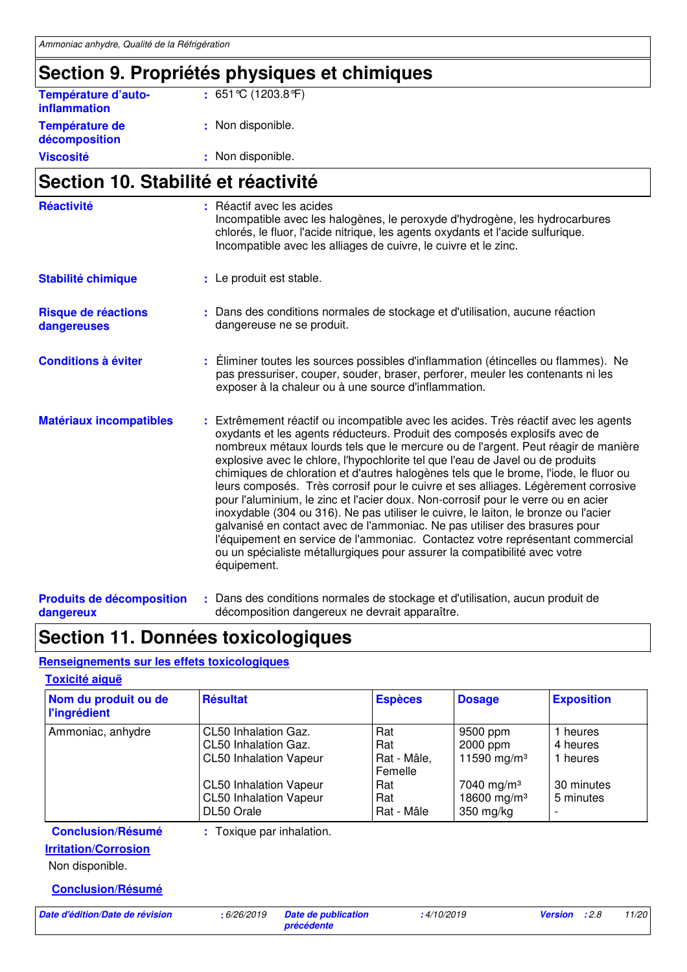## **Section 9. Propriétés physiques et chimiques**

| <b>Viscosité</b>                           | : Non disponible.    |
|--------------------------------------------|----------------------|
| Température de<br>décomposition            | : Non disponible.    |
| Température d'auto-<br><b>inflammation</b> | : 651 °C (1203.8 °F) |

## **Section 10. Stabilité et réactivité**

| <b>Réactivité</b>                  | : Réactif avec les acides<br>Incompatible avec les halogènes, le peroxyde d'hydrogène, les hydrocarbures<br>chlorés, le fluor, l'acide nitrique, les agents oxydants et l'acide sulfurique.<br>Incompatible avec les alliages de cuivre, le cuivre et le zinc.                                                                                                                                                                                                                                                                                                                                                                                                                                                                                                                                                                                                                                                                                                |
|------------------------------------|---------------------------------------------------------------------------------------------------------------------------------------------------------------------------------------------------------------------------------------------------------------------------------------------------------------------------------------------------------------------------------------------------------------------------------------------------------------------------------------------------------------------------------------------------------------------------------------------------------------------------------------------------------------------------------------------------------------------------------------------------------------------------------------------------------------------------------------------------------------------------------------------------------------------------------------------------------------|
| Stabilité chimique                 | : Le produit est stable.                                                                                                                                                                                                                                                                                                                                                                                                                                                                                                                                                                                                                                                                                                                                                                                                                                                                                                                                      |
| Risque de réactions<br>dangereuses | : Dans des conditions normales de stockage et d'utilisation, aucune réaction<br>dangereuse ne se produit.                                                                                                                                                                                                                                                                                                                                                                                                                                                                                                                                                                                                                                                                                                                                                                                                                                                     |
| <b>Conditions à éviter</b>         | : Eliminer toutes les sources possibles d'inflammation (étincelles ou flammes). Ne<br>pas pressuriser, couper, souder, braser, perforer, meuler les contenants ni les<br>exposer à la chaleur ou à une source d'inflammation.                                                                                                                                                                                                                                                                                                                                                                                                                                                                                                                                                                                                                                                                                                                                 |
| <b>Matériaux incompatibles</b>     | : Extrêmement réactif ou incompatible avec les acides. Très réactif avec les agents<br>oxydants et les agents réducteurs. Produit des composés explosifs avec de<br>nombreux métaux lourds tels que le mercure ou de l'argent. Peut réagir de manière<br>explosive avec le chlore, l'hypochlorite tel que l'eau de Javel ou de produits<br>chimiques de chloration et d'autres halogènes tels que le brome, l'iode, le fluor ou<br>leurs composés. Très corrosif pour le cuivre et ses alliages. Légèrement corrosive<br>pour l'aluminium, le zinc et l'acier doux. Non-corrosif pour le verre ou en acier<br>inoxydable (304 ou 316). Ne pas utiliser le cuivre, le laiton, le bronze ou l'acier<br>galvanisé en contact avec de l'ammoniac. Ne pas utiliser des brasures pour<br>l'équipement en service de l'ammoniac. Contactez votre représentant commercial<br>ou un spécialiste métallurgiques pour assurer la compatibilité avec votre<br>équipement. |

### **Section 11. Données toxicologiques**

### **Renseignements sur les effets toxicologiques**

| <b>Toxicité aiguë</b>                       |                                                                                                                                                               |                                                                  |                                                                                                                   |                                                             |
|---------------------------------------------|---------------------------------------------------------------------------------------------------------------------------------------------------------------|------------------------------------------------------------------|-------------------------------------------------------------------------------------------------------------------|-------------------------------------------------------------|
| Nom du produit ou de<br><b>l'ingrédient</b> | <b>Résultat</b>                                                                                                                                               | <b>Espèces</b>                                                   | <b>Dosage</b>                                                                                                     | <b>Exposition</b>                                           |
| Ammoniac, anhydre                           | CL50 Inhalation Gaz.<br>CL50 Inhalation Gaz.<br><b>CL50 Inhalation Vapeur</b><br><b>CL50 Inhalation Vapeur</b><br><b>CL50 Inhalation Vapeur</b><br>DL50 Orale | Rat<br>Rat<br>Rat - Mâle,<br>Femelle<br>Rat<br>Rat<br>Rat - Mâle | 9500 ppm<br>2000 ppm<br>11590 mg/m <sup>3</sup><br>7040 mg/m <sup>3</sup><br>18600 mg/m <sup>3</sup><br>350 mg/kg | 1 heures<br>4 heures<br>1 heures<br>30 minutes<br>5 minutes |
| <b>Conclusion/Résumé</b>                    | : Toxique par inhalation.                                                                                                                                     |                                                                  |                                                                                                                   |                                                             |
| <b>Irritation/Corrosion</b>                 |                                                                                                                                                               |                                                                  |                                                                                                                   |                                                             |
| Non disponible.                             |                                                                                                                                                               |                                                                  |                                                                                                                   |                                                             |
| <b>Conclusion/Résumé</b>                    |                                                                                                                                                               |                                                                  |                                                                                                                   |                                                             |
| Date d'édition/Date de révision             | Date de publication<br>:6/26/2019                                                                                                                             | :4/10/2019                                                       |                                                                                                                   | : 2.8<br>11/20<br><b>Version</b>                            |

**précédente**

**Produits de décomposition dangereux** Dans des conditions normales de stockage et d'utilisation, aucun produit de **:** décomposition dangereux ne devrait apparaître.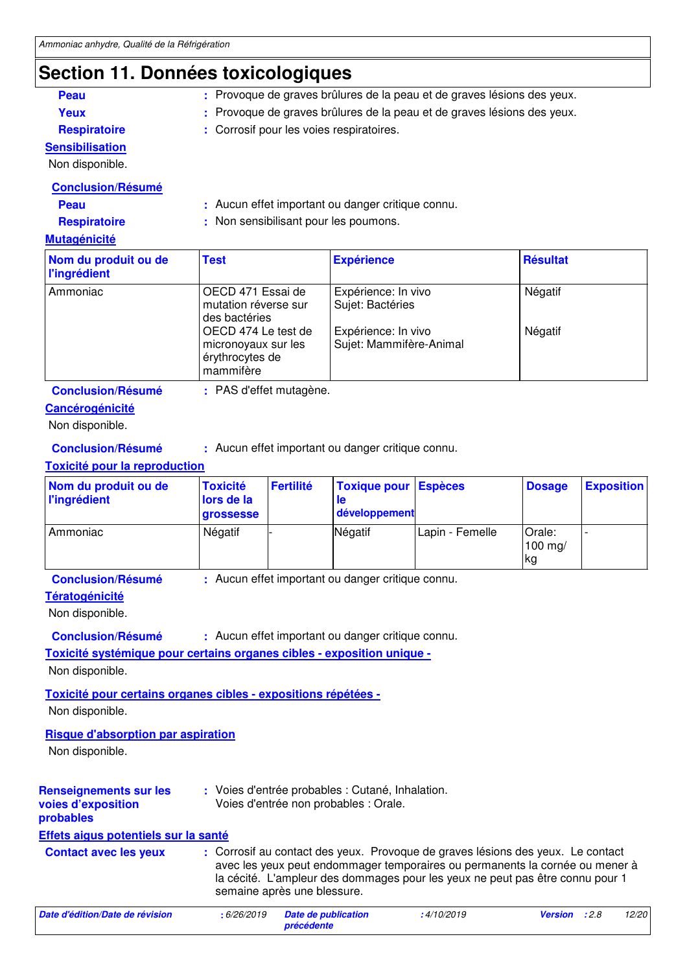## **Section 11. Données toxicologiques**

| Secuoli III. Dollitees toxicologiques       |                                                                                                       |                                          |                                                           |                 |                     |                   |  |
|---------------------------------------------|-------------------------------------------------------------------------------------------------------|------------------------------------------|-----------------------------------------------------------|-----------------|---------------------|-------------------|--|
| Peau                                        | : Provoque de graves brûlures de la peau et de graves lésions des yeux.                               |                                          |                                                           |                 |                     |                   |  |
| Yeux                                        | Provoque de graves brûlures de la peau et de graves lésions des yeux.                                 |                                          |                                                           |                 |                     |                   |  |
| <b>Respiratoire</b>                         |                                                                                                       | : Corrosif pour les voies respiratoires. |                                                           |                 |                     |                   |  |
| <b>Sensibilisation</b>                      |                                                                                                       |                                          |                                                           |                 |                     |                   |  |
| Non disponible.                             |                                                                                                       |                                          |                                                           |                 |                     |                   |  |
| <b>Conclusion/Résumé</b>                    |                                                                                                       |                                          |                                                           |                 |                     |                   |  |
| Peau                                        |                                                                                                       |                                          | : Aucun effet important ou danger critique connu.         |                 |                     |                   |  |
| <b>Respiratoire</b>                         |                                                                                                       |                                          | : Non sensibilisant pour les poumons.                     |                 |                     |                   |  |
| <b>Mutagénicité</b>                         |                                                                                                       |                                          |                                                           |                 |                     |                   |  |
| Nom du produit ou de<br><b>l'ingrédient</b> | <b>Test</b>                                                                                           |                                          | <b>Expérience</b>                                         |                 |                     | <b>Résultat</b>   |  |
| Ammoniac                                    | OECD 471 Essai de<br>Expérience: In vivo<br>mutation réverse sur<br>Sujet: Bactéries<br>des bactéries |                                          | Négatif                                                   |                 |                     |                   |  |
|                                             | OECD 474 Le test de<br>micronoyaux sur les<br>érythrocytes de<br>mammifère                            |                                          | Expérience: In vivo<br>Négatif<br>Sujet: Mammifère-Animal |                 |                     |                   |  |
| <b>Conclusion/Résumé</b>                    | : PAS d'effet mutagène.                                                                               |                                          |                                                           |                 |                     |                   |  |
| Cancérogénicité                             |                                                                                                       |                                          |                                                           |                 |                     |                   |  |
| Non disponible.                             |                                                                                                       |                                          |                                                           |                 |                     |                   |  |
| <b>Conclusion/Résumé</b>                    |                                                                                                       |                                          | : Aucun effet important ou danger critique connu.         |                 |                     |                   |  |
| <b>Toxicité pour la reproduction</b>        |                                                                                                       |                                          |                                                           |                 |                     |                   |  |
| Nom du produit ou de<br><b>l'ingrédient</b> | <b>Toxicité</b><br>lors de la<br>grossesse                                                            | <b>Fertilité</b>                         | <b>Toxique pour</b><br>le<br>développement                | <b>Espèces</b>  | <b>Dosage</b>       | <b>Exposition</b> |  |
| Ammoniac                                    | Négatif                                                                                               |                                          | Négatif                                                   | Lapin - Femelle | Orale:<br>$100$ mg/ |                   |  |

kg

**Conclusion/Résumé :** Aucun effet important ou danger critique connu.

### **Tératogénicité**

Non disponible.

**Conclusion/Résumé :** Aucun effet important ou danger critique connu.

**Toxicité systémique pour certains organes cibles - exposition unique -**

Non disponible.

**Toxicité pour certains organes cibles - expositions répétées -**

Non disponible.

### **Risque d'absorption par aspiration**

Non disponible.

| <b>Renseignements sur les</b><br>voies d'exposition<br>probables | : Voies d'entrée probables : Cutané, Inhalation.<br>Voies d'entrée non probables : Orale.                                                                                                                                                                                       |
|------------------------------------------------------------------|---------------------------------------------------------------------------------------------------------------------------------------------------------------------------------------------------------------------------------------------------------------------------------|
| Effets aigus potentiels sur la santé                             |                                                                                                                                                                                                                                                                                 |
| <b>Contact avec les yeux</b>                                     | : Corrosif au contact des yeux. Provoque de graves lésions des yeux. Le contact<br>avec les yeux peut endommager temporaires ou permanents la cornée ou mener à<br>la cécité. L'ampleur des dommages pour les yeux ne peut pas être connu pour 1<br>semaine après une blessure. |
|                                                                  |                                                                                                                                                                                                                                                                                 |

| Date d'édition/Date de révision | : 6/26/2019 Date de publication | :4/10/2019 | <b>Version</b> :2.8 | 12/20 |
|---------------------------------|---------------------------------|------------|---------------------|-------|
|                                 | précédente                      |            |                     |       |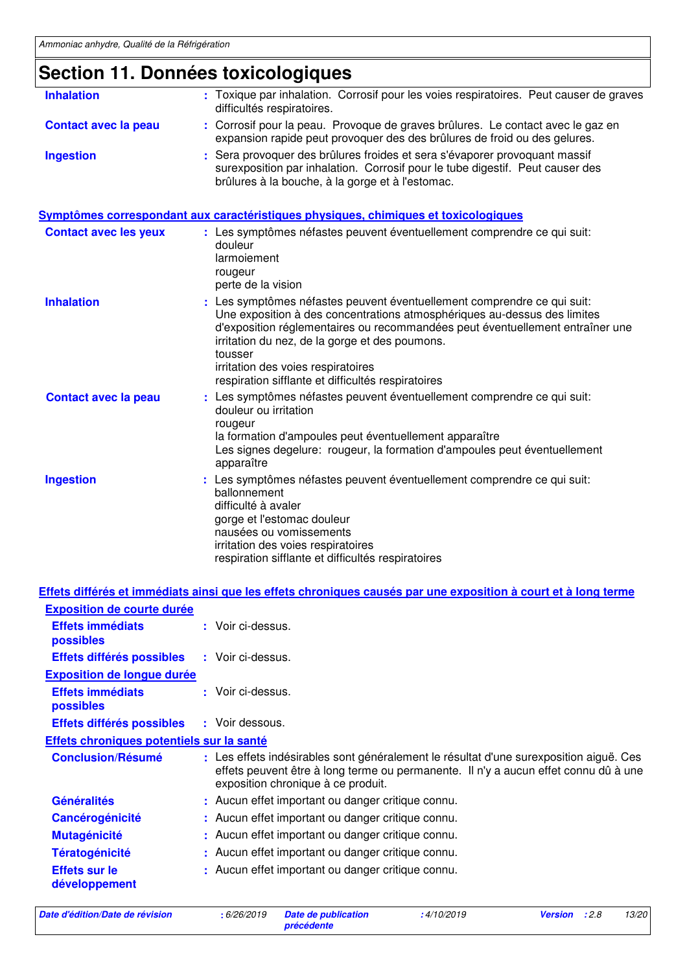## **Section 11. Données toxicologiques**

| <b>Inhalation</b>            | : Toxique par inhalation. Corrosif pour les voies respiratoires. Peut causer de graves<br>difficultés respiratoires.                                                                                                                                                                                                                                                                        |
|------------------------------|---------------------------------------------------------------------------------------------------------------------------------------------------------------------------------------------------------------------------------------------------------------------------------------------------------------------------------------------------------------------------------------------|
| <b>Contact avec la peau</b>  | : Corrosif pour la peau. Provoque de graves brûlures. Le contact avec le gaz en<br>expansion rapide peut provoquer des des brûlures de froid ou des gelures.                                                                                                                                                                                                                                |
| <b>Ingestion</b>             | Sera provoquer des brûlures froides et sera s'évaporer provoquant massif<br>surexposition par inhalation. Corrosif pour le tube digestif. Peut causer des<br>brûlures à la bouche, à la gorge et à l'estomac.                                                                                                                                                                               |
|                              | Symptômes correspondant aux caractéristiques physiques, chimiques et toxicologiques                                                                                                                                                                                                                                                                                                         |
| <b>Contact avec les yeux</b> | : Les symptômes néfastes peuvent éventuellement comprendre ce qui suit:<br>douleur<br>larmoiement<br>rougeur<br>perte de la vision                                                                                                                                                                                                                                                          |
| <b>Inhalation</b>            | Les symptômes néfastes peuvent éventuellement comprendre ce qui suit:<br>Une exposition à des concentrations atmosphériques au-dessus des limites<br>d'exposition réglementaires ou recommandées peut éventuellement entraîner une<br>irritation du nez, de la gorge et des poumons.<br>tousser<br>irritation des voies respiratoires<br>respiration sifflante et difficultés respiratoires |
| <b>Contact avec la peau</b>  | : Les symptômes néfastes peuvent éventuellement comprendre ce qui suit:<br>douleur ou irritation<br>rougeur<br>la formation d'ampoules peut éventuellement apparaître<br>Les signes degelure: rougeur, la formation d'ampoules peut éventuellement<br>apparaître                                                                                                                            |
| <b>Ingestion</b>             | Les symptômes néfastes peuvent éventuellement comprendre ce qui suit:<br>ballonnement<br>difficulté à avaler<br>gorge et l'estomac douleur<br>nausées ou vomissements<br>irritation des voies respiratoires<br>respiration sifflante et difficultés respiratoires                                                                                                                           |

|                                           | <u>Effets différés et immédiats ainsi que les effets chroniques causés par une exposition à court et à long terme</u>                                                                                               |
|-------------------------------------------|---------------------------------------------------------------------------------------------------------------------------------------------------------------------------------------------------------------------|
| <b>Exposition de courte durée</b>         |                                                                                                                                                                                                                     |
| <b>Effets immédiats</b><br>possibles      | : Voir ci-dessus.                                                                                                                                                                                                   |
| Effets différés possibles                 | : Voir ci-dessus.                                                                                                                                                                                                   |
| <b>Exposition de longue durée</b>         |                                                                                                                                                                                                                     |
| <b>Effets immédiats</b><br>possibles      | : Voir ci-dessus.                                                                                                                                                                                                   |
| Effets différés possibles                 | : Voir dessous.                                                                                                                                                                                                     |
| Effets chroniques potentiels sur la santé |                                                                                                                                                                                                                     |
| <b>Conclusion/Résumé</b>                  | : Les effets indésirables sont généralement le résultat d'une surexposition aiguë. Ces<br>effets peuvent être à long terme ou permanente. Il n'y a aucun effet connu dû à une<br>exposition chronique à ce produit. |
| <b>Généralités</b>                        | : Aucun effet important ou danger critique connu.                                                                                                                                                                   |
| Cancérogénicité                           | : Aucun effet important ou danger critique connu.                                                                                                                                                                   |
| <b>Mutagénicité</b>                       | : Aucun effet important ou danger critique connu.                                                                                                                                                                   |
| <b>Tératogénicité</b>                     | : Aucun effet important ou danger critique connu.                                                                                                                                                                   |
| <b>Effets sur le</b><br>développement     | Aucun effet important ou danger critique connu.                                                                                                                                                                     |

```
Date d'édition/Date de révision : 6/26/2019 Date de publication
```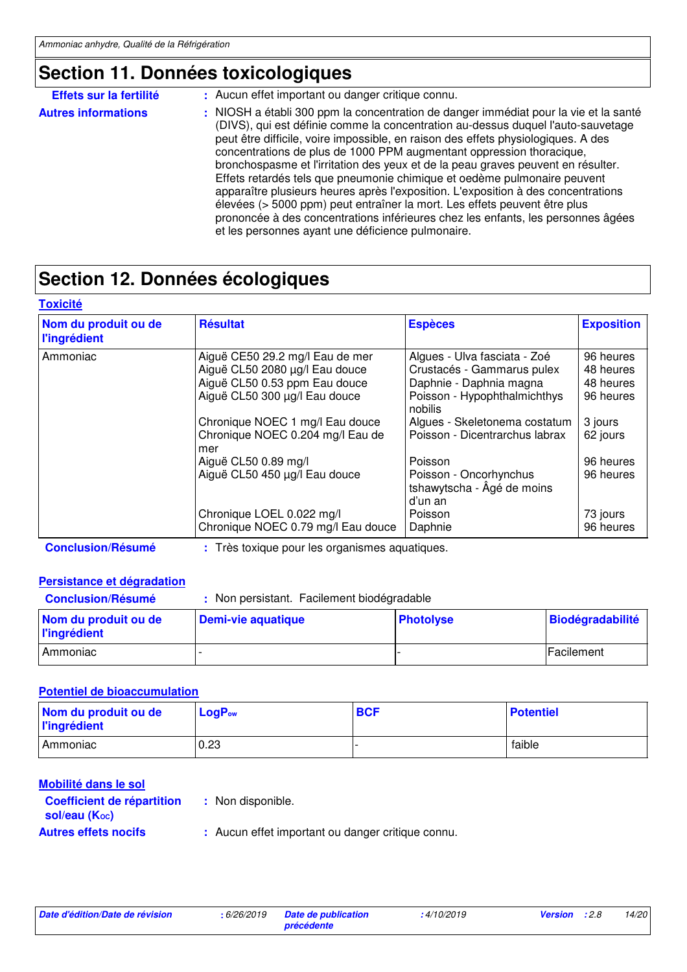## **Section 11. Données toxicologiques**

| Effets sur la fertilité    | : Aucun effet important ou danger critique connu.                                                                                                                                                                                                                                                                                                                                                                                                                                                                                                                                                                                                                                                                                                                                                                |
|----------------------------|------------------------------------------------------------------------------------------------------------------------------------------------------------------------------------------------------------------------------------------------------------------------------------------------------------------------------------------------------------------------------------------------------------------------------------------------------------------------------------------------------------------------------------------------------------------------------------------------------------------------------------------------------------------------------------------------------------------------------------------------------------------------------------------------------------------|
| <b>Autres informations</b> | : NIOSH a établi 300 ppm la concentration de danger immédiat pour la vie et la santé<br>(DIVS), qui est définie comme la concentration au-dessus duquel l'auto-sauvetage<br>peut être difficile, voire impossible, en raison des effets physiologiques. A des<br>concentrations de plus de 1000 PPM augmentant oppression thoracique,<br>bronchospasme et l'irritation des yeux et de la peau graves peuvent en résulter.<br>Effets retardés tels que pneumonie chimique et oedème pulmonaire peuvent<br>apparaître plusieurs heures après l'exposition. L'exposition à des concentrations<br>élevées (> 5000 ppm) peut entraîner la mort. Les effets peuvent être plus<br>prononcée à des concentrations inférieures chez les enfants, les personnes âgées<br>et les personnes ayant une déficience pulmonaire. |

## **Section 12. Données écologiques**

| Nom du produit ou de<br><b>l'ingrédient</b> | <b>Résultat</b>                                                                                                                     | <b>Espèces</b>                                                                                                                   | <b>Exposition</b>                                |
|---------------------------------------------|-------------------------------------------------------------------------------------------------------------------------------------|----------------------------------------------------------------------------------------------------------------------------------|--------------------------------------------------|
| Ammoniac                                    | Aiguë CE50 29.2 mg/l Eau de mer<br>Aiguë CL50 2080 µg/l Eau douce<br>Aiguë CL50 0.53 ppm Eau douce<br>Aiguë CL50 300 µg/l Eau douce | Algues - Ulva fasciata - Zoé<br>Crustacés - Gammarus pulex<br>Daphnie - Daphnia magna<br>Poisson - Hypophthalmichthys<br>nobilis | 96 heures<br>48 heures<br>48 heures<br>96 heures |
|                                             | Chronique NOEC 1 mg/l Eau douce<br>Chronique NOEC 0.204 mg/l Eau de<br>mer                                                          | Algues - Skeletonema costatum<br>Poisson - Dicentrarchus labrax                                                                  | 3 jours<br>62 jours                              |
|                                             | Aiguë CL50 0.89 mg/l<br>Aiguë CL50 450 µg/l Eau douce                                                                               | Poisson<br>Poisson - Oncorhynchus<br>tshawytscha - Âgé de moins<br>d'un an                                                       | 96 heures<br>96 heures                           |
|                                             | Chronique LOEL 0.022 mg/l<br>Chronique NOEC 0.79 mg/l Eau douce                                                                     | Poisson<br>Daphnie                                                                                                               | 73 jours<br>96 heures                            |

**Conclusion/Résumé :** Très toxique pour les organismes aquatiques.

### **Persistance et dégradation**

| <b>Conclusion/Résumé</b>                    | Non persistant. Facilement biodégradable |                  |                         |
|---------------------------------------------|------------------------------------------|------------------|-------------------------|
| Nom du produit ou de<br><b>l'ingrédient</b> | Demi-vie aquatique                       | <b>Photolyse</b> | <b>Biodégradabilité</b> |
| l Ammoniac                                  |                                          |                  | Facilement              |

### **Potentiel de bioaccumulation**

| Nom du produit ou de<br><b>l'ingrédient</b> | $LogP_{ow}$ | <b>BCF</b> | <b>Potentiel</b> |
|---------------------------------------------|-------------|------------|------------------|
| <b>Ammoniac</b>                             | 0.23        |            | faible           |

| Mobilité dans le sol                             |                                                   |
|--------------------------------------------------|---------------------------------------------------|
| Coefficient de répartition<br>sol/eau $(K_{oc})$ | : Non disponible.                                 |
| <b>Autres effets nocifs</b>                      | : Aucun effet important ou danger critique connu. |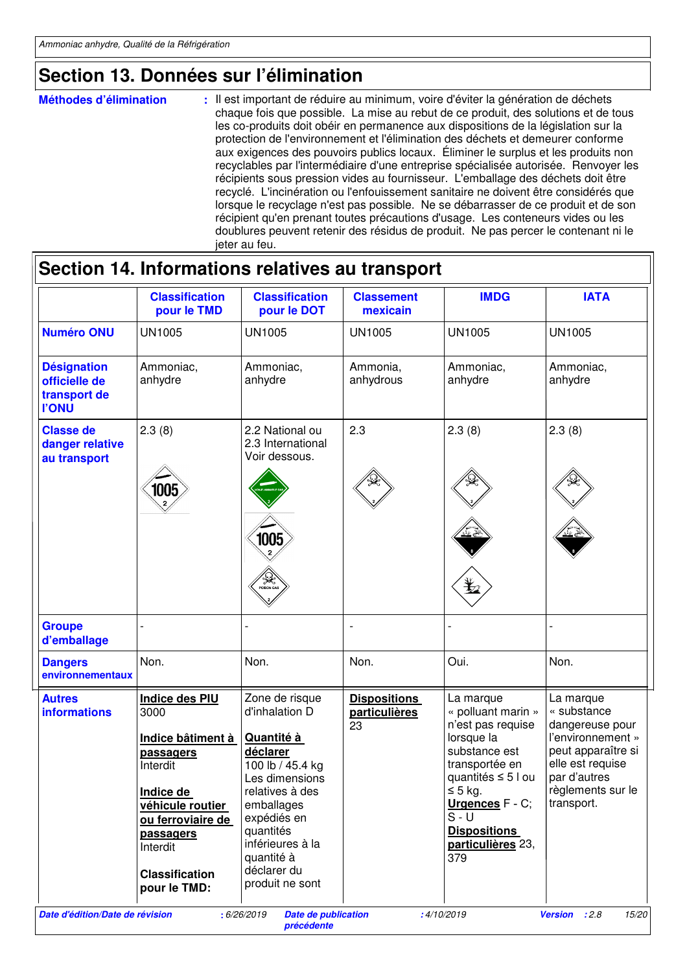## **Section 13. Données sur l'élimination**

| <b>Méthodes d'élimination</b> | : Il est important de réduire au minimum, voire d'éviter la génération de déchets<br>chaque fois que possible. La mise au rebut de ce produit, des solutions et de tous<br>les co-produits doit obéir en permanence aux dispositions de la législation sur la<br>protection de l'environnement et l'élimination des déchets et demeurer conforme<br>aux exigences des pouvoirs publics locaux. Eliminer le surplus et les produits non<br>recyclables par l'intermédiaire d'une entreprise spécialisée autorisée. Renvoyer les<br>récipients sous pression vides au fournisseur. L'emballage des déchets doit être<br>recyclé. L'incinération ou l'enfouissement sanitaire ne doivent être considérés que<br>lorsque le recyclage n'est pas possible. Ne se débarrasser de ce produit et de son<br>récipient qu'en prenant toutes précautions d'usage. Les conteneurs vides ou les<br>doublures peuvent retenir des résidus de produit. Ne pas percer le contenant ni le |
|-------------------------------|--------------------------------------------------------------------------------------------------------------------------------------------------------------------------------------------------------------------------------------------------------------------------------------------------------------------------------------------------------------------------------------------------------------------------------------------------------------------------------------------------------------------------------------------------------------------------------------------------------------------------------------------------------------------------------------------------------------------------------------------------------------------------------------------------------------------------------------------------------------------------------------------------------------------------------------------------------------------------|
|                               | jeter au feu.                                                                                                                                                                                                                                                                                                                                                                                                                                                                                                                                                                                                                                                                                                                                                                                                                                                                                                                                                            |

|                                                                     | <b>Classification</b><br>pour le TMD                                                                                                                                                         | <b>Classification</b><br>pour le DOT                                                                                                                                                                                              | <b>Classement</b><br>mexicain              | <b>IMDG</b>                                                                                                                                                                                                                  | <b>IATA</b>                                                                                                                                                   |
|---------------------------------------------------------------------|----------------------------------------------------------------------------------------------------------------------------------------------------------------------------------------------|-----------------------------------------------------------------------------------------------------------------------------------------------------------------------------------------------------------------------------------|--------------------------------------------|------------------------------------------------------------------------------------------------------------------------------------------------------------------------------------------------------------------------------|---------------------------------------------------------------------------------------------------------------------------------------------------------------|
| <b>Numéro ONU</b>                                                   | <b>UN1005</b>                                                                                                                                                                                | <b>UN1005</b>                                                                                                                                                                                                                     | <b>UN1005</b>                              | <b>UN1005</b>                                                                                                                                                                                                                | <b>UN1005</b>                                                                                                                                                 |
| <b>Désignation</b><br>officielle de<br>transport de<br><b>I'ONU</b> | Ammoniac,<br>anhydre                                                                                                                                                                         | Ammoniac,<br>anhydre                                                                                                                                                                                                              | Ammonia,<br>anhydrous                      | Ammoniac,<br>anhydre                                                                                                                                                                                                         | Ammoniac,<br>anhydre                                                                                                                                          |
| <b>Classe de</b><br>danger relative<br>au transport                 | 2.3(8)<br>1005                                                                                                                                                                               | 2.2 National ou<br>2.3 International<br>Voir dessous.<br>1005<br>/ <b>/<sub>1</sub></b> )                                                                                                                                         | 2.3                                        | 2.3(8)                                                                                                                                                                                                                       | 2.3(8)                                                                                                                                                        |
| <b>Groupe</b><br>d'emballage                                        |                                                                                                                                                                                              |                                                                                                                                                                                                                                   | $\overline{\phantom{a}}$                   |                                                                                                                                                                                                                              |                                                                                                                                                               |
| <b>Dangers</b><br>environnementaux                                  | Non.                                                                                                                                                                                         | Non.                                                                                                                                                                                                                              | Non.                                       | Oui.                                                                                                                                                                                                                         | Non.                                                                                                                                                          |
| <b>Autres</b><br><b>informations</b>                                | Indice des PIU<br>3000<br>Indice bâtiment à<br>passagers<br>Interdit<br>Indice de<br>véhicule routier<br>ou ferroviaire de<br>passagers<br>Interdit<br><b>Classification</b><br>pour le TMD: | Zone de risque<br>d'inhalation D<br>Quantité à<br>déclarer<br>100 lb / 45.4 kg<br>Les dimensions<br>relatives à des<br>emballages<br>expédiés en<br>quantités<br>inférieures à la<br>quantité à<br>déclarer du<br>produit ne sont | <b>Dispositions</b><br>particulières<br>23 | La marque<br>« polluant marin »<br>n'est pas requise<br>lorsque la<br>substance est<br>transportée en<br>quantités ≤ 5 l ou<br>$\leq$ 5 kg.<br>Urgences F - C;<br>$S - U$<br><b>Dispositions</b><br>particulières 23,<br>379 | La marque<br>« substance<br>dangereuse pour<br>l'environnement »<br>peut apparaître si<br>elle est requise<br>par d'autres<br>règlements sur le<br>transport. |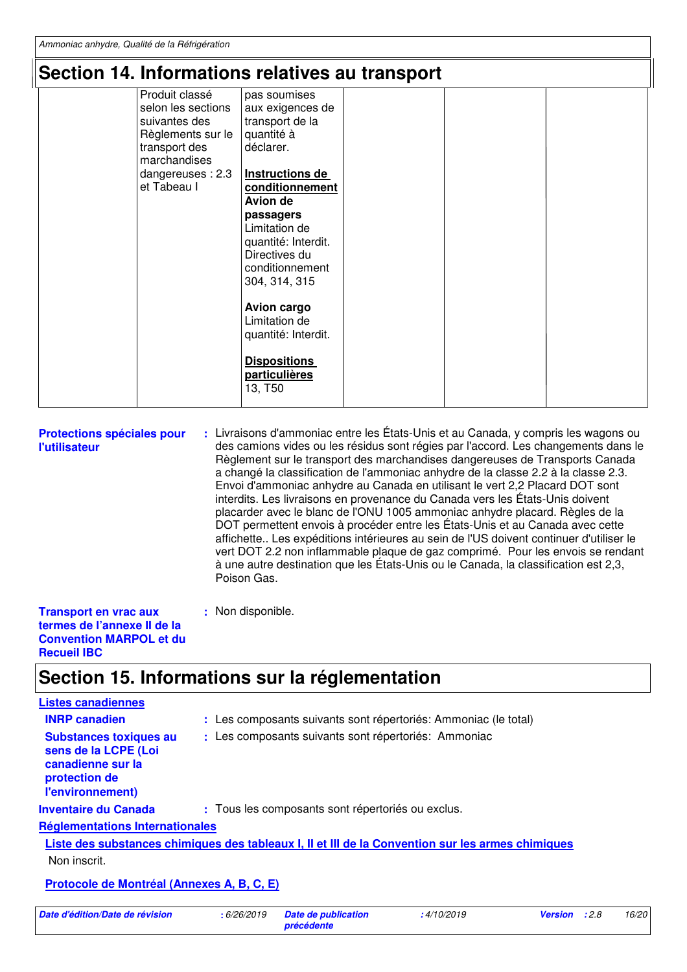### **Section 14. Informations relatives au transport**

|                                                                                 | Section 14. Informations relatives au transport                                                                                                                                                                                                                                                                                                                                                                            |  |  |
|---------------------------------------------------------------------------------|----------------------------------------------------------------------------------------------------------------------------------------------------------------------------------------------------------------------------------------------------------------------------------------------------------------------------------------------------------------------------------------------------------------------------|--|--|
| Produit classé<br>suivantes des<br>transport des<br>marchandises<br>et Tabeau I | pas soumises<br>selon les sections<br>aux exigences de<br>transport de la<br>Règlements sur le<br>quantité à<br>déclarer.<br>Instructions de<br>dangereuses: 2.3<br>conditionnement<br>Avion de<br>passagers<br>Limitation de<br>quantité: Interdit.<br>Directives du<br>conditionnement<br>304, 314, 315<br><b>Avion cargo</b><br>Limitation de<br>quantité: Interdit.<br><b>Dispositions</b><br>particulières<br>13, T50 |  |  |
|                                                                                 |                                                                                                                                                                                                                                                                                                                                                                                                                            |  |  |

**Protections spéciales pour l'utilisateur** Livraisons d'ammoniac entre les États-Unis et au Canada, y compris les wagons ou **:** des camions vides ou les résidus sont régies par l'accord. Les changements dans le Règlement sur le transport des marchandises dangereuses de Transports Canada a changé la classification de l'ammoniac anhydre de la classe 2.2 à la classe 2.3. Envoi d'ammoniac anhydre au Canada en utilisant le vert 2,2 Placard DOT sont interdits. Les livraisons en provenance du Canada vers les États-Unis doivent placarder avec le blanc de l'ONU 1005 ammoniac anhydre placard. Règles de la DOT permettent envois à procéder entre les États-Unis et au Canada avec cette affichette.. Les expéditions intérieures au sein de l'US doivent continuer d'utiliser le vert DOT 2.2 non inflammable plaque de gaz comprimé. Pour les envois se rendant à une autre destination que les États-Unis ou le Canada, la classification est 2,3, Poison Gas.

**Transport en vrac aux termes de l'annexe II de la Convention MARPOL et du Recueil IBC**

### **Section 15. Informations sur la réglementation**

**:** Non disponible.

| <b>Listes canadiennes</b>                                                                                       |                                                                                                   |
|-----------------------------------------------------------------------------------------------------------------|---------------------------------------------------------------------------------------------------|
| <b>INRP canadien</b>                                                                                            | : Les composants suivants sont répertoriés: Ammoniac (le total)                                   |
| <b>Substances toxiques au</b><br>sens de la LCPE (Loi<br>canadienne sur la<br>protection de<br>l'environnement) | : Les composants suivants sont répertoriés: Ammoniac                                              |
| <b>Inventaire du Canada</b>                                                                                     | : Tous les composants sont répertoriés ou exclus.                                                 |
| <b>Réglementations Internationales</b>                                                                          |                                                                                                   |
|                                                                                                                 | Liste des substances chimiques des tableaux I, II et III de la Convention sur les armes chimiques |
| Non inscrit.                                                                                                    |                                                                                                   |
| Protocole de Montréal (Annexes A, B, C, E)                                                                      |                                                                                                   |

**Date d'édition/Date de révision :** 6/26/2019 **Date de publication** 

**précédente**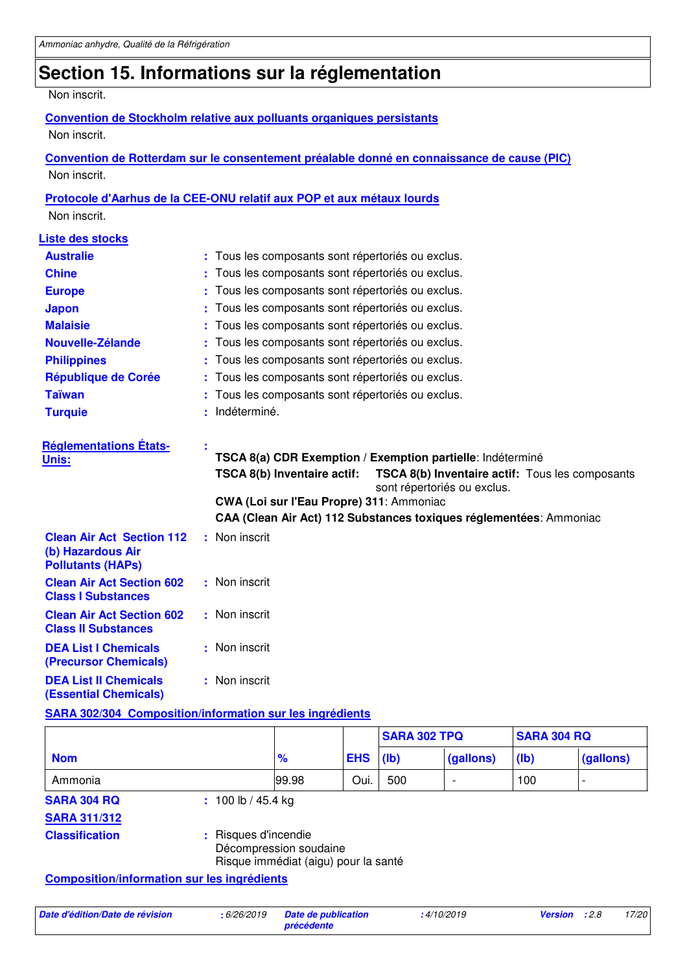## **Section 15. Informations sur la réglementation**

#### Non inscrit.

#### **Convention de Stockholm relative aux polluants organiques persistants** Non inscrit.

**Convention de Rotterdam sur le consentement préalable donné en connaissance de cause (PIC)** Non inscrit.

### **Protocole d'Aarhus de la CEE-ONU relatif aux POP et aux métaux lourds**

Non inscrit.

| <b>Liste des stocks</b>                                                           |   |                                                                                                                                                                                                                                                                                                      |  |  |
|-----------------------------------------------------------------------------------|---|------------------------------------------------------------------------------------------------------------------------------------------------------------------------------------------------------------------------------------------------------------------------------------------------------|--|--|
| <b>Australie</b>                                                                  |   | : Tous les composants sont répertoriés ou exclus.                                                                                                                                                                                                                                                    |  |  |
| <b>Chine</b>                                                                      |   | Tous les composants sont répertoriés ou exclus.                                                                                                                                                                                                                                                      |  |  |
| <b>Europe</b>                                                                     |   | Tous les composants sont répertoriés ou exclus.                                                                                                                                                                                                                                                      |  |  |
| <b>Japon</b>                                                                      |   | Tous les composants sont répertoriés ou exclus.                                                                                                                                                                                                                                                      |  |  |
| <b>Malaisie</b>                                                                   |   | Tous les composants sont répertoriés ou exclus.                                                                                                                                                                                                                                                      |  |  |
| Nouvelle-Zélande                                                                  |   | Tous les composants sont répertoriés ou exclus.                                                                                                                                                                                                                                                      |  |  |
| <b>Philippines</b>                                                                |   | Tous les composants sont répertoriés ou exclus.                                                                                                                                                                                                                                                      |  |  |
| République de Corée                                                               |   | Tous les composants sont répertoriés ou exclus.                                                                                                                                                                                                                                                      |  |  |
| <b>Taïwan</b>                                                                     |   | Tous les composants sont répertoriés ou exclus.                                                                                                                                                                                                                                                      |  |  |
| <b>Turquie</b>                                                                    | ٠ | Indéterminé.                                                                                                                                                                                                                                                                                         |  |  |
| <b>Réglementations États-</b><br>Unis:                                            |   | TSCA 8(a) CDR Exemption / Exemption partielle: Indéterminé<br>TSCA 8(b) Inventaire actif:<br><b>TSCA 8(b) Inventaire actif:</b> Tous les composants<br>sont répertoriés ou exclus.<br>CWA (Loi sur l'Eau Propre) 311: Ammoniac<br>CAA (Clean Air Act) 112 Substances toxiques réglementées: Ammoniac |  |  |
| <b>Clean Air Act Section 112</b><br>(b) Hazardous Air<br><b>Pollutants (HAPs)</b> |   | : Non inscrit                                                                                                                                                                                                                                                                                        |  |  |
| <b>Clean Air Act Section 602</b><br><b>Class I Substances</b>                     |   | : Non inscrit                                                                                                                                                                                                                                                                                        |  |  |
| <b>Clean Air Act Section 602</b><br><b>Class II Substances</b>                    |   | : Non inscrit                                                                                                                                                                                                                                                                                        |  |  |
| <b>DEA List I Chemicals</b><br>(Precursor Chemicals)                              |   | : Non inscrit                                                                                                                                                                                                                                                                                        |  |  |
| <b>DEA List II Chemicals</b><br><b>(Essential Chemicals)</b>                      |   | : Non inscrit                                                                                                                                                                                                                                                                                        |  |  |

#### **SARA 302/304 Composition/information sur les ingrédients**

|                       |                         |                                                                |            | <b>SARA 302 TPQ</b> |           | <b>SARA 304 RQ</b> |           |
|-----------------------|-------------------------|----------------------------------------------------------------|------------|---------------------|-----------|--------------------|-----------|
| <b>Nom</b>            |                         | $\frac{9}{6}$                                                  | <b>EHS</b> | (lb)                | (gallons) | $(\mathsf{lb})$    | (gallons) |
| Ammonia               |                         | 99.98                                                          | Oui.       | 500                 |           | 100                |           |
| <b>SARA 304 RQ</b>    | $: 100 \,$ lb / 45.4 kg |                                                                |            |                     |           |                    |           |
| <b>SARA 311/312</b>   |                         |                                                                |            |                     |           |                    |           |
| <b>Classification</b> | : Risques d'incendie    | Décompression soudaine<br>Risque immédiat (aigu) pour la santé |            |                     |           |                    |           |

**Composition/information sur les ingrédients**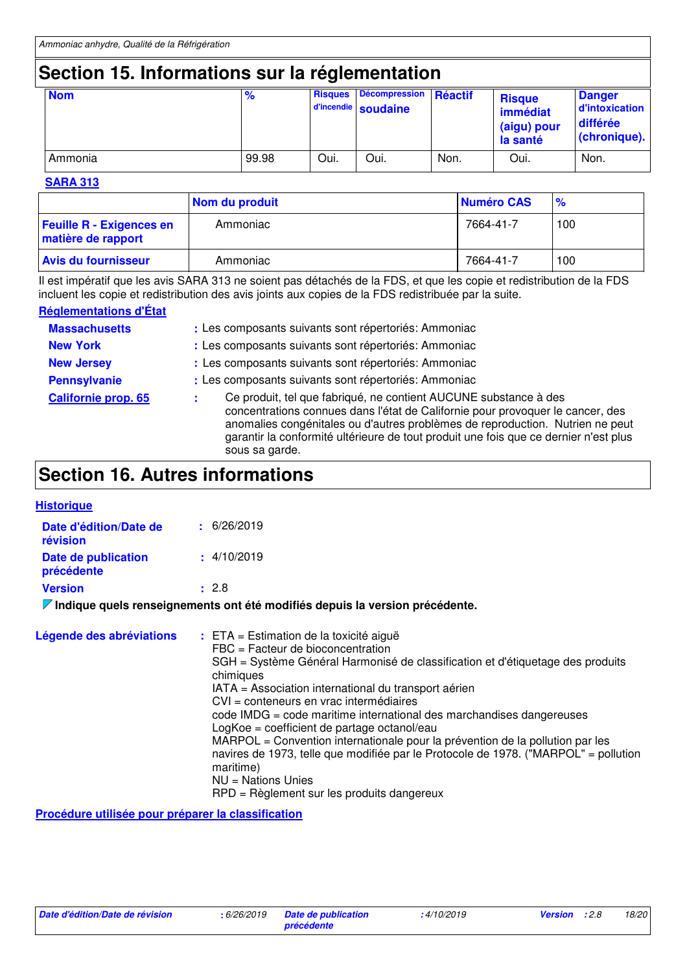## **Section 15. Informations sur la réglementation**

| <b>Nom</b> | $\frac{9}{6}$ | <b>Risques</b> | <b>Décompression</b><br>d'incendie soudaine | Réactif | <b>Risque</b><br>immédiat<br>(aigu) pour<br>la santé | <b>Danger</b><br>d'intoxication<br>différée<br>(chronique). |
|------------|---------------|----------------|---------------------------------------------|---------|------------------------------------------------------|-------------------------------------------------------------|
| Ammonia    | 99.98         | Oui.           | Oui.                                        | Non.    | Oui.                                                 | Non.                                                        |

#### **SARA 313**

|                                                       | Nom du produit | Numéro CAS | $\frac{9}{6}$ |
|-------------------------------------------------------|----------------|------------|---------------|
| <b>Feuille R - Exigences en</b><br>matière de rapport | Ammoniac       | 7664-41-7  | 100           |
| <b>Avis du fournisseur</b>                            | Ammoniac       | 7664-41-7  | 100           |

Il est impératif que les avis SARA 313 ne soient pas détachés de la FDS, et que les copie et redistribution de la FDS incluent les copie et redistribution des avis joints aux copies de la FDS redistribuée par la suite.

#### **Réglementations d'État**

| <b>Massachusetts</b><br><b>New York</b><br><b>New Jersey</b> | : Les composants suivants sont répertoriés: Ammoniac<br>: Les composants suivants sont répertoriés: Ammoniac<br>: Les composants suivants sont répertoriés: Ammoniac                                                                                                                                                                          |  |
|--------------------------------------------------------------|-----------------------------------------------------------------------------------------------------------------------------------------------------------------------------------------------------------------------------------------------------------------------------------------------------------------------------------------------|--|
| <b>Pennsylvanie</b>                                          | : Les composants suivants sont répertoriés: Ammoniac                                                                                                                                                                                                                                                                                          |  |
| <b>Californie prop. 65</b>                                   | Ce produit, tel que fabriqué, ne contient AUCUNE substance à des<br>concentrations connues dans l'état de Californie pour provoquer le cancer, des<br>anomalies congénitales ou d'autres problèmes de reproduction. Nutrien ne peut<br>garantir la conformité ultérieure de tout produit une fois que ce dernier n'est plus<br>sous sa garde. |  |

## **Section 16. Autres informations**

| <b>Historique</b>                  |                                                                             |
|------------------------------------|-----------------------------------------------------------------------------|
| Date d'édition/Date de<br>révision | $\pm$ 6/26/2019                                                             |
| Date de publication<br>précédente  | $\pm$ 4/10/2019                                                             |
| <b>Version</b>                     | : 2.8                                                                       |
|                                    | Indique quels renseignements ont été modifiés depuis la version précédente. |

| Légende des abréviations | $:$ ETA = Estimation de la toxicité aiguë<br>$FBC = Factor$ de bioconcentration<br>SGH = Système Général Harmonisé de classification et d'étiquetage des produits<br>chimiques<br>IATA = Association international du transport aérien<br>CVI = conteneurs en vrac intermédiaires<br>code IMDG = code maritime international des marchandises dangereuses<br>LogKoe = coefficient de partage octanol/eau<br>MARPOL = Convention internationale pour la prévention de la pollution par les<br>navires de 1973, telle que modifiée par le Protocole de 1978. ("MARPOL" = pollution<br>maritime)<br>$NU = Nations$ Unies<br>RPD = Règlement sur les produits dangereux |
|--------------------------|---------------------------------------------------------------------------------------------------------------------------------------------------------------------------------------------------------------------------------------------------------------------------------------------------------------------------------------------------------------------------------------------------------------------------------------------------------------------------------------------------------------------------------------------------------------------------------------------------------------------------------------------------------------------|
|--------------------------|---------------------------------------------------------------------------------------------------------------------------------------------------------------------------------------------------------------------------------------------------------------------------------------------------------------------------------------------------------------------------------------------------------------------------------------------------------------------------------------------------------------------------------------------------------------------------------------------------------------------------------------------------------------------|

**Procédure utilisée pour préparer la classification**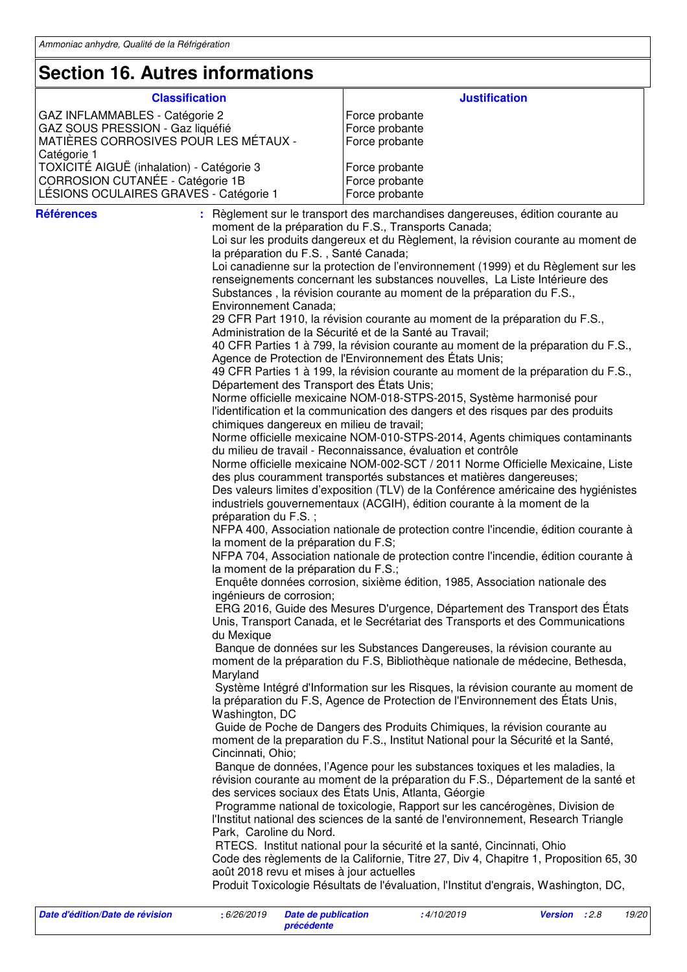### **Section 16. Autres informations**

| SECUOII TO. AULIES IIIIUIIIIALIUIIS       |                                                                                                                                                                    |  |  |
|-------------------------------------------|--------------------------------------------------------------------------------------------------------------------------------------------------------------------|--|--|
| <b>Classification</b>                     | <b>Justification</b>                                                                                                                                               |  |  |
| GAZ INFLAMMABLES - Catégorie 2            | Force probante                                                                                                                                                     |  |  |
| GAZ SOUS PRESSION - Gaz liquéfié          | Force probante                                                                                                                                                     |  |  |
| MATIÈRES CORROSIVES POUR LES MÉTAUX -     | Force probante                                                                                                                                                     |  |  |
| Catégorie 1                               |                                                                                                                                                                    |  |  |
| TOXICITÉ AIGUË (inhalation) - Catégorie 3 | Force probante                                                                                                                                                     |  |  |
| CORROSION CUTANÉE - Catégorie 1B          | Force probante                                                                                                                                                     |  |  |
| LÉSIONS OCULAIRES GRAVES - Catégorie 1    | Force probante                                                                                                                                                     |  |  |
|                                           |                                                                                                                                                                    |  |  |
| <b>Références</b>                         | : Règlement sur le transport des marchandises dangereuses, édition courante au<br>moment de la préparation du F.S., Transports Canada;                             |  |  |
| la préparation du F.S., Santé Canada;     | Loi sur les produits dangereux et du Règlement, la révision courante au moment de                                                                                  |  |  |
|                                           | Loi canadienne sur la protection de l'environnement (1999) et du Règlement sur les                                                                                 |  |  |
|                                           | renseignements concernant les substances nouvelles, La Liste Intérieure des                                                                                        |  |  |
|                                           | Substances, la révision courante au moment de la préparation du F.S.,                                                                                              |  |  |
| Environnement Canada;                     |                                                                                                                                                                    |  |  |
|                                           | 29 CFR Part 1910, la révision courante au moment de la préparation du F.S.,<br>Administration de la Sécurité et de la Santé au Travail;                            |  |  |
|                                           | 40 CFR Parties 1 à 799, la révision courante au moment de la préparation du F.S.,<br>Agence de Protection de l'Environnement des États Unis;                       |  |  |
| Département des Transport des États Unis; | 49 CFR Parties 1 à 199, la révision courante au moment de la préparation du F.S.,                                                                                  |  |  |
|                                           | Norme officielle mexicaine NOM-018-STPS-2015, Système harmonisé pour                                                                                               |  |  |
|                                           | l'identification et la communication des dangers et des risques par des produits                                                                                   |  |  |
| chimiques dangereux en milieu de travail; |                                                                                                                                                                    |  |  |
|                                           | Norme officielle mexicaine NOM-010-STPS-2014, Agents chimiques contaminants                                                                                        |  |  |
|                                           | du milieu de travail - Reconnaissance, évaluation et contrôle                                                                                                      |  |  |
|                                           | Norme officielle mexicaine NOM-002-SCT / 2011 Norme Officielle Mexicaine, Liste                                                                                    |  |  |
|                                           | des plus couramment transportés substances et matières dangereuses;                                                                                                |  |  |
|                                           | Des valeurs limites d'exposition (TLV) de la Conférence américaine des hygiénistes                                                                                 |  |  |
| préparation du F.S.;                      | industriels gouvernementaux (ACGIH), édition courante à la moment de la                                                                                            |  |  |
|                                           | NFPA 400, Association nationale de protection contre l'incendie, édition courante à                                                                                |  |  |
| la moment de la préparation du F.S;       |                                                                                                                                                                    |  |  |
|                                           | NFPA 704, Association nationale de protection contre l'incendie, édition courante à                                                                                |  |  |
| la moment de la préparation du F.S.;      |                                                                                                                                                                    |  |  |
|                                           | Enquête données corrosion, sixième édition, 1985, Association nationale des                                                                                        |  |  |
| ingénieurs de corrosion;                  | ERG 2016, Guide des Mesures D'urgence, Département des Transport des États                                                                                         |  |  |
|                                           | Unis, Transport Canada, et le Secrétariat des Transports et des Communications                                                                                     |  |  |
| du Mexique                                | Banque de données sur les Substances Dangereuses, la révision courante au                                                                                          |  |  |
|                                           | moment de la préparation du F.S, Bibliothèque nationale de médecine, Bethesda,                                                                                     |  |  |
| Maryland                                  |                                                                                                                                                                    |  |  |
|                                           | Système Intégré d'Information sur les Risques, la révision courante au moment de<br>la préparation du F.S, Agence de Protection de l'Environnement des États Unis, |  |  |
| Washington, DC                            |                                                                                                                                                                    |  |  |
|                                           | Guide de Poche de Dangers des Produits Chimiques, la révision courante au                                                                                          |  |  |
|                                           | moment de la preparation du F.S., Institut National pour la Sécurité et la Santé,                                                                                  |  |  |
| Cincinnati, Ohio;                         |                                                                                                                                                                    |  |  |
|                                           | Banque de données, l'Agence pour les substances toxiques et les maladies, la                                                                                       |  |  |
|                                           | révision courante au moment de la préparation du F.S., Département de la santé et<br>des services sociaux des États Unis, Atlanta, Géorgie                         |  |  |
|                                           | Programme national de toxicologie, Rapport sur les cancérogènes, Division de<br>l'Institut national des sciences de la santé de l'environnement, Research Triangle |  |  |
| Park, Caroline du Nord.                   |                                                                                                                                                                    |  |  |
|                                           | RTECS. Institut national pour la sécurité et la santé, Cincinnati, Ohio                                                                                            |  |  |
| août 2018 revu et mises à jour actuelles  | Code des règlements de la Californie, Titre 27, Div 4, Chapitre 1, Proposition 65, 30                                                                              |  |  |
|                                           | Produit Toxicologie Résultats de l'évaluation, l'Institut d'engrais, Washington, DC,                                                                               |  |  |
|                                           |                                                                                                                                                                    |  |  |